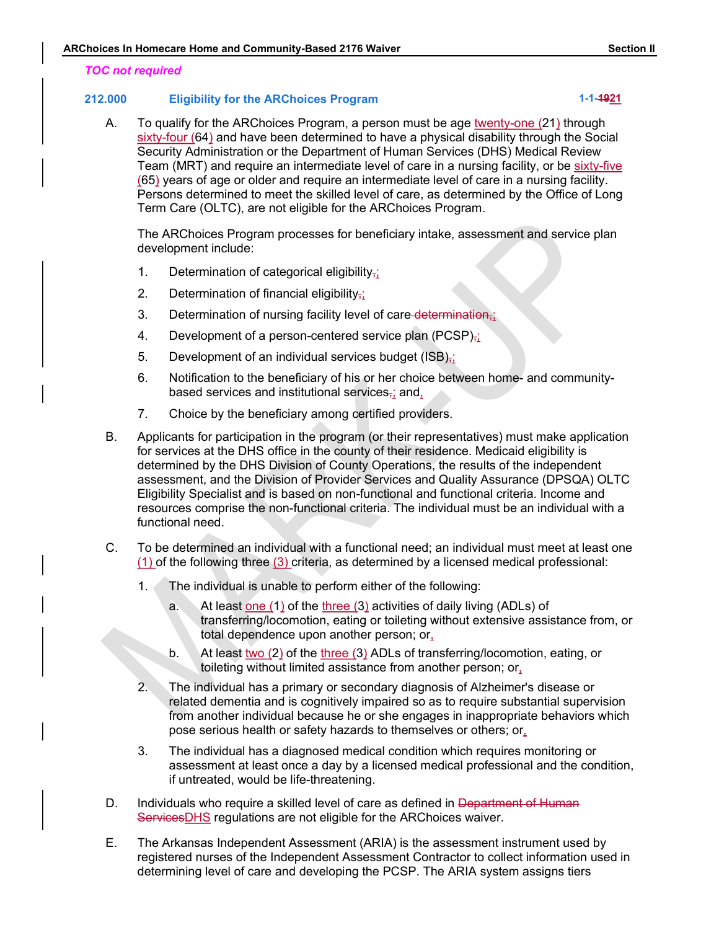#### TOC not required

#### 212.000 Eligibility for the ARChoices Program 1-1-4921 1-1-4921

ARChoices In Homecare Home and Community-Based 2176 Waiver<br>
TOC not required<br>
212.000 Eligibility for the ARChoices Program<br>
A To qualify for the ARChoices Program a person must be age twenty-one (21) through A. To qualify for the ARChoices Program, a person must be age twenty-one (21) through sixty-four (64) and have been determined to have a physical disability through the Social Security Administration or the Department of Human Services (DHS) Medical Review Team (MRT) and require an intermediate level of care in a nursing facility, or be sixty-five (65) years of age or older and require an intermediate level of care in a nursing facility. Persons determined to meet the skilled level of care, as determined by the Office of Long Term Care (OLTC), are not eligible for the ARChoices Program.

The ARChoices Program processes for beneficiary intake, assessment and service plan development include:

- 1. Determination of categorical eligibility<sub>i</sub>;
- 2. Determination of financial eligibility $\frac{1}{2}$ ;
- 3. Determination of nursing facility level of care-determination,;
- 4. Development of a person-centered service plan (PCSP) $\frac{1}{2}$ ;
- 5. Development of an individual services budget ( $\text{ISB}, \cdot$ )
- 6. Notification to the beneficiary of his or her choice between home- and communitybased services and institutional services, and,
- 7. Choice by the beneficiary among certified providers.
- B. Applicants for participation in the program (or their representatives) must make application for services at the DHS office in the county of their residence. Medicaid eligibility is determined by the DHS Division of County Operations, the results of the independent assessment, and the Division of Provider Services and Quality Assurance (DPSQA) OLTC Eligibility Specialist and is based on non-functional and functional criteria. Income and resources comprise the non-functional criteria. The individual must be an individual with a functional need. Determination of nursing facility level of care-determination,<br>
Development of a person-centered service plan (PCSP)<sub>i</sub>;<br>
Development of an individual services budget (ISB)<sub>i</sub>;<br>
Notification to the beneficiary of his or h
- C. To be determined an individual with a functional need; an individual must meet at least one (1) of the following three (3) criteria, as determined by a licensed medical professional:
	- 1. The individual is unable to perform either of the following:
		- transferring/locomotion, eating or toileting without extensive assistance from, or total dependence upon another person; or,
		- b. At least two (2) of the three (3) ADLs of transferring/locomotion, eating, or toileting without limited assistance from another person; or,
	- 2. The individual has a primary or secondary diagnosis of Alzheimer's disease or related dementia and is cognitively impaired so as to require substantial supervision from another individual because he or she engages in inappropriate behaviors which pose serious health or safety hazards to themselves or others; or, The individual is unable to perform either of the following:<br>
	a. At least one (1) of the <u>linee</u> (3) activities of daily living (ADLs) of<br>
	transferring/locomotion, eating or toileting without extensive assistance from, or
	- 3. The individual has a diagnosed medical condition which requires monitoring or assessment at least once a day by a licensed medical professional and the condition, if untreated, would be life-threatening.
- D. Individuals who require a skilled level of care as defined in Department of Human ServicesDHS regulations are not eligible for the ARChoices waiver.
- E. The Arkansas Independent Assessment (ARIA) is the assessment instrument used by registered nurses of the Independent Assessment Contractor to collect information used in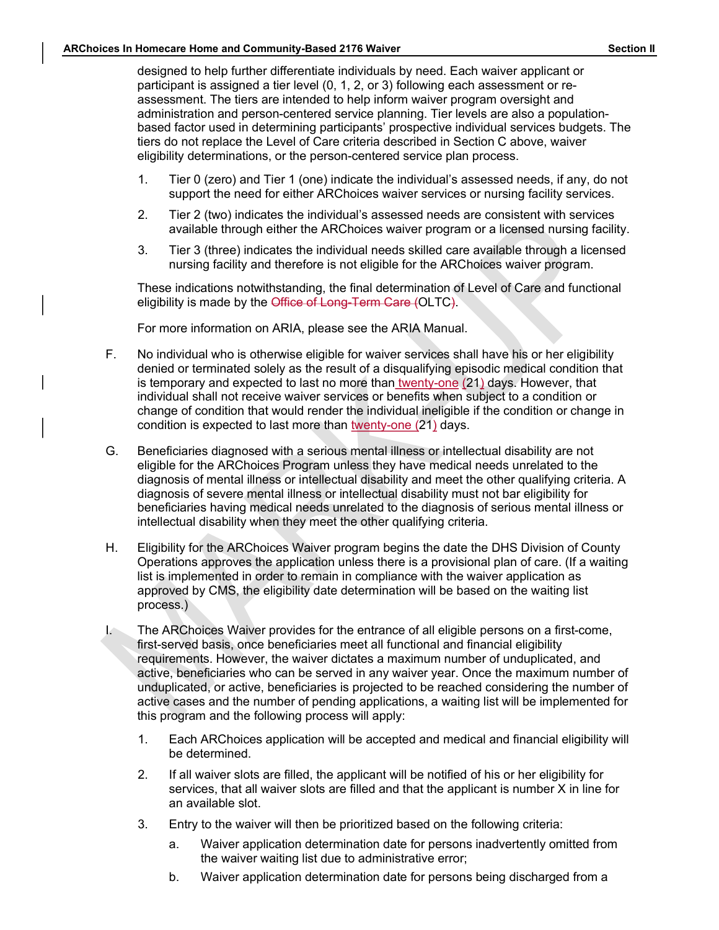Section II<br>
ARChoices In Homecare Home and Community-Based 2176 Waiver<br>
designed to help further differentiate individuals by need. Each waiver applicant or<br>
participant is assigned a tier level (0, 1, 2, or 3) following e designed to help further differentiate individuals by need. Each waiver applicant or participant is assigned a tier level (0, 1, 2, or 3) following each assessment or reassessment. The tiers are intended to help inform waiver program oversight and administration and person-centered service planning. Tier levels are also a populationbased factor used in determining participants' prospective individual services budgets. The tiers do not replace the Level of Care criteria described in Section C above, waiver eligibility determinations, or the person-centered service plan process.

- 1. Tier 0 (zero) and Tier 1 (one) indicate the individual's assessed needs, if any, do not support the need for either ARChoices waiver services or nursing facility services.
- 2. Tier 2 (two) indicates the individual's assessed needs are consistent with services available through either the ARChoices waiver program or a licensed nursing facility.
- 3. Tier 3 (three) indicates the individual needs skilled care available through a licensed nursing facility and therefore is not eligible for the ARChoices waiver program.

These indications notwithstanding, the final determination of Level of Care and functional eligibility is made by the Office of Long-Term Care (OLTC).<br>For more information on ARIA, please see the ARIA Manual.

- F. No individual who is otherwise eligible for waiver services shall have his or her eligibility denied or terminated solely as the result of a disqualifying episodic medical condition that is temporary and expected to last no more than twenty-one (21) days. However, that individual shall not receive waiver services or benefits when subject to a condition or change of condition that would render the individual ineligible if the condition or change in condition is expected to last more than twenty-one (21) days.
- G. Beneficiaries diagnosed with a serious mental illness or intellectual disability are not eligible for the ARChoices Program unless they have medical needs unrelated to the diagnosis of mental illness or intellectual disability and meet the other qualifying criteria. A diagnosis of severe mental illness or intellectual disability must not bar eligibility for beneficiaries having medical needs unrelated to the diagnosis of serious mental illness or intellectual disability when they meet the other qualifying criteria.
- H. Eligibility for the ARChoices Waiver program begins the date the DHS Division of County Operations approves the application unless there is a provisional plan of care. (If a waiting list is implemented in order to remain in compliance with the waiver application as approved by CMS, the eligibility date determination will be based on the waiting list process.)
- I. The ARChoices Waiver provides for the entrance of all eligible persons on a first-come, first-served basis, once beneficiaries meet all functional and financial eligibility requirements. However, the waiver dictates a maximum number of unduplicated, and active, beneficiaries who can be served in any waiver year. Once the maximum number of unduplicated, or active, beneficiaries is projected to be reached considering the number of active cases and the number of pending applications, a waiting list will be implemented for this program and the following process will apply:
	- 1. Each ARChoices application will be accepted and medical and financial eligibility will be determined.
	- 2. If all waiver slots are filled, the applicant will be notified of his or her eligibility for services, that all waiver slots are filled and that the applicant is number X in line for an available slot.
	- 3. Entry to the waiver will then be prioritized based on the following criteria:
		- a. Waiver application determination date for persons inadvertently omitted from the waiver waiting list due to administrative error;
		- b. Waiver application determination date for persons being discharged from a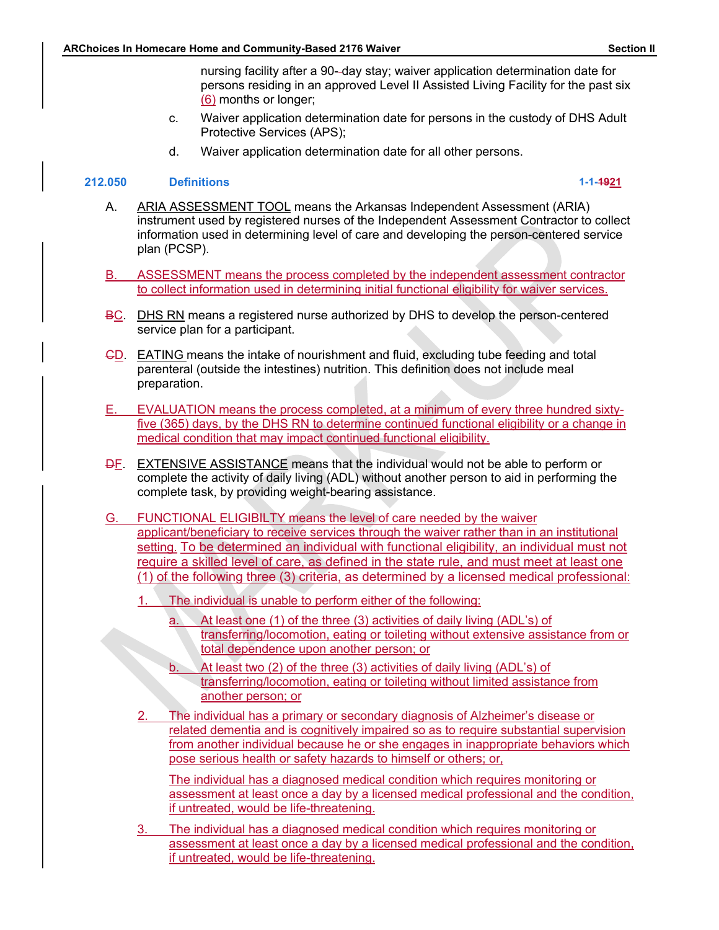ARChoices In Homecare Home and Community-Based 2176 Waiver<br>
nursing facility after a 90-day stay; waiver application determination date for<br>
persons residing in an approved Level II Assisted Living Facility for the past si **Section II**<br>nursing facility after a 90--day stay; waiver application determination date for<br>persons residing in an approved Level II Assisted Living Facility for the past six<br>(6) months or longer;<br>Waiver application dete persons residing in an approved Level II Assisted Living Facility for the past six (6) months or longer; **Example and Community-Based 2176 Waiver**<br>
nursing facility after a 90--day stay; waiver application determination date for<br>
persons residing in an approved Level II Assisted Living Facility for the past six<br>
<u>(6)</u> months

- Protective Services (APS);
- d. Waiver application determination date for all other persons.

#### 212.050 Definitions 1-1-1921

- Example and Community-Based 2176 Waiver<br>
mursing facility after a 90-day stay; waiver application determination date for<br>
persons residing in an approved Level II Assisted Living Facility for the past six<br>
(g) months or lo instrument used by registered nurses of the Independent Assessment Contractor to collect information used in determining level of care and developing the person-centered service plan (PCSP). Solid Hotel contracts and Community-Based 2176 Waiver application determination date for<br>
mursing facility after a 90-day stay; waiver application determination date for<br>
Designonths or longer;<br>
C. Waiver application deter Formecare Home and Community-Based 2176 Waiver<br>
nursing facility after a 90-day stay; waiver application determination date for<br>
persons residing in an approved Level II Assisted Living Facility for the past six<br>
(c.) Waiv
- 
- BC. DHS RN means a registered nurse authorized by DHS to develop the person-centered service plan for a participant.
- CD. EATING means the intake of nourishment and fluid, excluding tube feeding and total parenteral (outside the intestines) nutrition. This definition does not include meal preparation.
- E. EVALUATION means the process completed, at a minimum of every three hundred sixtyfive (365) days, by the DHS RN to determine continued functional eligibility or a change in medical condition that may impact continued functional eligibility.
- DF. EXTENSIVE ASSISTANCE means that the individual would not be able to perform or complete the activity of daily living (ADL) without another person to aid in performing the complete task, by providing weight-bearing assistance.
- G. FUNCTIONAL ELIGIBILTY means the level of care needed by the waiver applicant/beneficiary to receive services through the waiver rather than in an institutional setting. To be determined an individual with functional eligibility, an individual must not require a skilled level of care, as defined in the state rule, and must meet at least one ASSESSMENT means the process completed by the independent assessment contractor<br>
to collect information used in determining initial functional eligibility for waiver services.<br>
DHS RN means a registered nurse authorized by **DHS RN** means a registered nurse authorized by DHS to develop the person-cent<br>
Bervice plan for a participant.<br>
EATING means the intestines) nutrition. This definition does not include meal<br>
FORTING means the intestines)
	- - a. At least one (1) of the three (3) activities of daily living (ADL's) of transferring/locomotion, eating or toileting without extensive assistance from or total dependence upon another person; or
		- b. At least two (2) of the three (3) activities of daily living (ADL's) of transferring/locomotion, eating or toileting without limited assistance from another person; or
	- 2. The individual has a primary or secondary diagnosis of Alzheimer's disease or related dementia and is cognitively impaired so as to require substantial supervision from another individual because he or she engages in inappropriate behaviors which pose serious health or safety hazards to himself or others; or,

The individual has a diagnosed medical condition which requires monitoring or assessment at least once a day by a licensed medical professional and the condition, if untreated, would be life-threatening.

3. The individual has a diagnosed medical condition which requires monitoring or assessment at least once a day by a licensed medical professional and the condition, if untreated, would be life-threatening.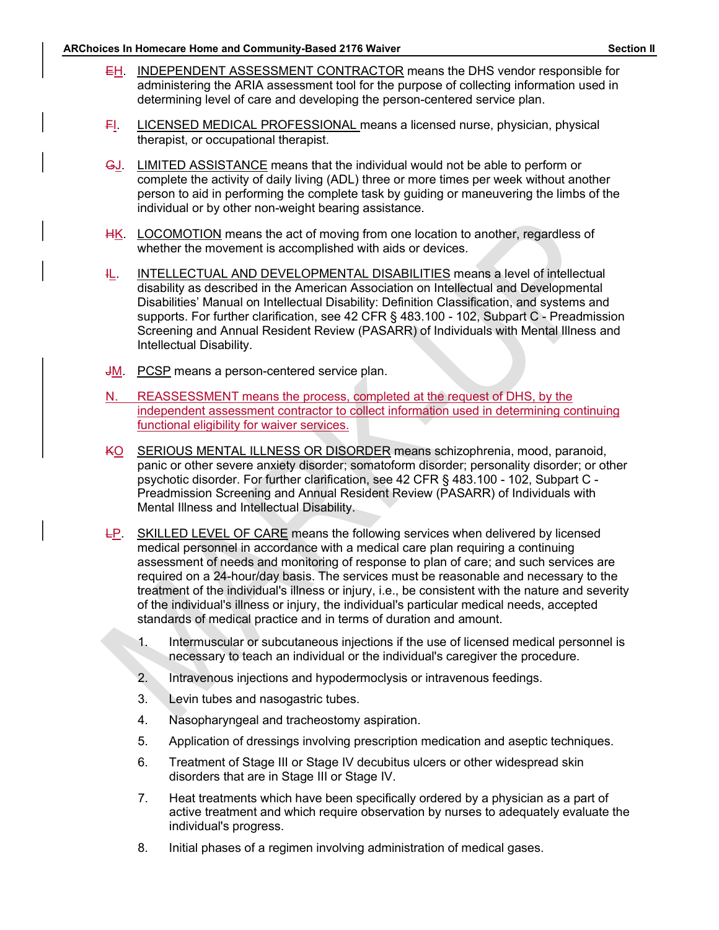- Section II<br>
EH. INDEPENDENT ASSESSMENT CONTRACTOR means the DHS vendor responsible for<br>
administering the ARIA assessment tool for the purpose of collecting information used in<br>
determining level of care and developing the EH. INDEPENDENT ASSESSMENT CONTRACTOR means the DHS vendor responsible for<br>EH. INDEPENDENT ASSESSMENT CONTRACTOR means the DHS vendor responsible for<br>administering the ARIA assessment tool for the purpose of collecting inf Frame and Community-Based 2176 Waiver<br> **INDEPENDENT ASSESSMENT CONTRACTOR** means the DHS vendor responsible for<br>
administering the ARIA assessment tool for the purpose of collecting information used in<br>
determining level o determining level of care and developing the person-centered service plan.
	-
	- Solution: The and Community-Based 2176 Waiver<br>
	FI. INDEPENDENT ASSESSMENT CONTRACTOR means the DHS vendor responsible for<br>
	administering the ARIA assessment tool for the purpose of collecting information used in<br>
	determini Homecare Home and Community-Based 2176 Waiver<br>
	INDEPENDENT ASSESSMENT CONTRACTOR means the DHS vendor respone<br>
	administering the ARIA assessment tool for the purpose of collecting information<br>
	determining level of care and GJ. LIMITED ASSISTANCE means that the individual would not be able to perform or complete the activity of daily living (ADL) three or more times per week without another person to aid in performing the complete task by guiding or maneuvering the limbs of the individual or by other non-weight bearing assistance.
	- HK. LOCOMOTION means the act of moving from one location to another, regardless of whether the movement is accomplished with aids or devices.
	- IL. INTELLECTUAL AND DEVELOPMENTAL DISABILITIES means a level of intellectual disability as described in the American Association on Intellectual American Screening and American Screening of the ARIA assessment tool for the purpose of collecting information used in determining level of care and deve Disabilities' Manual on Intellectual Disability: Definition Classification, and systems and supports. For further clarification, see 42 CFR § 483.100 - 102, Subpart C - Preadmission Screening and Annual Resident Review (PASARR) of Individuals with Mental Illness and Intellectual Disability. determining level of care and developing the person-centered service plan.<br>
	F.<br>
	H. LICENSED MEDICAL PROFESSIONAL means a licensed nurse, physician, physical<br>
	therapist, or occupational therapist.<br>
	G. LIMITED ASSISTANCE mea
	- **JM.** PCSP means a person-centered service plan.
	- independent assessment contractor to collect information used in determining continuing functional eligibility for waiver services.
	- KO SERIOUS MENTAL ILLNESS OR DISORDER means schizophrenia, mood, paranoid, panic or other severe anxiety disorder; somatoform disorder; personality disorder; or other psychotic disorder. For further clarification, see 42 CFR § 483.100 - 102, Subpart C - Preadmission Screening and Annual Resident Review (PASARR) of Individuals with Mental Illness and Intellectual Disability.
	- LP. SKILLED LEVEL OF CARE means the following services when delivered by licensed medical personnel in accordance with a medical care plan requiring a continuing INTELLECTUAL AND DEVELOPMENTAL DISABILITIES means a level of intellectual<br>disability as described in the American Association on Intellectual and Developmental<br>Disabilities' Manual on intellectual Disability; Definition Cl required on a 24-hour/day basis. The services must be reasonable and necessary to the treatment of the individual's illness or injury, i.e., be consistent with the nature and severity of the individual's illness or injury, the individual's particular medical needs, accepted standards of medical practice and in terms of duration and amount.
		- 1. Intermuscular or subcutaneous injections if the use of licensed medical personnel is necessary to teach an individual or the individual's caregiver the procedure.
		- 2. Intravenous injections and hypodermoclysis or intravenous feedings.
		- 3. Levin tubes and nasogastric tubes.
		- 4. Nasopharyngeal and tracheostomy aspiration.
		- 5. Application of dressings involving prescription medication and aseptic techniques.
		- 6. Treatment of Stage III or Stage IV decubitus ulcers or other widespread skin disorders that are in Stage III or Stage IV.
		- 7. Heat treatments which have been specifically ordered by a physician as a part of active treatment and which require observation by nurses to adequately evaluate the individual's progress.
		- 8. Initial phases of a regimen involving administration of medical gases.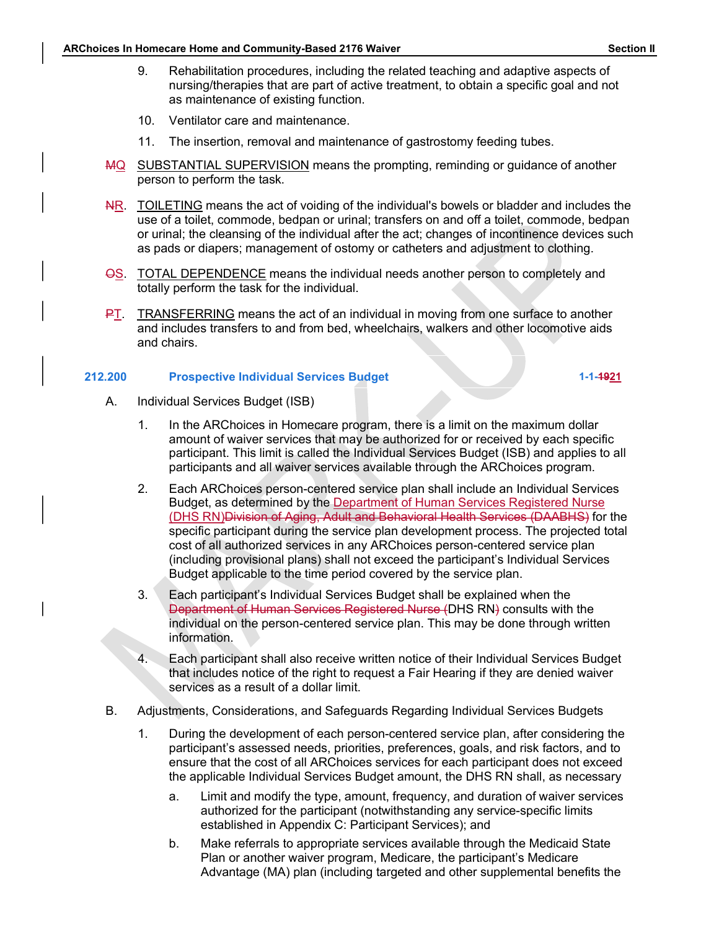- Section II<br>ARChoices In Homecare Home and Community-Based 2176 Waiver<br>9. Rehabilitation procedures, including the related teaching and adaptive aspects of<br>nursing/therapies that are part of active treatment, to obtain a sp Summer the meand Community-Based 2176 Waiver<br>
9. Rehabilitation procedures, including the related teaching and adaptive aspects of<br>
nursing/therapies that are part of active treatment, to obtain a specific goal and not<br>
10 nursing/therapies that are part of active treatment, to obtain a specific goal and not as maintenance of existing function.
	- 10. Ventilator care and maintenance.
	- 11. The insertion, removal and maintenance of gastrostomy feeding tubes.
	- MQ SUBSTANTIAL SUPERVISION means the prompting, reminding or guidance of another person to perform the task.
	- NR. TOILETING means the act of voiding of the individual's bowels or bladder and includes the use of a toilet, commode, bedpan or urinal; transfers on and off a toilet, commode, bedpan or urinal; the cleansing of the individual after the act; changes of incontinence devices such as pads or diapers; management of ostomy or catheters and adjustment to clothing. **Example 12 and 10** Soction II<br>
	9. Rehabilitation procedures, including the related teaching and adaptive aspects of<br>
	nursing/therapties that are part of active treatment, to obtain a specific goal and not<br>
	as maintenance **Example 19 and includes transfers including the related teaching and adaptive aspects of**<br>
	and including the related teaching and adaptive aspects of<br>
	and including the related transferse to an including the related trans
	- OS. TOTAL DEPENDENCE means the individual needs another person to completely and totally perform the task for the individual.
	- and chairs.

#### 212.200 Prospective Individual Services Budget 1-1-1921

- A. Individual Services Budget (ISB)
	- 1. In the ARChoices in Homecare program, there is a limit on the maximum dollar amount of waiver services that may be authorized for or received by each specific participant. This limit is called the Individual Services Budget (ISB) and applies to all participants and all waiver services available through the ARChoices program.
	- 2. Each ARChoices person-centered service plan shall include an Individual Services Budget, as determined by the Department of Human Services Registered Nurse (DHS RN)Division of Aging, Adult and Behavioral Health Services (DAABHS) for the specific participant during the service plan development process. The projected total cost of all authorized services in any ARChoices person-centered service plan (including provisional plans) shall not exceed the participant's Individual Services Budget applicable to the time period covered by the service plan.
	- 3. Each participant's Individual Services Budget shall be explained when the Department of Human Services Registered Nurse (DHS RN) consults with the individual on the person-centered service plan. This may be done through written information.
	- 4. Each participant shall also receive written notice of their Individual Services Budget that includes notice of the right to request a Fair Hearing if they are denied waiver services as a result of a dollar limit.
- B. Adjustments, Considerations, and Safeguards Regarding Individual Services Budgets
	- 1. During the development of each person-centered service plan, after considering the participant's assessed needs, priorities, preferences, goals, and risk factors, and to ensure that the cost of all ARChoices services for each participant does not exceed the applicable Individual Services Budget amount, the DHS RN shall, as necessary
		- a. Limit and modify the type, amount, frequency, and duration of waiver services authorized for the participant (notwithstanding any service-specific limits established in Appendix C: Participant Services); and
		- b. Make referrals to appropriate services available through the Medicaid State Plan or another waiver program, Medicare, the participant's Medicare Advantage (MA) plan (including targeted and other supplemental benefits the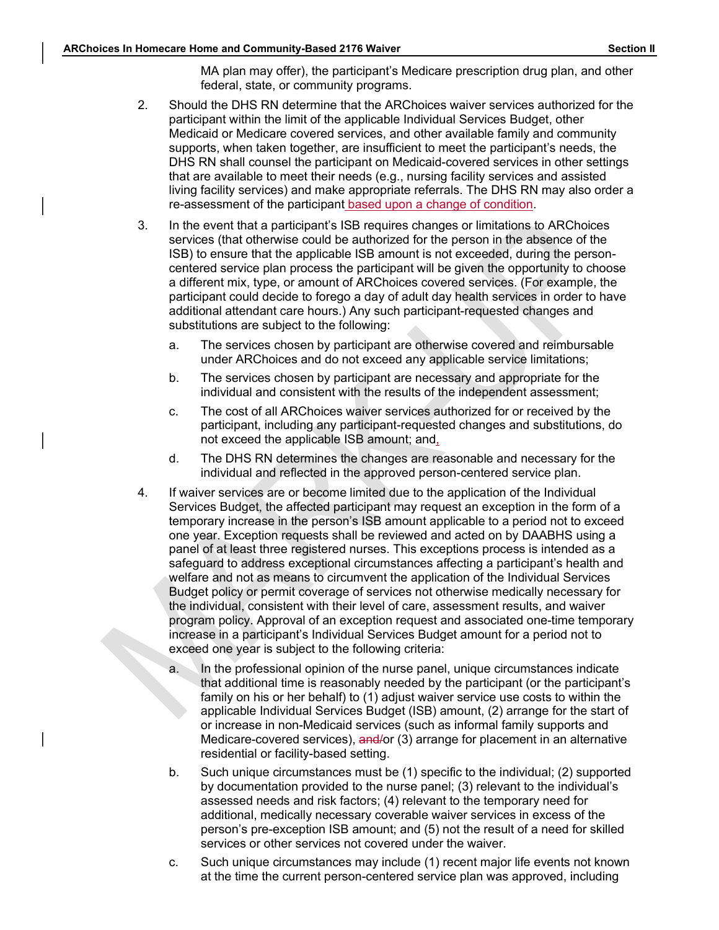MA plan may offer), the participant's Medicare prescription drug plan, and other federal, state, or community programs.

- Section II<br>ARChoices In Homecare Home and Community-Based 2176 Waiver<br>MA plan may offer), the participant's Medicare prescription drug plan, and other<br>federal, state, or community programs.<br>2. Should the DHS RN determine t 2. Should the DHS RN determine that the ARChoices waiver services authorized for the participant within the limit of the applicable Individual Services Budget, other Medicaid or Medicare covered services, and other available family and community supports, when taken together, are insufficient to meet the participant's needs, the DHS RN shall counsel the participant on Medicaid-covered services in other settings that are available to meet their needs (e.g., nursing facility services and assisted living facility services) and make appropriate referrals. The DHS RN may also order a From the particle of the particle and Community-Based 2176 Waiver<br>
MA plan may offer), the participant's Medicare prescription drug plan, and other<br>
2. Should the DHS RN eletrmine that the ARChoices waiver services authori
	- services (that otherwise could be authorized for the person in the absence of the ISB) to ensure that the applicable ISB amount is not exceeded, during the personcentered service plan process the participant will be given the opportunity to choose a different mix, type, or amount of ARChoices covered services. (For example, the participant could decide to forego a day of adult day health services in order to have additional attendant care hours.) Any such participant-requested changes and substitutions are subject to the following:
		- a. The services chosen by participant are otherwise covered and reimbursable under ARChoices and do not exceed any applicable service limitations;
		- b. The services chosen by participant are necessary and appropriate for the individual and consistent with the results of the independent assessment;
		- c. The cost of all ARChoices waiver services authorized for or received by the participant, including any participant-requested changes and substitutions, do not exceed the applicable ISB amount; and,
		- d. The DHS RN determines the changes are reasonable and necessary for the individual and reflected in the approved person-centered service plan.
	- 4. If waiver services are or become limited due to the application of the Individual Services Budget, the affected participant may request an exception in the form of a temporary increase in the person's ISB amount applicable to a period not to exceed one year. Exception requests shall be reviewed and acted on by DAABHS using a panel of at least three registered nurses. This exceptions process is intended as a safeguard to address exceptional circumstances affecting a participant's health and welfare and not as means to circumvent the application of the Individual Services Budget policy or permit coverage of services not otherwise medically necessary for the individual, consistent with their level of care, assessment results, and waiver program policy. Approval of an exception request and associated one-time temporary increase in a participant's Individual Services Budget amount for a period not to exceed one year is subject to the following criteria: a. In the services shower will be the constrained solved and proparities of the individual and consistent with the results of the independent assessment;<br>
	c. The services chosen by participant are necessary or received by safeguard to address exceptional circumstances affecting a participant's health and between and not as means to circumvent the application of the Individual Services budget policy or permit coverage of services not otherwi
		- that additional time is reasonably needed by the participant (or the participant's family on his or her behalf) to (1) adjust waiver service use costs to within the applicable Individual Services Budget (ISB) amount, (2) arrange for the start of or increase in non-Medicaid services (such as informal family supports and Medicare-covered services), and/or (3) arrange for placement in an alternative residential or facility-based setting.
		- b. Such unique circumstances must be (1) specific to the individual; (2) supported by documentation provided to the nurse panel; (3) relevant to the individual's assessed needs and risk factors; (4) relevant to the temporary need for additional, medically necessary coverable waiver services in excess of the person's pre-exception ISB amount; and (5) not the result of a need for skilled services or other services not covered under the waiver.
		- at the time the current person-centered service plan was approved, including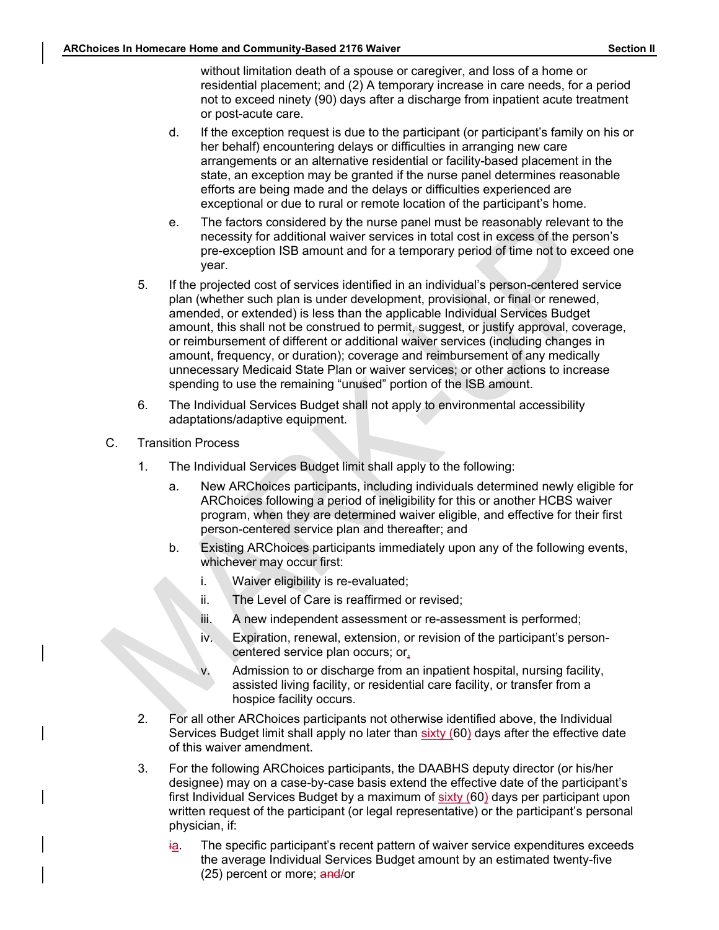ARChoices In Homecare Home and Community-Based 2176 Waiver<br>without limitation death of a spouse or caregiver, and loss of a home or<br>residential placement; and (2) A temporary increase in care needs, for a period<br>not to exc without limitation death of a spouse or caregiver, and loss of a home or residential placement; and (2) A temporary increase in care needs, for a period not to exceed ninety (90) days after a discharge from inpatient acute treatment or post-acute care.

- d. If the exception request is due to the participant (or participant's family on his or her behalf) encountering delays or difficulties in arranging new care arrangements or an alternative residential or facility-based placement in the state, an exception may be granted if the nurse panel determines reasonable efforts are being made and the delays or difficulties experienced are exceptional or due to rural or remote location of the participant's home.
- e. The factors considered by the nurse panel must be reasonably relevant to the necessity for additional waiver services in total cost in excess of the person's pre-exception ISB amount and for a temporary period of time not to exceed one year.
- 5. If the projected cost of services identified in an individual's person-centered service plan (whether such plan is under development, provisional, or final or renewed, amended, or extended) is less than the applicable Individual Services Budget amount, this shall not be construed to permit, suggest, or justify approval, coverage, or reimbursement of different or additional waiver services (including changes in amount, frequency, or duration); coverage and reimbursement of any medically unnecessary Medicaid State Plan or waiver services; or other actions to increase spending to use the remaining "unused" portion of the ISB amount.
- 6. The Individual Services Budget shall not apply to environmental accessibility adaptations/adaptive equipment.
- C. Transition Process
	- 1. The Individual Services Budget limit shall apply to the following:
		- a. New ARChoices participants, including individuals determined newly eligible for ARChoices following a period of ineligibility for this or another HCBS waiver program, when they are determined waiver eligible, and effective for their first person-centered service plan and thereafter; and
		- b. Existing ARChoices participants immediately upon any of the following events, whichever may occur first:
			- i. Waiver eligibility is re-evaluated;
			- ii. The Level of Care is reaffirmed or revised;
			- iii. A new independent assessment or re-assessment is performed;
			- iv. Expiration, renewal, extension, or revision of the participant's personcentered service plan occurs; or,
			- v. Admission to or discharge from an inpatient hospital, nursing facility, assisted living facility, or residential care facility, or transfer from a hospice facility occurs.
	- 2. For all other ARChoices participants not otherwise identified above, the Individual Services Budget limit shall apply no later than sixty (60) days after the effective date of this waiver amendment.
	- 3. For the following ARChoices participants, the DAABHS deputy director (or his/her designee) may on a case-by-case basis extend the effective date of the participant's first Individual Services Budget by a maximum of sixty (60) days per participant upon written request of the participant (or legal representative) or the participant's personal physician, if:
		- ia. The specific participant's recent pattern of waiver service expenditures exceeds the average Individual Services Budget amount by an estimated twenty-five (25) percent or more; and/or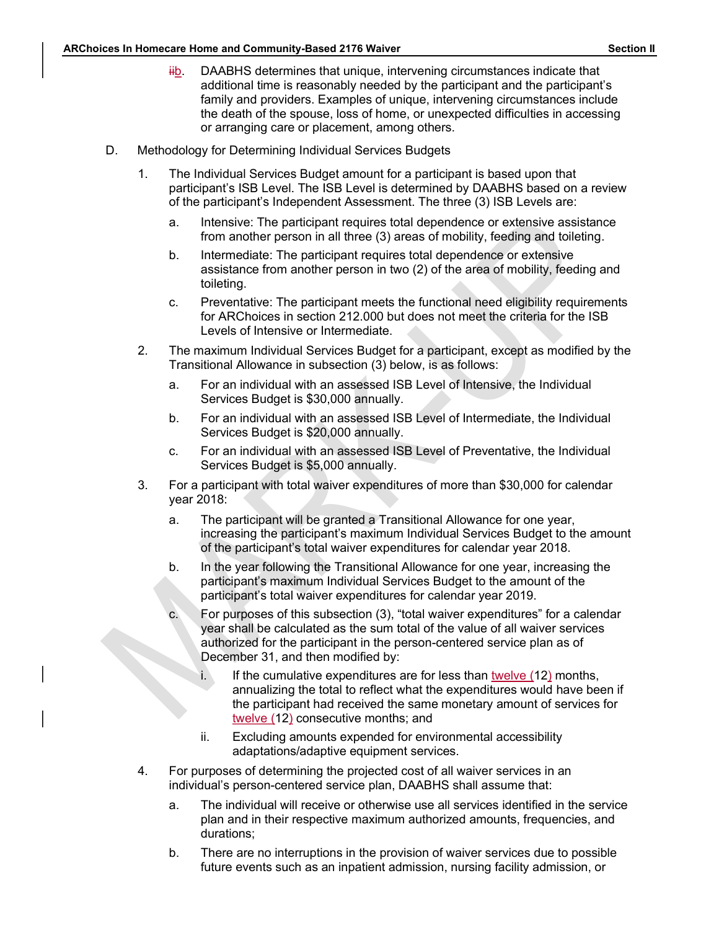- Section II<br>ARChoices In Homecare Home and Community-Based 2176 Waiver<br>
Hightharpoonum Hightary DAABHS determines that unique, intervening circumstances indicate that<br>
additional time is reasonably needed by the participant sare Home and Community-Based 2176 Waiver<br>
iib. DAABHS determines that unique, intervening circumstances indicate that<br>
additional time is reasonably needed by the participant and the participant's<br>
family and providers. E additional time is reasonably needed by the participant and the participant's family and providers. Examples of unique, intervening circumstances include the death of the spouse, loss of home, or unexpected difficulties in accessing or arranging care or placement, among others. Social Momecare Home and Community-Based 2176 Waiver<br>
Western Section And Community-Based 2176 Waiver<br>
Westerning circumstances indicate that<br>
additional time is reasonably needed by the participant and the participant's<br>
	- - 1. The Individual Services Budget amount for a participant is based upon that participant's ISB Level. The ISB Level is determined by DAABHS based on a review of the participant's Independent Assessment. The three (3) ISB Levels are:
			- a. Intensive: The participant requires total dependence or extensive assistance from another person in all three (3) areas of mobility, feeding and toileting.
			- b. Intermediate: The participant requires total dependence or extensive assistance from another person in two (2) of the area of mobility, feeding and toileting.
			- c. Preventative: The participant meets the functional need eligibility requirements for ARChoices in section 212.000 but does not meet the criteria for the ISB Levels of Intensive or Intermediate.
		- 2. The maximum Individual Services Budget for a participant, except as modified by the Transitional Allowance in subsection (3) below, is as follows:
			- a. For an individual with an assessed ISB Level of Intensive, the Individual Services Budget is \$30,000 annually.
			- b. For an individual with an assessed ISB Level of Intermediate, the Individual Services Budget is \$20,000 annually.
			- c. For an individual with an assessed ISB Level of Preventative, the Individual Services Budget is \$5,000 annually.
		- 3. For a participant with total waiver expenditures of more than \$30,000 for calendar year 2018:
			- a. The participant will be granted a Transitional Allowance for one year, increasing the participant's maximum Individual Services Budget to the amount of the participant's total waiver expenditures for calendar year 2018.
			- b. In the year following the Transitional Allowance for one year, increasing the participant's maximum Individual Services Budget to the amount of the participant's total waiver expenditures for calendar year 2019.
- c. For purposes of this subsection (3), "total waiver expenditures" for a calendar year shall be calculated as the sum total of the value of all waiver services authorized for the participant in the person-centered service plan as of December 31, and then modified by: Services Budget is \$20,000 annuality.<br>
Services Budget is \$5,000 annually.<br>
For an individual services Budget is \$5,000 annually.<br>
participant with total waiver expenditures of more than \$30,000 for calendar<br>
1018:<br>
The pa
	- i. If the cumulative expenditures are for less than  $twelve (12)$  months,</u> annualizing the total to reflect what the expenditures would have been if the participant had received the same monetary amount of services for twelve (12) consecutive months; and
	- adaptations/adaptive equipment services.
		- 4. For purposes of determining the projected cost of all waiver services in an individual's person-centered service plan, DAABHS shall assume that:
			- a. The individual will receive or otherwise use all services identified in the service plan and in their respective maximum authorized amounts, frequencies, and durations;
			- b. There are no interruptions in the provision of waiver services due to possible future events such as an inpatient admission, nursing facility admission, or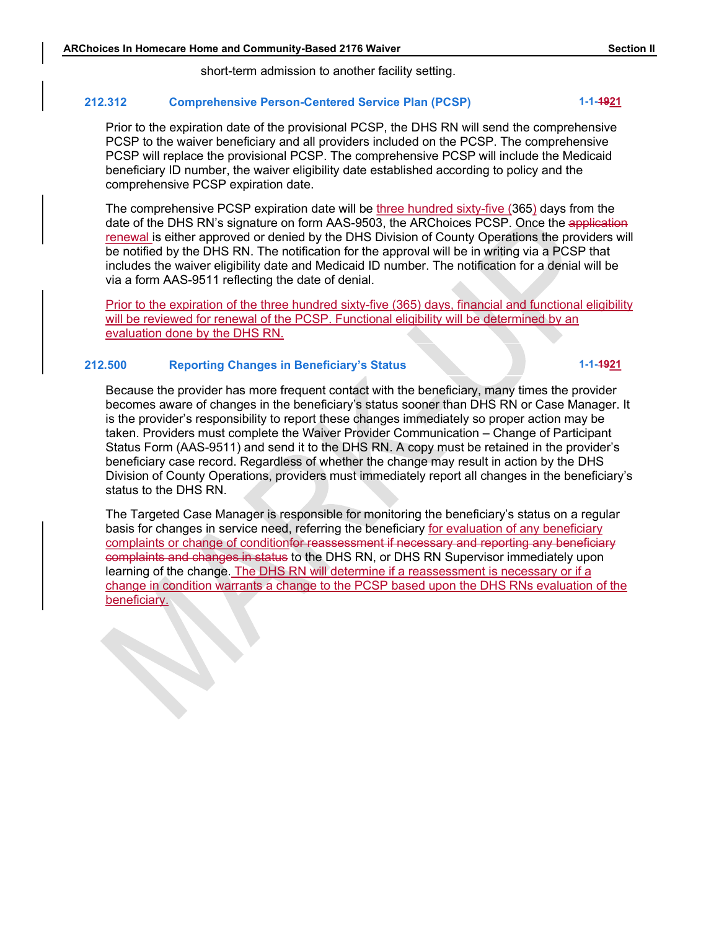short-term admission to another facility setting.

# ARChoices In Homecare Home and Community-Based 2176 Waiver<br>
Section II<br>
Short-term admission to another facility setting.<br>
212.312 Comprehensive Person-Centered Service Plan (PCSP) 1-1-1-49<u>21</u> 212.312 Comprehensive Person-Centered Service Plan (PCSP) 1-1-4921

Sum Homecare Home and Community-Based 2176 Waiver<br>
Section II<br>
Short-term admission to another facility setting.<br>
2012<br>
Prior to the expiration date of the provisional PCSP, the DHS RN will send the comprehensive<br>
PCSP to PCSP to the waiver beneficiary and all providers included on the PCSP. The comprehensive PCSP will replace the provisional PCSP. The comprehensive PCSP will include the Medicaid beneficiary ID number, the waiver eligibility date established according to policy and the comprehensive PCSP expiration date.

The comprehensive PCSP expiration date will be three hundred sixty-five (365) days from the date of the DHS RN's signature on form AAS-9503, the ARChoices PCSP. Once the application renewal is either approved or denied by the DHS Division of County Operations the providers will be notified by the DHS RN. The notification for the approval will be in writing via a PCSP that includes the waiver eligibility date and Medicaid ID number. The notification for a denial will be via a form and Community-Based 2176 Walver Section II<br>
short-term admission to another facility setting.<br>
312 Comprehensive Person-Centered Service Plan (PCSP)<br>
Prior to the expiration date of the provisional PCSP, the DHS

Prior to the expiration of the three hundred sixty-five (365) days, financial and functional eligibility will be reviewed for renewal of the PCSP. Functional eligibility will be determined by an evaluation done by the DHS RN.

#### 212.500 Reporting Changes in Beneficiary's Status 1-1-1921

Because the provider has more frequent contact with the beneficiary, many times the provider becomes aware of changes in the beneficiary's status sooner than DHS RN or Case Manager. It is the provider's responsibility to report these changes immediately so proper action may be taken. Providers must complete the Waiver Provider Communication – Change of Participant Status Form (AAS-9511) and send it to the DHS RN. A copy must be retained in the provider's beneficiary case record. Regardless of whether the change may result in action by the DHS Division of County Operations, providers must immediately report all changes in the beneficiary's status to the DHS RN.

The Targeted Case Manager is responsible for monitoring the beneficiary's status on a regular basis for changes in service need, referring the beneficiary for evaluation of any beneficiary complaints or change of conditionfor reassessment if necessary and reporting any beneficiary complaints and changes in status to the DHS RN, or DHS RN Supervisor immediately upon learning of the change. The DHS RN will determine if a reassessment is necessary or if a change in condition warrants a change to the PCSP based upon the DHS RNs evaluation of the beneficiary.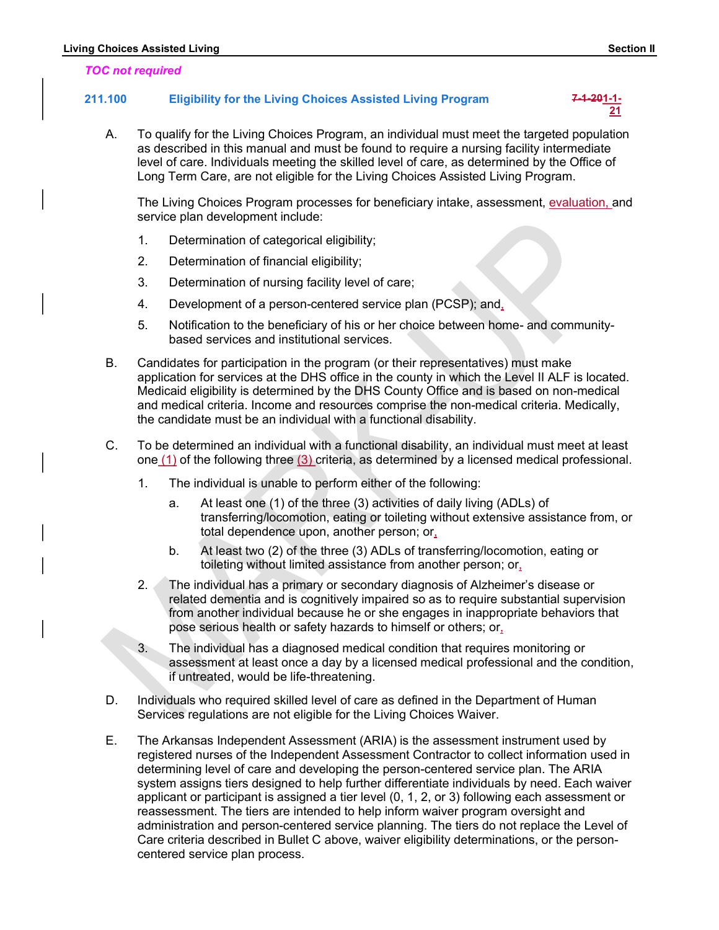#### TOC not required

# Enting Choices Assisted Living<br>
TOC not required<br>
211.100 Eligibility for the Living Choices Assisted Living Program 7-4-20<u>1-1-</u><br>
<u>21</u> 211.100 Eligibility for the Living Choices Assisted Living Program 7-4-201-1-

A. To qualify for the Living Choices Assisted Living Program<br>
A. To qualify for the Living Choices Assisted Living Program<br>
A. To qualify for the Living Choices Program, an individual must meet the targeted population<br>
as as described in this manual and must be found to require a nursing facility intermediate level of care. Individuals meeting the skilled level of care, as determined by the Office of Long Term Care, are not eligible for the Living Choices Assisted Living Program. Assisted Living<br>
Eligibility for the Living Choices Assisted Living Program<br>
To qualify for the Living Choices Program, an individual must meet the target<br>
as described in this manual and must be found to require a nursing

The Living Choices Program processes for beneficiary intake, assessment, evaluation, and service plan development include:

- 
- 2. Determination of financial eligibility;
- 3. Determination of nursing facility level of care;
- 4. Development of a person-centered service plan (PCSP); and,
- 5. Notification to the beneficiary of his or her choice between home- and communitybased services and institutional services.
- B. Candidates for participation in the program (or their representatives) must make application for services at the DHS office in the county in which the Level II ALF is located. Medicaid eligibility is determined by the DHS County Office and is based on non-medical and medical criteria. Income and resources comprise the non-medical criteria. Medically, the candidate must be an individual with a functional disability.
- C. To be determined an individual with a functional disability, an individual must meet at least one (1) of the following three (3) criteria, as determined by a licensed medical professional.
	- 1. The individual is unable to perform either of the following:
		- a. At least one (1) of the three (3) activities of daily living (ADLs) of transferring/locomotion, eating or toileting without extensive assistance from, or total dependence upon, another person; or,
		- b. At least two (2) of the three (3) ADLs of transferring/locomotion, eating or toileting without limited assistance from another person; or,
	- 2. The individual has a primary or secondary diagnosis of Alzheimer's disease or related dementia and is cognitively impaired so as to require substantial supervision from another individual because he or she engages in inappropriate behaviors that pose serious health or safety hazards to himself or others; or,
	- 3. The individual has a diagnosed medical condition that requires monitoring or assessment at least once a day by a licensed medical professional and the condition, if untreated, would be life-threatening.
- D. Individuals who required skilled level of care as defined in the Department of Human Services regulations are not eligible for the Living Choices Waiver.
- E. The Arkansas Independent Assessment (ARIA) is the assessment instrument used by registered nurses of the Independent Assessment Contractor to collect information used in determining level of care and developing the person-centered service plan. The ARIA system assigns tiers designed to help further differentiate individuals by need. Each waiver applicant or participant is assigned a tier level (0, 1, 2, or 3) following each assessment or reassessment. The tiers are intended to help inform waiver program oversight and administration and person-centered service planning. The tiers do not replace the Level of Care criteria described in Bullet C above, waiver eligibility determinations, or the personcentered service plan process.

 $21$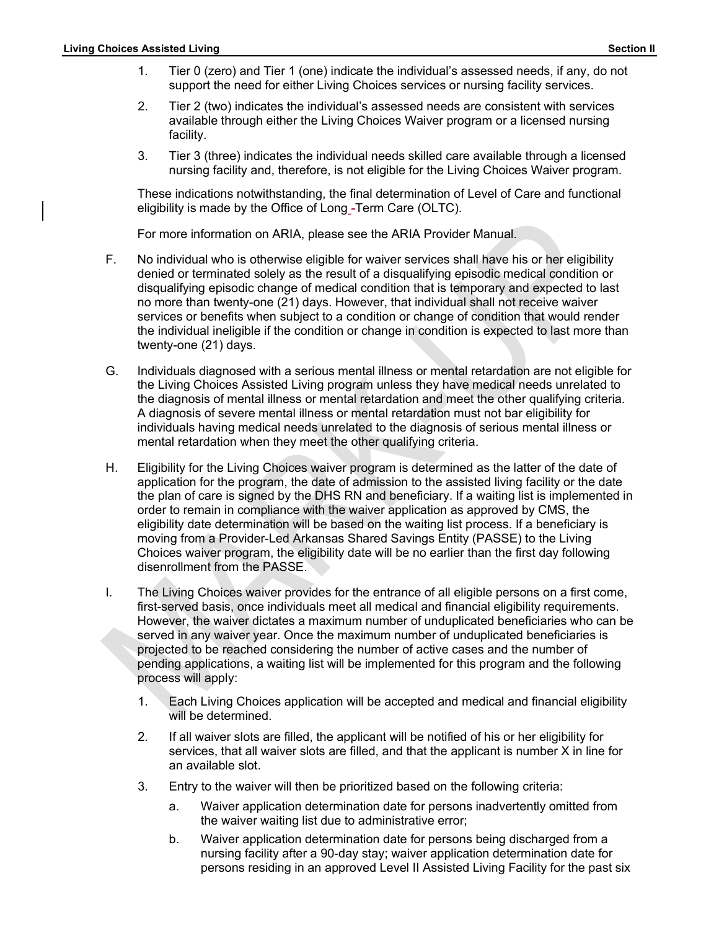- Section II<br>
1. Tier 0 (zero) and Tier 1 (one) indicate the individual's assessed needs, if any, do not<br>
1. Tier 0 (zero) and Tier 1 (one) indicate the individual's assessed needs, if any, do not<br>
2. Tier 2 (two) indicates support the need for either Living Choices services or nursing facility services.
	- Superiories Assisted Living<br>
	1. Tier 0 (zero) and Tier 1 (one) indicate the individual's assessed needs, if any, do not<br>
	1. Tier 2 (two) indicates the individual's assessed needs are consistent with services<br>
	2. Tier 2 (tw 2. Tier 2 (two) indicates the individual's assessed needs are consistent with services available through either the Living Choices Waiver program or a licensed nursing facility.
	- 3. Tier 3 (three) indicates the individual needs skilled care available through a licensed nursing facility and, therefore, is not eligible for the Living Choices Waiver program.

These indications notwithstanding, the final determination of Level of Care and functional eligibility is made by the Office of Long -Term Care (OLTC).

For more information on ARIA, please see the ARIA Provider Manual.

- F. No individual who is otherwise eligible for waiver services shall have his or her eligibility denied or terminated solely as the result of a disqualifying episodic medical condition or disqualifying episodic change of medical condition that is temporary and expected to last no more than twenty-one (21) days. However, that individual shall not receive waiver services or benefits when subject to a condition or change of condition that would render the individual ineligible if the condition or change in condition is expected to last more than twenty-one (21) days.
- G. Individuals diagnosed with a serious mental illness or mental retardation are not eligible for the Living Choices Assisted Living program unless they have medical needs unrelated to the diagnosis of mental illness or mental retardation and meet the other qualifying criteria. A diagnosis of severe mental illness or mental retardation must not bar eligibility for individuals having medical needs unrelated to the diagnosis of serious mental illness or mental retardation when they meet the other qualifying criteria.
- H. Eligibility for the Living Choices waiver program is determined as the latter of the date of application for the program, the date of admission to the assisted living facility or the date the plan of care is signed by the DHS RN and beneficiary. If a waiting list is implemented in order to remain in compliance with the waiver application as approved by CMS, the eligibility date determination will be based on the waiting list process. If a beneficiary is moving from a Provider-Led Arkansas Shared Savings Entity (PASSE) to the Living Choices waiver program, the eligibility date will be no earlier than the first day following disenrollment from the PASSE.
- I. The Living Choices waiver provides for the entrance of all eligible persons on a first come, first-served basis, once individuals meet all medical and financial eligibility requirements. However, the waiver dictates a maximum number of unduplicated beneficiaries who can be served in any waiver year. Once the maximum number of unduplicated beneficiaries is projected to be reached considering the number of active cases and the number of pending applications, a waiting list will be implemented for this program and the following process will apply:
	- 1. Each Living Choices application will be accepted and medical and financial eligibility will be determined.
	- 2. If all waiver slots are filled, the applicant will be notified of his or her eligibility for services, that all waiver slots are filled, and that the applicant is number X in line for an available slot.
	- 3. Entry to the waiver will then be prioritized based on the following criteria:
		- a. Waiver application determination date for persons inadvertently omitted from the waiver waiting list due to administrative error;
		- b. Waiver application determination date for persons being discharged from a nursing facility after a 90-day stay; waiver application determination date for persons residing in an approved Level II Assisted Living Facility for the past six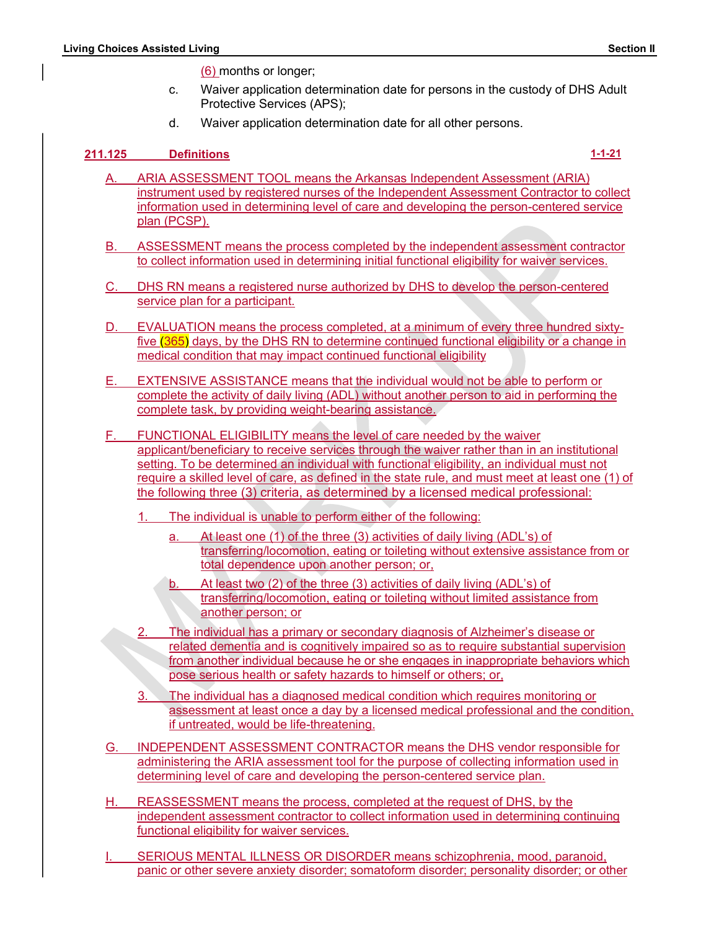(6) months or longer;

- <u>Choices Assisted Living</u><br>
(6) months or longer;<br>
c. Waiver application determination date for persons in the custody of DHS Adult<br>
Protective Services (APS);<br>
d. Waiver application determination date for all other persons c. Waiver application determination date for persons in the custody of DHS Adult Protective Services (APS);
	- d. Waiver application determination date for all other persons.

- Section II<br>
(6) months or longer;<br>
c. Waiver application determination date for persons in the custody of DHS Adult<br>
Protective Services (APS);<br>
d. Waiver application determination date for all other persons.<br>
211.125 Defi Motices Assisted Living<br>
(6) months or longer;<br>
c. Waiver application determination date for persons in the custody of DHS Adult<br>
Protective Services (APS);<br>
d. Waiver application determination date for all other persons.<br> instrument used by registered nurses of the Independent Assessment Contractor to collect information used in determining level of care and developing the person-centered service plan (PCSP). Society Complete Completed by the process completed by the process complete the process complete process complete process complete process.<br>
A. ARIA ASSESSMENT TOOL means the Arkansas Independent Assessment (ARIA)<br>
Instrum Solution (6) months or longer;<br>
c. Waiver application determination date for persons in the custody of DHS Adult<br>
Protective Services (APS);<br>
d. Waiver application determination date for all other persons.<br> **Definitions**<br> Solid Uring<br>
C. Waiver application determination date for persons in the custody of DHS Adult<br>
Protective Services (APS);<br>
d. Waiver application determination date for all other persons.<br>
114-21<br>
Definitions<br>
A. ARIA ASSES Section II<br>
C. Walver application determination date for persons in the custody of DHS Adult<br>
Protective Services (APS);<br>
d. Walver application determination date for all other persons.<br>
1.1-21<br>
d. Walver application deter Massian Lington (6)<br>
C. Waiver application determination date for persons in the custody of DHS Adult<br>
Protective Services (APS);<br>
d. Waiver application determination date for all other persons.<br>
Definitions<br>
1-1-21<br>
ARIA
	-
	- service plan for a participant.
	- five (365) days, by the DHS RN to determine continued functional eligibility or a change in
	- E. EXTENSIVE ASSISTANCE means that the individual would not be able to perform or complete the activity of daily living (ADL) without another person to aid in performing the complete task, by providing weight-bearing assistance.
	- F. FUNCTIONAL ELIGIBILITY means the level of care needed by the waiver applicant/beneficiary to receive services through the waiver rather than in an institutional setting. To be determined an individual with functional eligibility, an individual must not require a skilled level of care, as defined in the state rule, and must meet at least one (1) of the following three (3) criteria, as determined by a licensed medical professional: RN means a registered nurse authorized by DHS to develop the person-centered<br>
	e plan for a participant,<br>
	UATION means the process completed, at a minimum of every three hundred sixty-<br>
	UATION means the process completed, a
		- 1. The individual is unable to perform either of the following:
			- a. At least one (1) of the three (3) activities of daily living (ADL's) of transferring/locomotion, eating or toileting without extensive assistance from or total dependence upon another person; or,
			- transferring/locomotion, eating or toileting without limited assistance from another person; or
		- 2. The individual has a primary or secondary diagnosis of Alzheimer's disease or related dementia and is cognitively impaired so as to require substantial supervision from another individual because he or she engages in inappropriate behaviors which pose serious health or safety hazards to himself or others; or,
		- 3. The individual has a diagnosed medical condition which requires monitoring or assessment at least once a day by a licensed medical professional and the condition, if untreated, would be life-threatening.
	- G. INDEPENDENT ASSESSMENT CONTRACTOR means the DHS vendor responsible for administering the ARIA assessment tool for the purpose of collecting information used in determining level of care and developing the person-centered service plan.
	- H. REASSESSMENT means the process, completed at the request of DHS, by the independent assessment contractor to collect information used in determining continuing functional eligibility for waiver services.
	- SERIOUS MENTAL ILLNESS OR DISORDER means schizophrenia, mood, paranoid, panic or other severe anxiety disorder; somatoform disorder; personality disorder; or other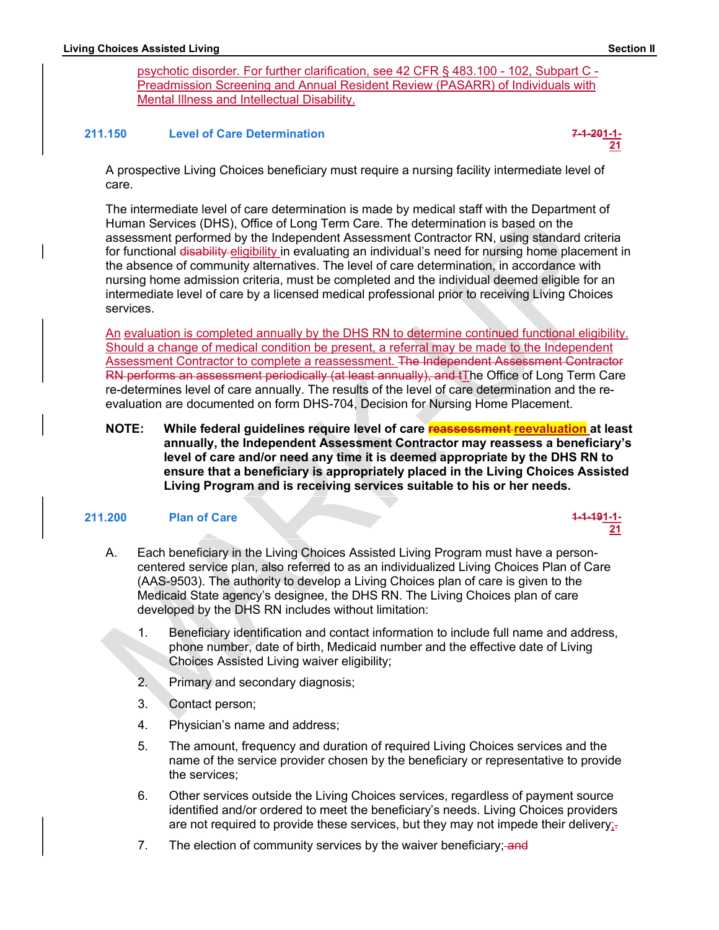$21$ 

<u>Section II</u><br>
<u>psychotic disorder. For further clarification, see 42 CFR § 483.100 - 102, Subpart C -<br>Preadmission Screening and Annual Resident Review (PASARR) of Individuals with<br>Mental Illness and Intellectual Disabilit</u> Superiorial Section<br>
psychotic disorder. For further clarification, see 42 CFR § 483.100 - 102, Subpart C -<br>
Preadmission Screening and Annual Resident Review (PASARR) of Individuals with<br>
Mental Illness and Intellectual D Preadmission Screening and Annual Resident Review (PASARR) of Individuals with Mental Illness and Intellectual Disability.

#### 211.150 Level of Care Determination 7-1-201-1-



A prospective Living Choices beneficiary must require a nursing facility intermediate level of care.

The intermediate level of care determination is made by medical staff with the Department of Human Services (DHS), Office of Long Term Care. The determination is based on the assessment performed by the Independent Assessment Contractor RN, using standard criteria for functional disability eligibility in evaluating an individual's need for nursing home placement in the absence of community alternatives. The level of care determination, in accordance with State of Community alternation. See 42 CFR \$483.100 - 102, Subpart C<br>
Preadmission Screening and Annual Resident Review (PASARR) of Individuals with<br>
Mental Illness and Intellectual Disability,<br>
150 Level of Care Determina nursing home admission criteria, must be completed and the individual deemed eligible for an intermediate level of care by a licensed medical professional prior to receiving Living Choices services.

An evaluation is completed annually by the DHS RN to determine continued functional eligibility. Should a change of medical condition be present, a referral may be made to the Independent Assessment Contractor to complete a reassessment. The Independent Assessment Contractor RN performs an assessment periodically (at least annually), and tThe Office of Long Term Care re-determines level of care annually. The results of the level of care determination and the reevaluation are documented on form DHS-704, Decision for Nursing Home Placement.

NOTE: While federal guidelines require level of care reassessment reevaluation at least annually, the Independent Assessment Contractor may reassess a beneficiary's level of care and/or need any time it is deemed appropriate by the DHS RN to ensure that a beneficiary is appropriately placed in the Living Choices Assisted Living Program and is receiving services suitable to his or her needs.

#### 211.200 Plan of Care 1-1-1-1-1-1-1-1-1-1-200 Plan of Care 1-1-1-1-1-1-1-1-1-1-1-1-

A. Each beneficiary in the Living Choices Assisted Living Program must have a personcentered service plan, also referred to as an individualized Living Choices Plan of Care (AAS-9503). The authority to develop a Living Choices plan of care is given to the Medicaid State agency's designee, the DHS RN. The Living Choices plan of care developed by the DHS RN includes without limitation: **Example 12**<br> **Example 12**<br> **Example 12**<br> **Example 12**<br> **Example 12**<br> **Example 12**<br> **Example 12**<br> **Example 12**<br> **Example 12**<br> **Example 12**<br> **Example 12**<br> **Example 12**<br> **Example 12**<br> **Example 12**<br> **Example 12**<br> **Example 12** 

- 1. Beneficiary identification and contact information to include full name and address, phone number, date of birth, Medicaid number and the effective date of Living Choices Assisted Living waiver eligibility;
- 2. Primary and secondary diagnosis;
- 3. Contact person;
- 4. Physician's name and address;
- 5. The amount, frequency and duration of required Living Choices services and the name of the service provider chosen by the beneficiary or representative to provide the services;
- 6. Other services outside the Living Choices services, regardless of payment source are not required to provide these services, but they may not impede their delivery; $\overline{z}$
- 7. The election of community services by the waiver beneficiary; and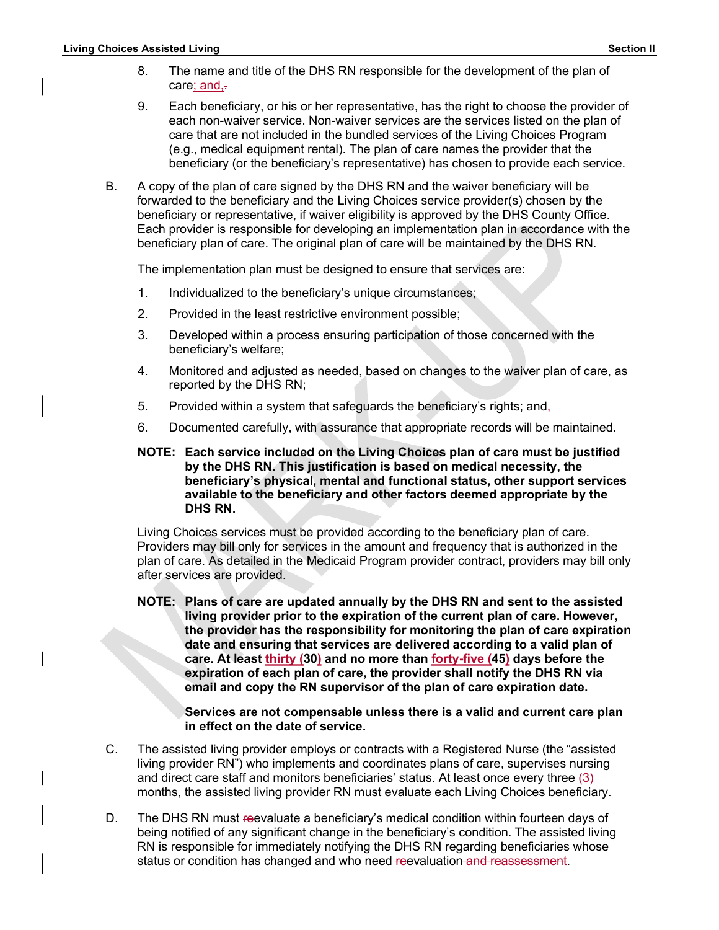- Section II<br>
8. The name and title of the DHS RN responsible for the development of the plan of<br>
2. Each beneficiary, or his or her representative, has the right to choose the provider of<br>
2. Each beneficiary, or his or her care; and, $\frac{1}{x}$ 
	- Superior Section II<br>
	8. The name and title of the DHS RN responsible for the development of the plan of<br>
	care<u>: and,</u><br>
	9. Each beneficiary, or his or her representative, has the right to choose the provider of<br>
	each non-wa 9. **Assisted Living**<br>
	9. The name and title of the DHS RN responsible for the development of the plan of<br>
	care<u>; and,</u>-<br>
	9. Each beneficiary, or his or her representative, has the right to choose the provider of<br>
	each non each non-waiver service. Non-waiver services are the services listed on the plan of care that are not included in the bundled services of the Living Choices Program (e.g., medical equipment rental). The plan of care names the provider that the beneficiary (or the beneficiary's representative) has chosen to provide each service.
	- B. A copy of the plan of care signed by the DHS RN and the waiver beneficiary will be forwarded to the beneficiary and the Living Choices service provider(s) chosen by the beneficiary or representative, if waiver eligibility is approved by the DHS County Office. Each provider is responsible for developing an implementation plan in accordance with the beneficiary plan of care. The original plan of care will be maintained by the DHS RN.

The implementation plan must be designed to ensure that services are:

- 1. Individualized to the beneficiary's unique circumstances;
- 2. Provided in the least restrictive environment possible;
- 3. Developed within a process ensuring participation of those concerned with the beneficiary's welfare;
- 4. Monitored and adjusted as needed, based on changes to the waiver plan of care, as reported by the DHS RN;
- 
- 5. Provided within a system that safeguards the beneficiary's rights; and, 6. Documented carefully, with assurance that appropriate records will be maintained.
- NOTE: Each service included on the Living Choices plan of care must be justified by the DHS RN. This justification is based on medical necessity, the beneficiary's physical, mental and functional status, other support services available to the beneficiary and other factors deemed appropriate by the DHS RN.

 Living Choices services must be provided according to the beneficiary plan of care. Providers may bill only for services in the amount and frequency that is authorized in the plan of care. As detailed in the Medicaid Program provider contract, providers may bill only after services are provided.

NOTE: Plans of care are updated annually by the DHS RN and sent to the assisted living provider prior to the expiration of the current plan of care. However, the provider has the responsibility for monitoring the plan of care expiration date and ensuring that services are delivered according to a valid plan of care. At least thirty (30) and no more than forty-five (45) days before the expiration of each plan of care, the provider shall notify the DHS RN via email and copy the RN supervisor of the plan of care expiration date. NOTE: Each service included on the Living Choices plan of care must be justified<br>by the DHS RN. This justification is based on medical necessity, the<br>beneficiary sphysical, mental and functional status, other support serv living Chengther and the method and the theoretic areassity, the<br>
beneficiarly sphysical, mental and the trational status, other supports are<br>
unitable to the beneficiarly and other factors deemed appropriate by the<br>
DHS R

Services are not compensable unless there is a valid and current care plan in effect on the date of service.

- and direct care staff and monitors beneficiaries' status. At least once every three (3) months, the assisted living provider RN must evaluate each Living Choices beneficiary.
- D. The DHS RN must reevaluate a beneficiary's medical condition within fourteen days of being notified of any significant change in the beneficiary's condition. The assisted living RN is responsible for immediately notifying the DHS RN regarding beneficiaries whose status or condition has changed and who need reevaluation and reassessment.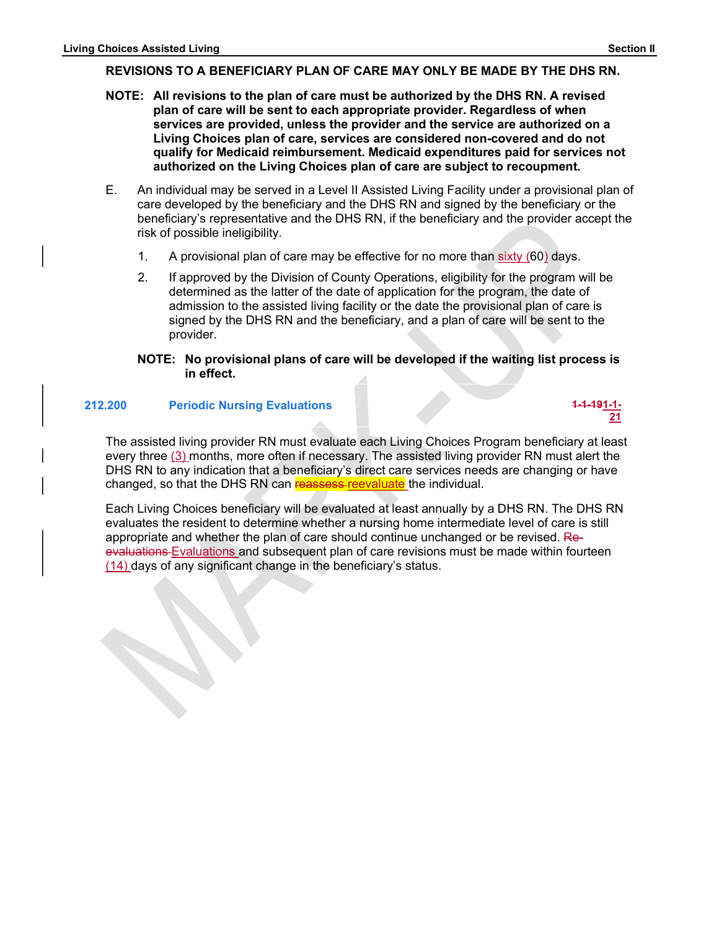- Eiving Choices Assisted Living<br>
REVISIONS TO A BENEFICIARY PLAN OF CARE MAY ONLY BE MADE BY THE DHS RN.<br>
NOTE: All revisions to the plan of care must be authorized by the DHS RN. A revised<br>
plan of care will be sent to eac Notices Assisted Living<br>REVISIONS TO A BENEFICIARY PLAN OF CARE MAY ONLY BE MADE BY THE DHS RN.<br>NOTE: All revisions to the plan of care must be authorized by the DHS RN. A revised<br>plan of care will be sent to each appropri NOTE: All revisions to the plan of care must be authorized by the DHS RN. A revised plan of care will be sent to each appropriate provider. Regardless of when services are provided, unless the provider and the service are authorized on a Living Choices plan of care, services are considered non-covered and do not qualify for Medicaid reimbursement. Medicaid expenditures paid for services not authorized on the Living Choices plan of care are subject to recoupment. Section II<br>
Section II<br>
Section II<br>
Section II<br>
CRIC CONSTO A BENEFICIARY PLAN OF CARE MAY ONLY BE MADE BY THE DHS RN.<br>
CRIC INTERNATION ASSOCITED TO A SURVEY THE DURITY SURVEY TREP SERVENT SPONS TO A Living Choices plan o Assisted Living<br>
2. ISONS TO A BENEFICIARY PLAN OF CARE MAY ONLY BE MADE BY THE DHS RN.<br>
2. IN revisions to the plan of care must be authorized by the DHS RN. A revised<br>
1. In all of care will be sent to each appropriate p
	- E. An individual may be served in a Level II Assisted Living Facility under a provisional plan of care developed by the beneficiary and the DHS RN and signed by the beneficiary or the beneficiary's representative and the DHS RN, if the beneficiary and the provider accept the risk of possible ineligibility.
		-
		- determined as the latter of the date of application for the program, the date of admission to the assisted living facility or the date the provisional plan of care is signed by the DHS RN and the beneficiary, and a plan of care will be sent to the provider.

#### NOTE: No provisional plans of care will be developed if the waiting list process is in effect.

#### 212.200 Periodic Nursing Evaluations 1-1-191-1-



The assisted living provider RN must evaluate each Living Choices Program beneficiary at least every three (3) months, more often if necessary. The assisted living provider RN must alert the DHS RN to any indication that a beneficiary's direct care services needs are changing or have changed, so that the DHS RN can reassess-reevaluate the individual.

Each Living Choices beneficiary will be evaluated at least annually by a DHS RN. The DHS RN evaluates the resident to determine whether a nursing home intermediate level of care is still appropriate and whether the plan of care should continue unchanged or be revised. Reevaluations Evaluations and subsequent plan of care revisions must be made within fourteen (14) days of any significant change in the beneficiary's status.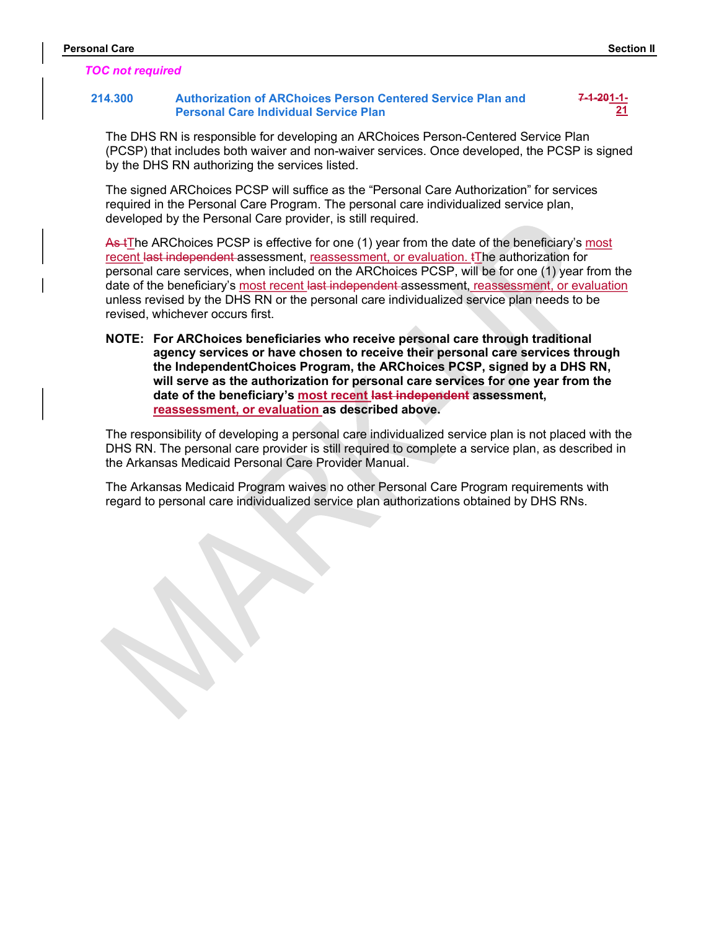#### TOC not required

# Personal Care<br>
TOC not required<br>
214.300 Authorization of ARChoices Person Centered Service Plan and<br>
Personal Care Individual Service Plan<br>
21 214.300 Authorization of ARChoices Person Centered Service Plan and Personal Care Individual Service Plan

7-1-201-1-  $21$ 

The DHS RN is responsible for developing an ARChoices Person-Centered Service Plan (PCSP) that includes both waiver and non-waiver services. Once developed, the PCSP is signed by the DHS RN authorizing the services listed.

The signed ARChoices PCSP will suffice as the "Personal Care Authorization" for services required in the Personal Care Program. The personal care individualized service plan, developed by the Personal Care provider, is still required.

As tThe ARChoices PCSP is effective for one (1) year from the date of the beneficiary's most recent last independent assessment, reassessment, or evaluation. tThe authorization for personal care services, when included on the ARChoices PCSP, will be for one (1) year from the date of the beneficiary's most recent last independent assessment, reassessment, or evaluation unless revised by the DHS RN or the personal care individualized service plan needs to be revised, whichever occurs first.

NOTE: For ARChoices beneficiaries who receive personal care through traditional agency services or have chosen to receive their personal care services through the IndependentChoices Program, the ARChoices PCSP, signed by a DHS RN, will serve as the authorization for personal care services for one year from the date of the beneficiary's most recent last independent assessment, reassessment, or evaluation as described above.

The responsibility of developing a personal care individualized service plan is not placed with the DHS RN. The personal care provider is still required to complete a service plan, as described in the Arkansas Medicaid Personal Care Provider Manual.

The Arkansas Medicaid Program waives no other Personal Care Program requirements with regard to personal care individualized service plan authorizations obtained by DHS RNs.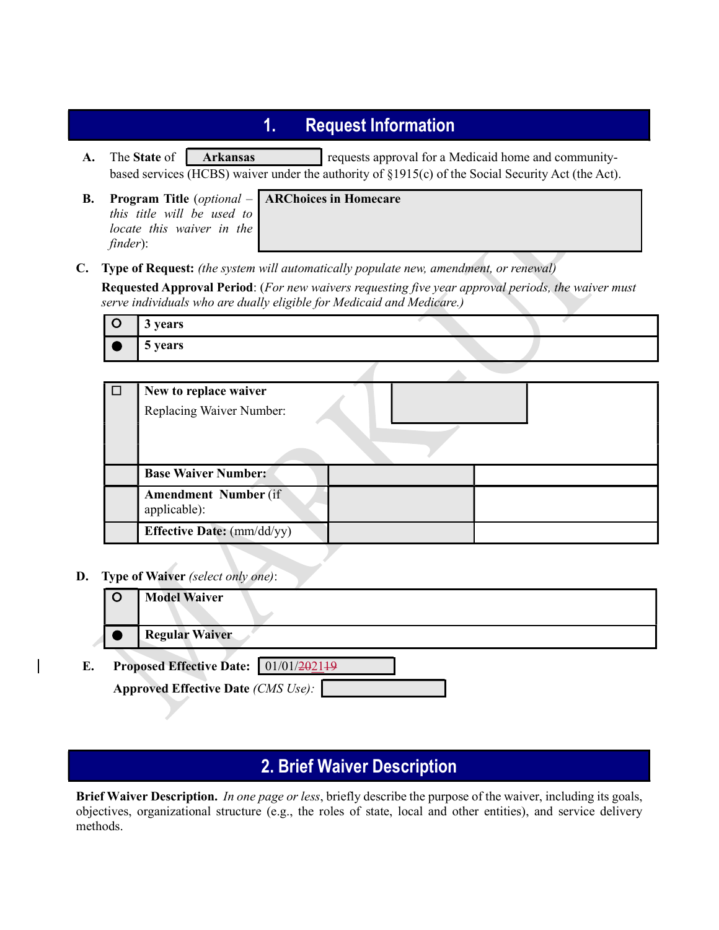- **1.** Request Information<br>
requests approval for a Medicaid home and community-<br>
runder the authority of  $\S1915(c)$  of the Social Security Act (the Act).<br>
ARChoices in Homecare A. The State of Arkansas requests approval for a Medicaid home and communitybased services (HCBS) waiver under the authority of §1915(c) of the Social Security Act (the Act). **1.** Request Information<br>
A. The State of **Arkansas** requests approval for a Medicaid home and<br>
based services (HCBS) waiver under the authority of §1915(c) of the Social Security<br>
B. Program Title (optional – **ARChoices**
- this title will be used to locate this waiver in the finder):

#### ARChoices in Homecare

|           |          | <b>Request Information</b><br>1.                                                                                                                                                              |
|-----------|----------|-----------------------------------------------------------------------------------------------------------------------------------------------------------------------------------------------|
| A.        |          | The State of<br>requests approval for a Medicaid home and community-<br><b>Arkansas</b><br>based services (HCBS) waiver under the authority of §1915(c) of the Social Security Act (the Act). |
| <b>B.</b> | finder): | <b>Program Title</b> ( <i>optional</i> $-$ <b>ARChoices in Homecare</b><br>this title will be used to<br>locate this waiver in the                                                            |
| C.        |          | Type of Request: (the system will automatically populate new, amendment, or renewal)                                                                                                          |
|           |          | <b>Requested Approval Period:</b> (For new waivers requesting five year approval periods, the waiver must<br>serve individuals who are dually eligible for Medicaid and Medicare.)            |
|           | $\circ$  | 3 years                                                                                                                                                                                       |
|           |          | 5 years                                                                                                                                                                                       |

| □ | New to replace waiver<br>Replacing Waiver Number: |
|---|---------------------------------------------------|
|   | <b>Base Waiver Number:</b>                        |
|   | <b>Amendment Number (if)</b><br>applicable):      |
|   | <b>Effective Date:</b> (mm/dd/yy)                 |

D. Type of Waiver (select only one):

|    | . .     |                                           |
|----|---------|-------------------------------------------|
|    | $\circ$ | <b>Model Waiver</b>                       |
|    |         | <b>Regular Waiver</b>                     |
| E. |         | Proposed Effective Date: 01/01/202149     |
|    |         | <b>Approved Effective Date (CMS Use):</b> |

# 2. Brief Waiver Description

Brief Waiver Description. In one page or less, briefly describe the purpose of the waiver, including its goals, objectives, organizational structure (e.g., the roles of state, local and other entities), and service delivery methods.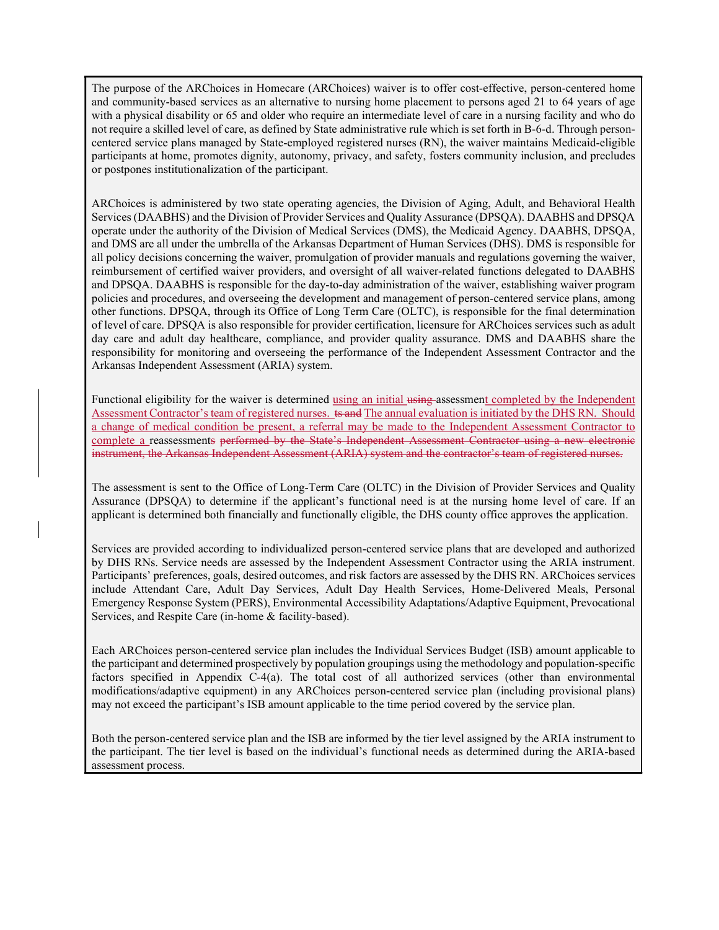The purpose of the ARChoices in Homecare (ARChoices) waiver is to offer cost-effective, person-centered home and community-based services as an alternative to nursing home placement to persons aged 21 to 64 years of age The purpose of the ARChoices in Homecare (ARChoices) waiver is to offer cost-effective, person-centered home and community-based services as an alternative to nursing home placement to persons aged 21 to 64 years of age wi not require a skilled level of care, as defined by State administrative rule which is set forth in B-6-d. Through personcentered service plans managed by State-employed registered nurses (RN), the waiver maintains Medicaid-eligible participants at home, promotes dignity, autonomy, privacy, and safety, fosters community inclusion, and precludes or postpones institutionalization of the participant. The purpose of the ARChoices in Homecare (ARChoices) waiver is to offer cost-effective, person-centered home<br>and community-based services an Hormcative to nursing home placement to persons aged 21 to 64 years of age<br>with a

Services (DAABHS) and the Division of Provider Services and Quality Assurance (DPSQA). DAABHS and DPSQA operate under the authority of the Division of Medical Services (DMS), the Medicaid Agency. DAABHS, DPSQA, and DMS are all under the umbrella of the Arkansas Department of Human Services (DHS). DMS is responsible for all policy decisions concerning the waiver, promulgation of provider manuals and regulations governing the waiver, reimbursement of certified waiver providers, and oversight of all waiver-related functions delegated to DAABHS and DPSQA. DAABHS is responsible for the day-to-day administration of the waiver, establishing waiver program policies and procedures, and overseeing the development and management of person-centered service plans, among other functions. DPSQA, through its Office of Long Term Care (OLTC), is responsible for the final determination of level of care. DPSQA is also responsible for provider certification, licensure for ARChoices services such as adult day care and adult day healthcare, compliance, and provider quality assurance. DMS and DAABHS share the responsibility for monitoring and overseeing the performance of the Independent Assessment Contractor and the Arkansas Independent Assessment (ARIA) system.

Functional eligibility for the waiver is determined using an initial using assessment completed by the Independent Assessment Contractor's team of registered nurses. ts and The annual evaluation is initiated by the DHS RN. Should a change of medical condition be present, a referral may be made to the Independent Assessment Contractor to complete a reassessments performed by the State's Independent Assessment Contractor using a new electronic instrument, the Arkansas Independent Assessment (ARIA) system and the contractor's team of registered nurses.

The assessment is sent to the Office of Long-Term Care (OLTC) in the Division of Provider Services and Quality Assurance (DPSQA) to determine if the applicant's functional need is at the nursing home level of care. If an applicant is determined both financially and functionally eligible, the DHS county office approves the application.

Services are provided according to individualized person-centered service plans that are developed and authorized by DHS RNs. Service needs are assessed by the Independent Assessment Contractor using the ARIA instrument. Participants' preferences, goals, desired outcomes, and risk factors are assessed by the DHS RN. ARChoices services include Attendant Care, Adult Day Services, Adult Day Health Services, Home-Delivered Meals, Personal Emergency Response System (PERS), Environmental Accessibility Adaptations/Adaptive Equipment, Prevocational Services, and Respite Care (in-home & facility-based).

Each ARChoices person-centered service plan includes the Individual Services Budget (ISB) amount applicable to the participant and determined prospectively by population groupings using the methodology and population-specific factors specified in Appendix C-4(a). The total cost of all authorized services (other than environmental modifications/adaptive equipment) in any ARChoices person-centered service plan (including provisional plans) may not exceed the participant's ISB amount applicable to the time period covered by the service plan.

Both the person-centered service plan and the ISB are informed by the tier level assigned by the ARIA instrument to the participant. The tier level is based on the individual's functional needs as determined during the ARIA-based assessment process.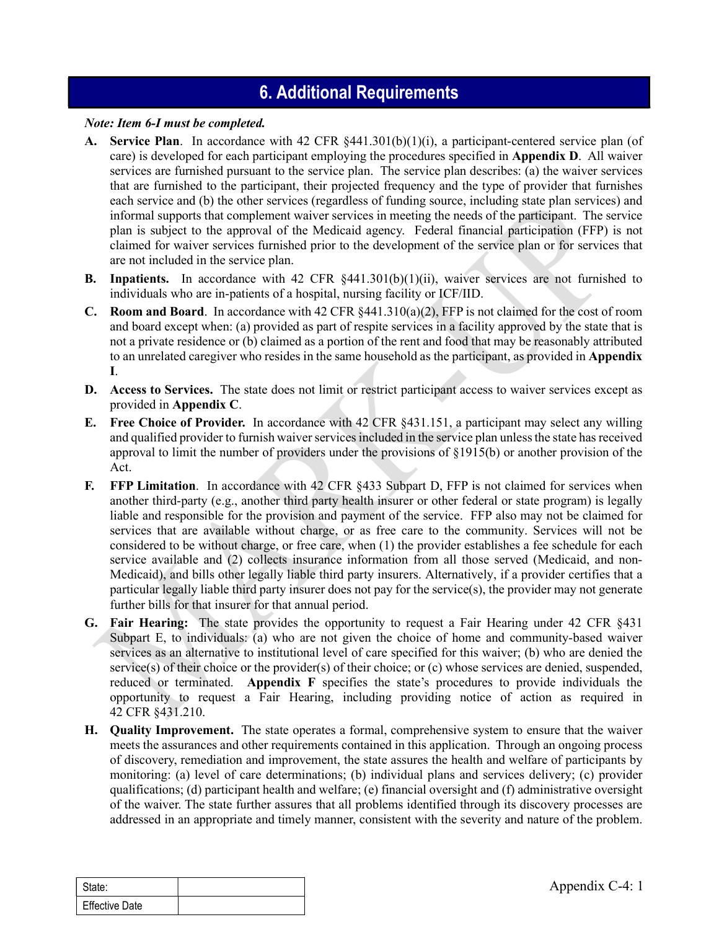# 6. Additional Requirements

#### Note: Item 6-I must be completed.

- A. Service Plan. In accordance with 42 CFR §441.301(b)(1)(i), a participant-centered service plan (of care) is developed for each participant employing the procedures specified in Appendix D. All waiver services are furnished pursuant to the service plan. The service plan describes: (a) the waiver services that are furnished to the participant, their projected frequency and the type of provider that furnishes each service and (b) the other services (regardless of funding source, including state plan services) and informal supports that complement waiver services in meeting the needs of the participant. The service plan is subject to the approval of the Medicaid agency. Federal financial participation (FFP) is not claimed for waiver services furnished prior to the development of the service plan or for services that are not included in the service plan.
- B. Inpatients. In accordance with 42 CFR §441.301(b)(1)(ii), waiver services are not furnished to individuals who are in-patients of a hospital, nursing facility or ICF/IID.
- **C.** Room and Board. In accordance with 42 CFR  $\S 441.310(a)(2)$ , FFP is not claimed for the cost of room and board except when: (a) provided as part of respite services in a facility approved by the state that is not a private residence or (b) claimed as a portion of the rent and food that may be reasonably attributed to an unrelated caregiver who resides in the same household as the participant, as provided in **Appendix** I.
- D. Access to Services. The state does not limit or restrict participant access to waiver services except as provided in Appendix C.
- E. Free Choice of Provider. In accordance with 42 CFR §431.151, a participant may select any willing and qualified provider to furnish waiver services included in the service plan unless the state has received approval to limit the number of providers under the provisions of §1915(b) or another provision of the Act.
- F. FFP Limitation. In accordance with 42 CFR §433 Subpart D, FFP is not claimed for services when another third-party (e.g., another third party health insurer or other federal or state program) is legally liable and responsible for the provision and payment of the service. FFP also may not be claimed for services that are available without charge, or as free care to the community. Services will not be considered to be without charge, or free care, when (1) the provider establishes a fee schedule for each service available and (2) collects insurance information from all those served (Medicaid, and non-Medicaid), and bills other legally liable third party insurers. Alternatively, if a provider certifies that a particular legally liable third party insurer does not pay for the service(s), the provider may not generate further bills for that insurer for that annual period.
- G. Fair Hearing: The state provides the opportunity to request a Fair Hearing under 42 CFR §431 Subpart E, to individuals: (a) who are not given the choice of home and community-based waiver services as an alternative to institutional level of care specified for this waiver; (b) who are denied the service(s) of their choice or the provider(s) of their choice; or (c) whose services are denied, suspended, reduced or terminated. Appendix F specifies the state's procedures to provide individuals the opportunity to request a Fair Hearing, including providing notice of action as required in 42 CFR §431.210.
- further bills for that insurer for that annual period.<br> **G.** Fair Hearing: The state provides the opportunity to request a Fair Hearing under<br>
Subpart E, to individuals: (a) who are not given the choice of home and commun H. Quality Improvement. The state operates a formal, comprehensive system to ensure that the waiver meets the assurances and other requirements contained in this application. Through an ongoing process of discovery, remediation and improvement, the state assures the health and welfare of participants by monitoring: (a) level of care determinations; (b) individual plans and services delivery; (c) provider qualifications; (d) participant health and welfare; (e) financial oversight and (f) administrative oversight of the waiver. The state further assures that all problems identified through its discovery processes are addressed in an appropriate and timely manner, consistent with the severity and nature of the problem.

| <sup>'</sup> State:   |  |
|-----------------------|--|
| <b>Effective Date</b> |  |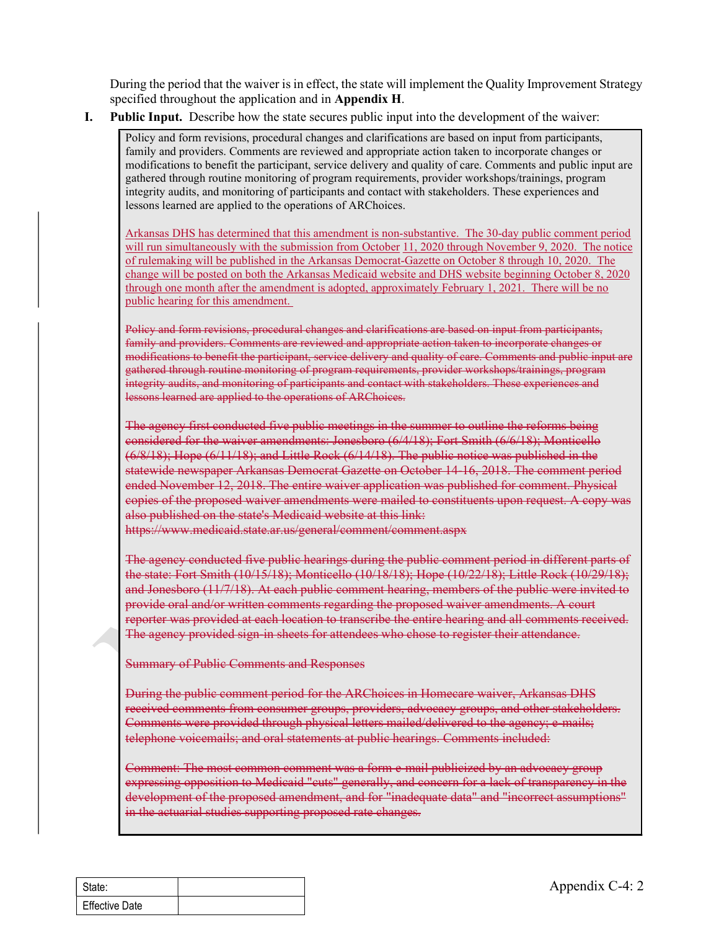specified throughout the application and in Appendix H.

I. Public Input. Describe how the state secures public input into the development of the waiver:

During the period that the waiver is in effect, the state will implement the Quality Improvement Strategy<br>specified throughout the application and in **Appendix H**.<br>**Public Input.** Describe how the state secures public inpu Policy and form revisions, procedural changes and clarifications are based on input from participants, family and providers. Comments are reviewed and appropriate action taken to incorporate changes or modifications to benefit the participant, service delivery and quality of care. Comments and public input are gathered through routine monitoring of program requirements, provider workshops/trainings, program integrity audits, and monitoring of participants and contact with stakeholders. These experiences and lessons learned are applied to the operations of ARChoices.

ring the period that the waiver is in effect, the state will implement the Quality Improvement Strategy<br>cified throughout the application and in Appendix H.<br>Die Input. Describe how the state secures public input into the d will run simultaneously with the submission from October 11, 2020 through November 9, 2020. The notice of rulemaking will be published in the Arkansas Democrat-Gazette on October 8 through 10, 2020. The change will be posted on both the Arkansas Medicaid website and DHS website beginning October 8, 2020 tring the period that the waiver is in effect, the state will implement the Quality Improvement Strategy<br>circled throughout the application and in Appendix H.<br>Height and the month and the product and in Appendix H.<br>Policy public hearing for this amendment.

Policy and form revisions, procedural changes and clarifications are based on input from participants, family and providers. Comments are reviewed and appropriate action taken to incorporate changes or modifications to benefit the participant, service delivery and quality of care. Comments and public input are gathered through routine monitoring of program requirements, provider workshops/trainings, program integrity audits, and monitoring of participants and contact with stakeholders. These experiences and lessons learned are applied to the operations of ARChoices.

The agency first conducted five public meetings in the summer to outline the reforms being considered for the waiver amendments: Jonesboro (6/4/18); Fort Smith (6/6/18); Monticello (6/8/18); Hope (6/11/18); and Little Rock (6/14/18). The public notice was published in the statewide newspaper Arkansas Democrat Gazette on October 14-16, 2018. The comment period ended November 12, 2018. The entire waiver application was published for comment. Physical copies of the proposed waiver amendments were mailed to constituents upon request. A copy was also published on the state's Medicaid website at this link:

https://www.medicaid.state.ar.us/general/comment/comment.aspx

The agency conducted five public hearings during the public comment period in different parts of the state: Fort Smith (10/15/18); Monticello (10/18/18); Hope (10/22/18); Little Rock (10/29/18); and Jonesboro (11/7/18). At each public comment hearing, members of the public were invited to provide oral and/or written comments regarding the proposed waiver amendments. A court reporter was provided at each location to transcribe the entire hearing and all comments received. The agency provided sign-in sheets for attendees who chose to register their attendance.

Summary of Public Comments and Responses

During the public comment period for the ARChoices in Homecare waiver, Arkansas DHS received comments from consumer groups, providers, advocacy groups, and other stakeholders. Comments were provided through physical letters mailed/delivered to the agency; e-mails; telephone voicemails; and oral statements at public hearings. Comments included:

provide oral and/or written comments regarding the proposed waiver amendments. A<br>reporter was provided at each location to transcribe the entire hearing and all comment<br>The agency provided sign in sheets for attendees who Comment: The most common comment was a form e-mail publicized by an advocacy group expressing opposition to Medicaid "cuts" generally, and concern for a lack of transparency in the development of the proposed amendment, and for "inadequate data" and "incorrect assumptions" in the actuarial studies supporting proposed rate changes.

| State:                |  |
|-----------------------|--|
| <b>Effective Date</b> |  |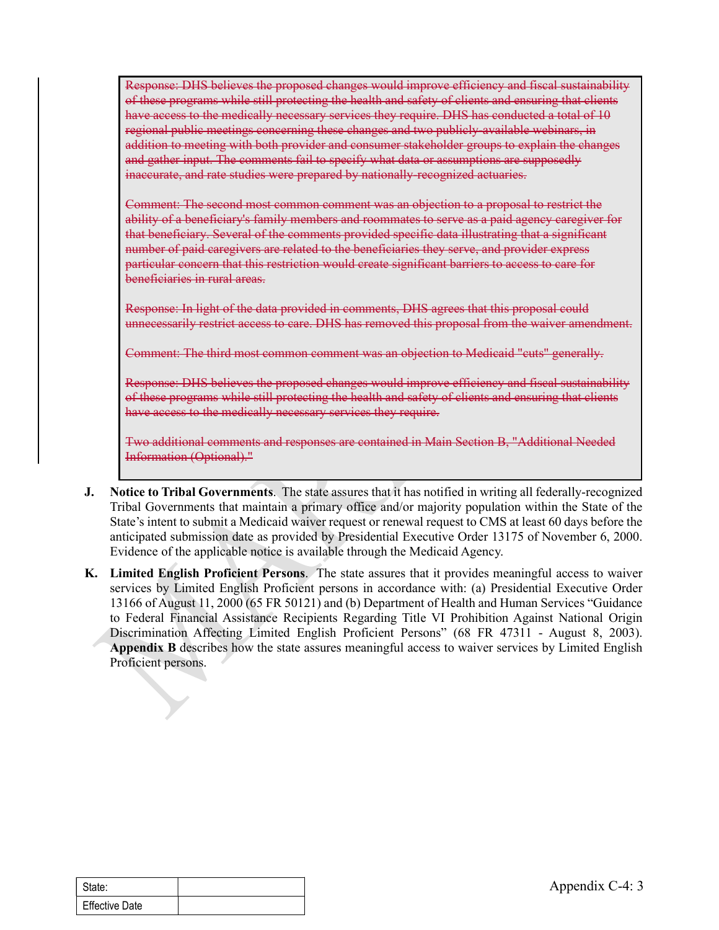Response: DHS believes the proposed changes would improve efficiency and fiscal sustainability of these programs while still protecting the health and safety of clients and ensuring that clients have access to the medically necessary services they require. DHS has conducted a total of 10 regional public meetings concerning these changes and two publicly-available webinars, in addition to meeting with both provider and consumer stakeholder groups to explain the changes and gather input. The comments fail to specify what data or assumptions are supposedly inaccurate, and rate studies were prepared by nationally-recognized actuaries. of these pregnams while still protecting the health and safety of clients and ensuring that eleants<br>have access to the medically mecessary services they require. DHS has conducted a total of 10<br>regional public meetings con

Comment: The second most common comment was an objection to a proposal to restrict the ability of a beneficiary's family members and roommates to serve as a paid agency caregiver for that beneficiary. Several of the comments provided specific data illustrating that a significant number of paid caregivers are related to the beneficiaries they serve, and provider express particular concern that this restriction would create significant barriers to access to care for beneficiaries in rural areas.

Response: In light of the data provided in comments, DHS agrees that this proposal could unnecessarily restrict access to care. DHS has removed this proposal from the waiver amendment.

Comment: The third most common comment was an objection to Medicaid "cuts" generally.

Response: DHS believes the proposed changes would improve efficiency and fiscal sustainability have access to the medically necessary services they require.

Two additional comments and responses are contained in Main Section B, "Additional Needed Information (Optional)."

- J. Notice to Tribal Governments. The state assures that it has notified in writing all federally-recognized Tribal Governments that maintain a primary office and/or majority population within the State of the State's intent to submit a Medicaid waiver request or renewal request to CMS at least 60 days before the anticipated submission date as provided by Presidential Executive Order 13175 of November 6, 2000. Evidence of the applicable notice is available through the Medicaid Agency.
- 13166 of August 11, 2000 (65 FR 50121) and (b) Department of Health and Human Service Federal Financial Assistance Recipients Regarding Title VI Prohibition Against N<br>Discrimination Affecting Limited English Proficient Per K. Limited English Proficient Persons. The state assures that it provides meaningful access to waiver services by Limited English Proficient persons in accordance with: (a) Presidential Executive Order 13166 of August 11, 2000 (65 FR 50121) and (b) Department of Health and Human Services "Guidance to Federal Financial Assistance Recipients Regarding Title VI Prohibition Against National Origin Discrimination Affecting Limited English Proficient Persons" (68 FR 47311 - August 8, 2003). Appendix B describes how the state assures meaningful access to waiver services by Limited English Proficient persons.

| l State:              |  |
|-----------------------|--|
| <b>Effective Date</b> |  |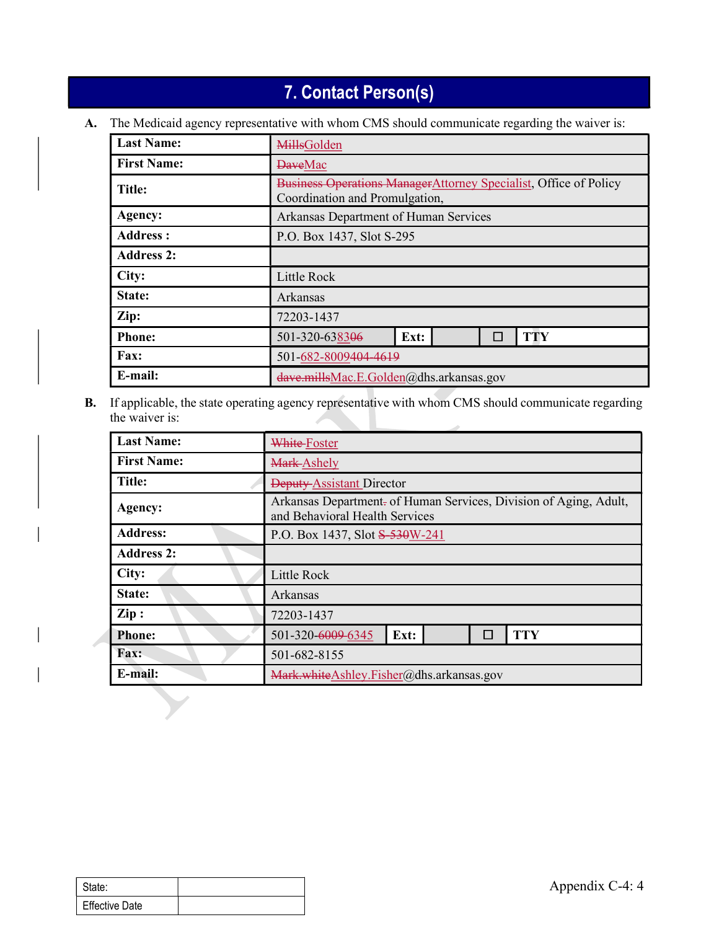# 7. Contact Person(s)

|                    | 7. Contact Person(s)                                                                                |                 |  |  |
|--------------------|-----------------------------------------------------------------------------------------------------|-----------------|--|--|
|                    |                                                                                                     |                 |  |  |
| <b>Last Name:</b>  | The Medicaid agency representative with whom CMS should communicate regarding the waiver is:        |                 |  |  |
| <b>First Name:</b> | <b>MillsGolden</b>                                                                                  |                 |  |  |
|                    | <b>DaveMac</b>                                                                                      |                 |  |  |
| <b>Title:</b>      | Business Operations ManagerAttorney Specialist, Office of Policy<br>Coordination and Promulgation,  |                 |  |  |
| Agency:            | Arkansas Department of Human Services                                                               |                 |  |  |
| <b>Address:</b>    | P.O. Box 1437, Slot S-295                                                                           |                 |  |  |
| <b>Address 2:</b>  |                                                                                                     |                 |  |  |
| City:              | Little Rock                                                                                         |                 |  |  |
| State:             | Arkansas                                                                                            |                 |  |  |
| Zip:               | 72203-1437                                                                                          |                 |  |  |
| <b>Phone:</b>      | 501-320-638306<br>Ext:                                                                              | <b>TTY</b><br>П |  |  |
| Fax:               | 501-682-8009404-4619                                                                                |                 |  |  |
| E-mail:            | dave.millsMac.E.Golden@dhs.arkansas.gov                                                             |                 |  |  |
| the waiver is:     | If applicable, the state operating agency representative with whom CMS should communicate regarding |                 |  |  |
|                    |                                                                                                     |                 |  |  |
| <b>Last Name:</b>  |                                                                                                     | White-Foster    |  |  |
| <b>First Name:</b> |                                                                                                     | Mark-Ashely     |  |  |
| Title:             | Deputy-Assistant Director                                                                           |                 |  |  |
| Agency:            | Arkansas Department- of Human Services, Division of Aging, Adult,<br>and Behavioral Health Services |                 |  |  |
| Address:           | P.O. Box 1437, Slot <del>S 530W-241</del>                                                           |                 |  |  |

| <b>First Name:</b><br>Mark-Ashely<br><b>Title:</b><br>Deputy-Assistant Director<br>Arkansas Department- of Human Services, Division of Aging, Adult,<br>Agency:<br>and Behavioral Health Services<br><b>Address:</b><br>P.O. Box 1437, Slot \$530W-241<br><b>Address 2:</b><br>City:<br>Little Rock<br>State:<br>Arkansas<br>$\mathbf{Zip}:$<br>72203-1437<br>501-320-6009-6345<br><b>TTY</b><br>Ext:<br><b>Phone:</b><br>$\Box$ |
|----------------------------------------------------------------------------------------------------------------------------------------------------------------------------------------------------------------------------------------------------------------------------------------------------------------------------------------------------------------------------------------------------------------------------------|
|                                                                                                                                                                                                                                                                                                                                                                                                                                  |
|                                                                                                                                                                                                                                                                                                                                                                                                                                  |
|                                                                                                                                                                                                                                                                                                                                                                                                                                  |
|                                                                                                                                                                                                                                                                                                                                                                                                                                  |
|                                                                                                                                                                                                                                                                                                                                                                                                                                  |
|                                                                                                                                                                                                                                                                                                                                                                                                                                  |
|                                                                                                                                                                                                                                                                                                                                                                                                                                  |
|                                                                                                                                                                                                                                                                                                                                                                                                                                  |
|                                                                                                                                                                                                                                                                                                                                                                                                                                  |
| Fax:<br>501-682-8155                                                                                                                                                                                                                                                                                                                                                                                                             |
| E-mail:<br>Mark.whiteAshley.Fisher@dhs.arkansas.gov                                                                                                                                                                                                                                                                                                                                                                              |
|                                                                                                                                                                                                                                                                                                                                                                                                                                  |
|                                                                                                                                                                                                                                                                                                                                                                                                                                  |
| Appendix C-4: 4<br><b>Effective Date</b>                                                                                                                                                                                                                                                                                                                                                                                         |

| State:                |  |
|-----------------------|--|
| <b>Effective Date</b> |  |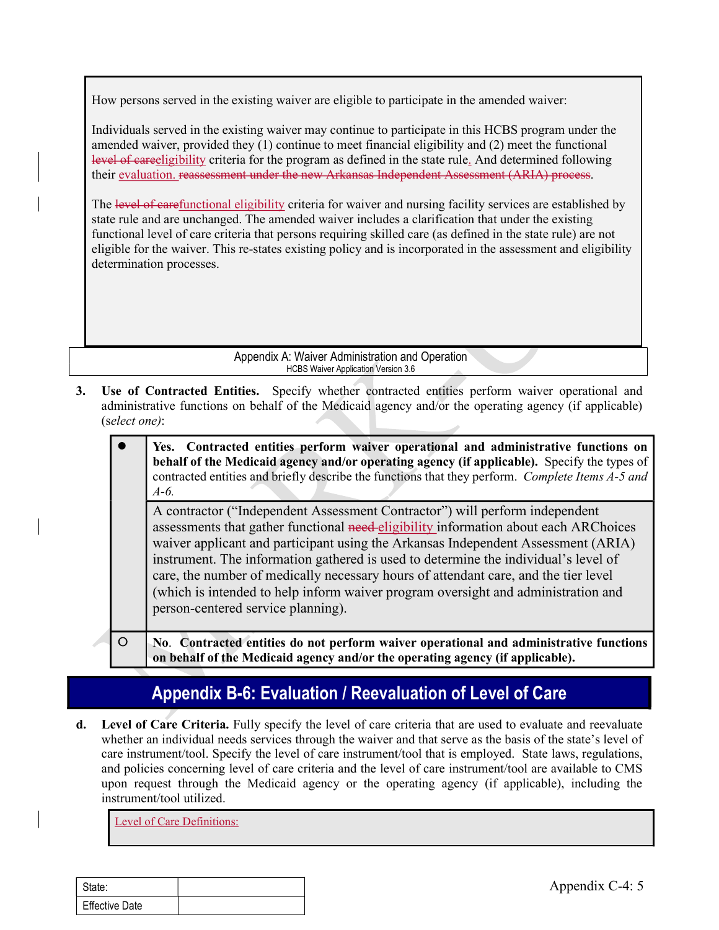How persons served in the existing waiver are eligible to participate in the amended waiver:

Individuals served in the existing waiver may continue to participate in this HCBS program under the amended waiver, provided they (1) continue to meet financial eligibility and (2) meet the functional level of careeligibility criteria for the program as defined in the state rule. And determined following

their <u>evaluation.</u> reassessment under the new Arkansas Independent Assessment (ARIA) process.<br>The level of carefunctional eligibility criteria for waiver and nursing facility services are established by state rule and are unchanged. The amended waiver includes a clarification that under the existing functional level of care criteria that persons requiring skilled care (as defined in the state rule) are not eligible for the waiver. This re-states existing policy and is incorporated in the assessment and eligibility determination processes. How persons served in the existing waiver are eligible to participate in this HCBS program under the<br>
annehold waiver, provided they (1) continue to meet financial eligibility and (2) meet the functional<br>  $\frac{1}{2}$  week o

administrative functions on behalf of the Medicaid agency and/or the operating agency (if applicable) (select one):

| nended waiver, provided they $(1)$ continue to meet financial eligibility and $(2)$ meet the functional<br>vel of eare eligibility criteria for the program as defined in the state rule. And determined following<br>eir evaluation. reassessment under the new Arkansas Independent Assessment (ARIA) process. |                                                                                                                                                                                                                                                                                                                                                                                                                                                                                                                                                                   |  |  |
|------------------------------------------------------------------------------------------------------------------------------------------------------------------------------------------------------------------------------------------------------------------------------------------------------------------|-------------------------------------------------------------------------------------------------------------------------------------------------------------------------------------------------------------------------------------------------------------------------------------------------------------------------------------------------------------------------------------------------------------------------------------------------------------------------------------------------------------------------------------------------------------------|--|--|
|                                                                                                                                                                                                                                                                                                                  | the level of earefunctional eligibility criteria for waiver and nursing facility services are established by<br>the rule and are unchanged. The amended waiver includes a clarification that under the existing<br>nctional level of care criteria that persons requiring skilled care (as defined in the state rule) are not<br>gible for the waiver. This re-states existing policy and is incorporated in the assessment and eligibility<br>termination processes.                                                                                             |  |  |
|                                                                                                                                                                                                                                                                                                                  | Appendix A: Waiver Administration and Operation<br><b>HCBS Waiver Application Version 3.6</b>                                                                                                                                                                                                                                                                                                                                                                                                                                                                     |  |  |
| (select one):                                                                                                                                                                                                                                                                                                    | Use of Contracted Entities. Specify whether contracted entities perform waiver operational and<br>administrative functions on behalf of the Medicaid agency and/or the operating agency (if applicable)                                                                                                                                                                                                                                                                                                                                                           |  |  |
|                                                                                                                                                                                                                                                                                                                  | Yes. Contracted entities perform waiver operational and administrative functions on<br>behalf of the Medicaid agency and/or operating agency (if applicable). Specify the types of<br>contracted entities and briefly describe the functions that they perform. Complete Items A-5 and<br>$A-6.$                                                                                                                                                                                                                                                                  |  |  |
|                                                                                                                                                                                                                                                                                                                  | A contractor ("Independent Assessment Contractor") will perform independent<br>assessments that gather functional need-eligibility information about each ARChoices<br>waiver applicant and participant using the Arkansas Independent Assessment (ARIA)<br>instrument. The information gathered is used to determine the individual's level of<br>care, the number of medically necessary hours of attendant care, and the tier level<br>(which is intended to help inform waiver program oversight and administration and<br>person-centered service planning). |  |  |
| $\circ$                                                                                                                                                                                                                                                                                                          | No. Contracted entities do not perform waiver operational and administrative functions<br>on behalf of the Medicaid agency and/or the operating agency (if applicable).                                                                                                                                                                                                                                                                                                                                                                                           |  |  |

# Appendix B-6: Evaluation / Reevaluation of Level of Care

Fraction Contracted entities do not perform waiver operational and administration of the Medicaid agency and/or the operating agency (if applicable<br> **Appendix B-6: Evaluation / Reevaluation of Level of Care**<br> **Care** Criter d. Level of Care Criteria. Fully specify the level of care criteria that are used to evaluate and reevaluate whether an individual needs services through the waiver and that serve as the basis of the state's level of care instrument/tool. Specify the level of care instrument/tool that is employed. State laws, regulations, and policies concerning level of care criteria and the level of care instrument/tool are available to CMS upon request through the Medicaid agency or the operating agency (if applicable), including the instrument/tool utilized.

Level of Care Definitions:

| State:                |  |
|-----------------------|--|
| <b>Effective Date</b> |  |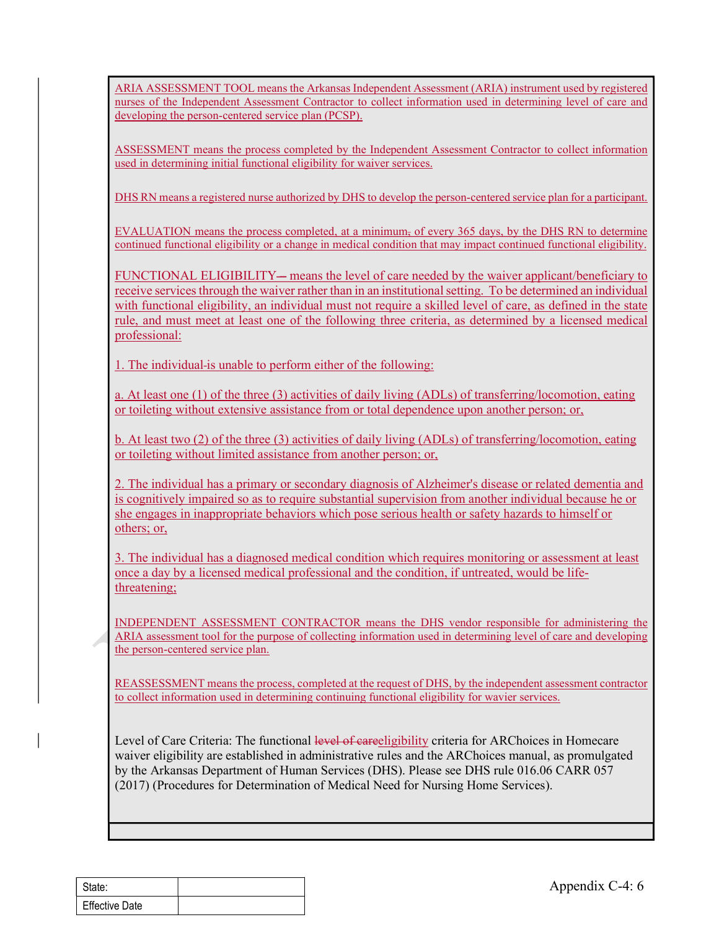ARIA ASSESSMENT TOOL means the Arkansas Independent Assessment (ARIA) instrument used by registered nurses of the Independent Assessment Contractor to collect information used in determining level of care and developing the person-centered service plan (PCSP). ARIA ASSESSMENT TOOL means the Arkansas Independent Assessment (ARIA) instrument used by<br>nurses of the Independent Assessment Contractor to collect information used in determining level<br>developing the person-centered servi

ASSESSMENT means the process completed by the Independent Assessment Contractor to collect information used in determining initial functional eligibility for waiver services.

DHS RN means a registered nurse authorized by DHS to develop the person-centered service plan for a participant.

EVALUATION means the process completed, at a minimum, of every 365 days, by the DHS RN to determine continued functional eligibility or a change in medical condition that may impact continued functional eligibility.

FUNCTIONAL ELIGIBILITY – means the level of care needed by the waiver applicant/beneficiary to receive services through the waiver rather than in an institutional setting. To be determined an individual with functional eligibility, an individual must not require a skilled level of care, as defined in the state rule, and must meet at least one of the following three criteria, as determined by a licensed medical professional:

1. The individual is unable to perform either of the following:

a. At least one (1) of the three (3) activities of daily living (ADLs) of transferring/locomotion, eating or toileting without extensive assistance from or total dependence upon another person; or,

b. At least two (2) of the three (3) activities of daily living (ADLs) of transferring/locomotion, eating or toileting without limited assistance from another person; or,

2. The individual has a primary or secondary diagnosis of Alzheimer's disease or related dementia and is cognitively impaired so as to require substantial supervision from another individual because he or she engages in inappropriate behaviors which pose serious health or safety hazards to himself or others; or,

3. The individual has a diagnosed medical condition which requires monitoring or assessment at least once a day by a licensed medical professional and the condition, if untreated, would be lifethreatening;

INDEPENDENT ASSESSMENT CONTRACTOR means the DHS vendor responsible for administering the ARIA assessment tool for the purpose of collecting information used in determining level of care and developing the person-centered service plan.

REASSESSMENT means the process, completed at the request of DHS, by the independent assessment contractor to collect information used in determining continuing functional eligibility for wavier services.

INDEPENDENT ASSESSMENT CONTRACTOR means the DHS vendor responsible for a<br>
ARIA assessment tool for the purpose of collecting information used in determining level of can<br>
the person-centered service plan.<br>
EEASSESSMENT mea Level of Care Criteria: The functional level of careeligibility criteria for ARChoices in Homecare waiver eligibility are established in administrative rules and the ARChoices manual, as promulgated by the Arkansas Department of Human Services (DHS). Please see DHS rule 016.06 CARR 057 (2017) (Procedures for Determination of Medical Need for Nursing Home Services).

| State:                |  |
|-----------------------|--|
| <b>Effective Date</b> |  |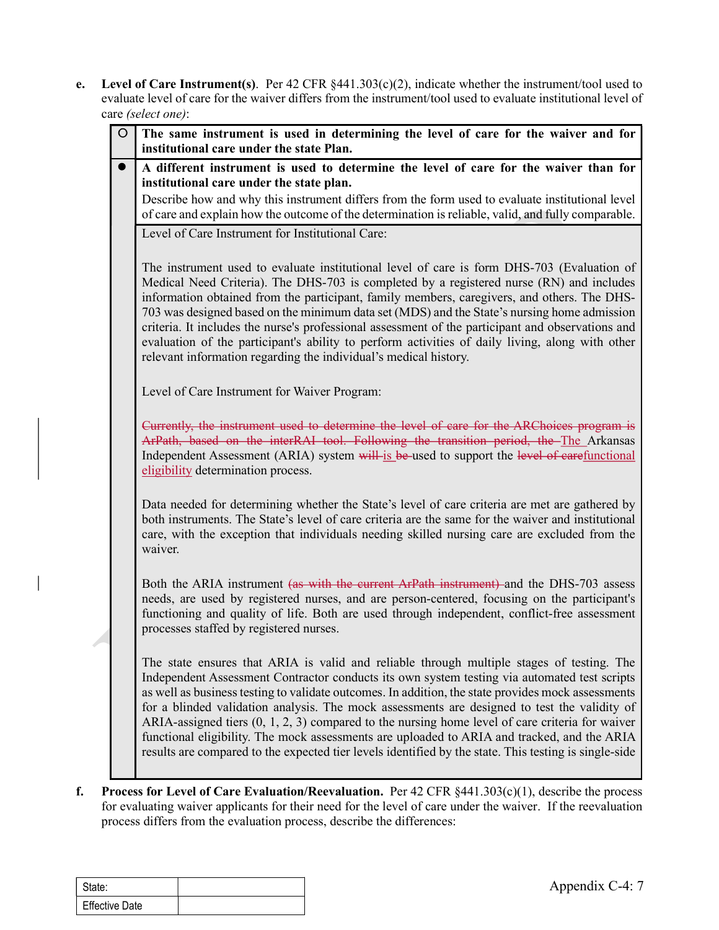e. Level of Care Instrument(s). Per 42 CFR §441.303(c)(2), indicate whether the instrument/tool used to evaluate level of care for the waiver differs from the instrument/tool used to evaluate institutional level of care evaluate level of care for the waiver differs from the instrument/tool used to evaluate institutional level of care (select one):

| $\circ$        | The same instrument is used in determining the level of care for the waiver and for<br>institutional care under the state Plan.                                                                                                                                                                                                                                                                                                                                                                                                                                                                                                                                                                              |
|----------------|--------------------------------------------------------------------------------------------------------------------------------------------------------------------------------------------------------------------------------------------------------------------------------------------------------------------------------------------------------------------------------------------------------------------------------------------------------------------------------------------------------------------------------------------------------------------------------------------------------------------------------------------------------------------------------------------------------------|
| $\bullet$      | A different instrument is used to determine the level of care for the waiver than for<br>institutional care under the state plan.<br>Describe how and why this instrument differs from the form used to evaluate institutional level                                                                                                                                                                                                                                                                                                                                                                                                                                                                         |
|                | of care and explain how the outcome of the determination is reliable, valid, and fully comparable.                                                                                                                                                                                                                                                                                                                                                                                                                                                                                                                                                                                                           |
|                | Level of Care Instrument for Institutional Care:                                                                                                                                                                                                                                                                                                                                                                                                                                                                                                                                                                                                                                                             |
|                | The instrument used to evaluate institutional level of care is form DHS-703 (Evaluation of<br>Medical Need Criteria). The DHS-703 is completed by a registered nurse (RN) and includes<br>information obtained from the participant, family members, caregivers, and others. The DHS-<br>703 was designed based on the minimum data set (MDS) and the State's nursing home admission<br>criteria. It includes the nurse's professional assessment of the participant and observations and<br>evaluation of the participant's ability to perform activities of daily living, along with other<br>relevant information regarding the individual's medical history.                                             |
|                | Level of Care Instrument for Waiver Program:                                                                                                                                                                                                                                                                                                                                                                                                                                                                                                                                                                                                                                                                 |
|                | Currently, the instrument used to determine the level of care for the ARChoices program is<br>ArPath, based on the interRAI tool. Following the transition period, the The Arkansas<br>Independent Assessment (ARIA) system will is be-used to support the level of earefunctional<br>eligibility determination process.                                                                                                                                                                                                                                                                                                                                                                                     |
|                | Data needed for determining whether the State's level of care criteria are met are gathered by<br>both instruments. The State's level of care criteria are the same for the waiver and institutional<br>care, with the exception that individuals needing skilled nursing care are excluded from the<br>waiver.                                                                                                                                                                                                                                                                                                                                                                                              |
|                | Both the ARIA instrument (as with the current ArPath instrument) and the DHS-703 assess<br>needs, are used by registered nurses, and are person-centered, focusing on the participant's<br>functioning and quality of life. Both are used through independent, conflict-free assessment<br>processes staffed by registered nurses.                                                                                                                                                                                                                                                                                                                                                                           |
|                | The state ensures that ARIA is valid and reliable through multiple stages of testing. The<br>Independent Assessment Contractor conducts its own system testing via automated test scripts<br>as well as business testing to validate outcomes. In addition, the state provides mock assessments<br>for a blinded validation analysis. The mock assessments are designed to test the validity of<br>ARIA-assigned tiers $(0, 1, 2, 3)$ compared to the nursing home level of care criteria for waiver<br>functional eligibility. The mock assessments are uploaded to ARIA and tracked, and the ARIA<br>results are compared to the expected tier levels identified by the state. This testing is single-side |
|                | <b>Process for Level of Care Evaluation/Reevaluation.</b> Per $42$ CFR $\S441.303(c)(1)$ , describe the process<br>for evaluating waiver applicants for their need for the level of care under the waiver. If the reevaluation<br>process differs from the evaluation process, describe the differences:                                                                                                                                                                                                                                                                                                                                                                                                     |
|                |                                                                                                                                                                                                                                                                                                                                                                                                                                                                                                                                                                                                                                                                                                              |
| State:         | Appendix C-4: 7                                                                                                                                                                                                                                                                                                                                                                                                                                                                                                                                                                                                                                                                                              |
| Effective Date |                                                                                                                                                                                                                                                                                                                                                                                                                                                                                                                                                                                                                                                                                                              |

| State:                |  |
|-----------------------|--|
| <b>Effective Date</b> |  |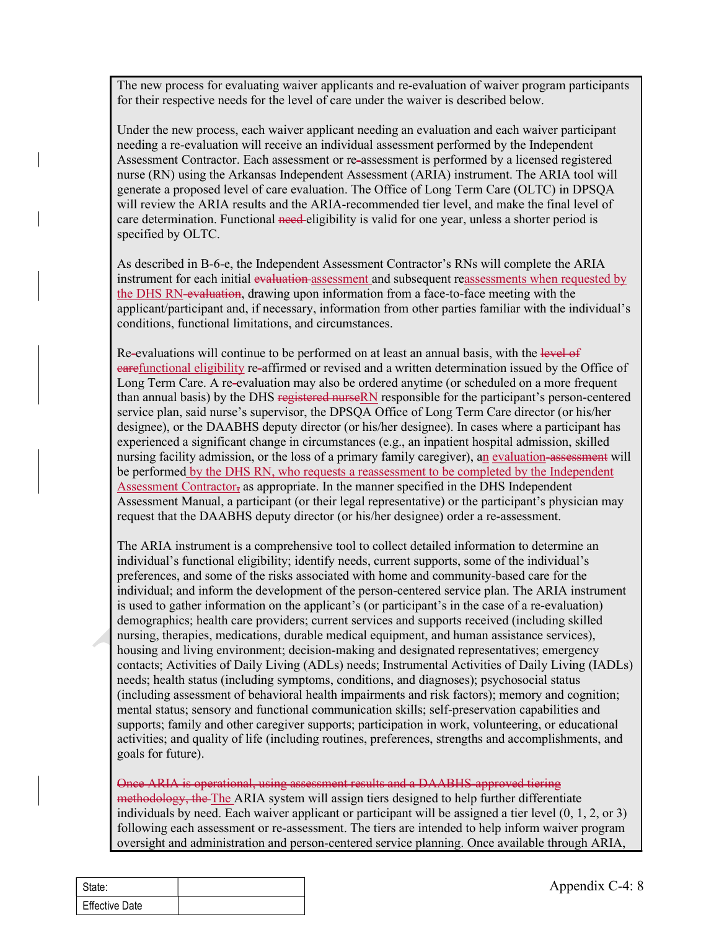The new process for evaluating waiver applicants and re-evaluation of waiver program participants for their respective needs for the level of care under the waiver is described below.

Under the new process, each waiver applicant needing an evaluation and each waiver participant needing a re-evaluation will receive an individual assessment performed by the Independent Assessment Contractor. Each assessment or re-assessment is performed by a licensed registered nurse (RN) using the Arkansas Independent Assessment (ARIA) instrument. The ARIA tool will generate a proposed level of care evaluation. The Office of Long Term Care (OLTC) in DPSQA will review the ARIA results and the ARIA-recommended tier level, and make the final level of care determination. Functional need-eligibility is valid for one year, unless a shorter period is specified by OLTC.

As described in B-6-e, the Independent Assessment Contractor's RNs will complete the ARIA instrument for each initial evaluation assessment and subsequent reassessments when requested by the DHS RN-evaluation, drawing upon information from a face-to-face meeting with the applicant/participant and, if necessary, information from other parties familiar with the individual's conditions, functional limitations, and circumstances.

Re-evaluations will continue to be performed on at least an annual basis, with the level of carefunctional eligibility re-affirmed or revised and a written determination issued by the Office of Long Term Care. A re-evaluation may also be ordered anytime (or scheduled on a more frequent than annual basis) by the DHS registered nurseRN responsible for the participant's person-centered service plan, said nurse's supervisor, the DPSQA Office of Long Term Care director (or his/her designee), or the DAABHS deputy director (or his/her designee). In cases where a participant has experienced a significant change in circumstances (e.g., an inpatient hospital admission, skilled nursing facility admission, or the loss of a primary family caregiver), an evaluation-assessment will be performed by the DHS RN, who requests a reassessment to be completed by the Independent Assessment Contractor, as appropriate. In the manner specified in the DHS Independent Assessment Manual, a participant (or their legal representative) or the participant's physician may request that the DAABHS deputy director (or his/her designee) order a re-assessment.

is used to gather information on the applicant's (or participant's in the case of a re-eval demographics; helath care providers; current services and supports received (including thrapises, medications, durable medical equ The ARIA instrument is a comprehensive tool to collect detailed information to determine an individual's functional eligibility; identify needs, current supports, some of the individual's preferences, and some of the risks associated with home and community-based care for the individual; and inform the development of the person-centered service plan. The ARIA instrument is used to gather information on the applicant's (or participant's in the case of a re-evaluation) demographics; health care providers; current services and supports received (including skilled nursing, therapies, medications, durable medical equipment, and human assistance services), housing and living environment; decision-making and designated representatives; emergency contacts; Activities of Daily Living (ADLs) needs; Instrumental Activities of Daily Living (IADLs) needs; health status (including symptoms, conditions, and diagnoses); psychosocial status (including assessment of behavioral health impairments and risk factors); memory and cognition; mental status; sensory and functional communication skills; self-preservation capabilities and supports; family and other caregiver supports; participation in work, volunteering, or educational activities; and quality of life (including routines, preferences, strengths and accomplishments, and goals for future).

Once ARIA is operational, using assessment results and a DAABHS-approved tiering methodology, the The ARIA system will assign tiers designed to help further differentiate individuals by need. Each waiver applicant or participant will be assigned a tier level (0, 1, 2, or 3) following each assessment or re-assessment. The tiers are intended to help inform waiver program oversight and administration and person-centered service planning. Once available through ARIA,

| State:                |  |
|-----------------------|--|
| <b>Effective Date</b> |  |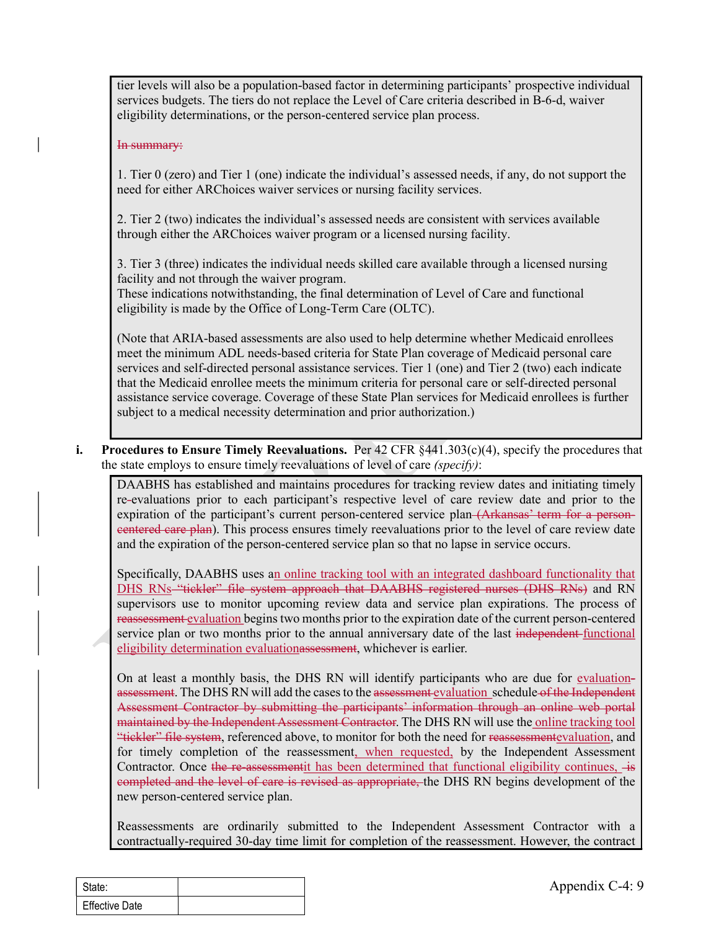tier levels will also be a population-based factor in determining participants' prospective individual services budgets. The tiers do not replace the Level of Care criteria described in B-6-d, waiver eligibility determinations, or the person-centered service plan process.

#### In summary:

1. Tier 0 (zero) and Tier 1 (one) indicate the individual's assessed needs, if any, do not support the need for either ARChoices waiver services or nursing facility services.

2. Tier 2 (two) indicates the individual's assessed needs are consistent with services available through either the ARChoices waiver program or a licensed nursing facility.

3. Tier 3 (three) indicates the individual needs skilled care available through a licensed nursing facility and not through the waiver program.

These indications notwithstanding, the final determination of Level of Care and functional eligibility is made by the Office of Long-Term Care (OLTC).

(Note that ARIA-based assessments are also used to help determine whether Medicaid enrollees meet the minimum ADL needs-based criteria for State Plan coverage of Medicaid personal care services and self-directed personal assistance services. Tier 1 (one) and Tier 2 (two) each indicate that the Medicaid enrollee meets the minimum criteria for personal care or self-directed personal assistance service coverage. Coverage of these State Plan services for Medicaid enrollees is further subject to a medical necessity determination and prior authorization.)

i. Procedures to Ensure Timely Reevaluations. Per  $42$  CFR  $\S 441.303(c)(4)$ , specify the procedures that the state employs to ensure timely reevaluations of level of care (specify):

DAABHS has established and maintains procedures for tracking review dates and initiating timely re-evaluations prior to each participant's respective level of care review date and prior to the expiration of the participant's current person-centered service plan (Arkansas' term for a personeentered care plan). This process ensures timely reevaluations prior to the level of care review date and the expiration of the person-centered service plan so that no lapse in service occurs.

Specifically, DAABHS uses an online tracking tool with an integrated dashboard functionality that DHS RNs "tickler" file system approach that DAABHS registered nurses (DHS RNs) and RN supervisors use to monitor upcoming review data and service plan expirations. The process of reassessment evaluation begins two months prior to the expiration date of the current person-centered service plan or two months prior to the annual anniversary date of the last independent functional eligibility determination evaluationassessment, whichever is earlier.

supervisors use to monitor upcoming review data and service plan expirations. The reassessment evaluation begins two months prior to the expiration date of the current per service plan or two months prior to the annual ann On at least a monthly basis, the DHS RN will identify participants who are due for evaluationassessment. The DHS RN will add the cases to the assessment evaluation schedule of the Independent Assessment Contractor by submitting the participants' information through an online web portal maintained by the Independent Assessment Contractor. The DHS RN will use the online tracking tool "tickler" file system, referenced above, to monitor for both the need for reassessmentevaluation, and for timely completion of the reassessment, when requested, by the Independent Assessment Contractor. Once the re-assessmentit has been determined that functional eligibility continues,  $\overline{a}$ completed and the level of care is revised as appropriate, the DHS RN begins development of the new person-centered service plan.

Reassessments are ordinarily submitted to the Independent Assessment Contractor with a contractually-required 30-day time limit for completion of the reassessment. However, the contract

| State:                |  |
|-----------------------|--|
| <b>Effective Date</b> |  |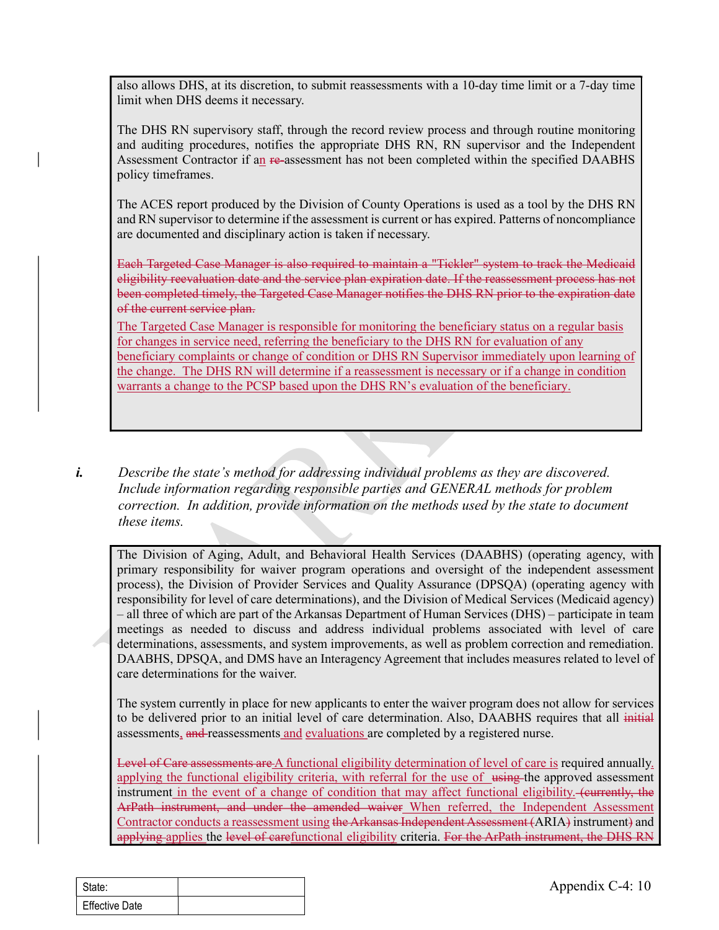also allows DHS, at its discretion, to submit reassessments with a 10-day time limit or a 7-day time limit when DHS deems it necessary.

The DHS RN supervisory staff, through the record review process and through routine monitoring and auditing procedures, notifies the appropriate DHS RN, RN supervisor and the Independent Assessment Contractor if an re-assessment has not been completed within the specified DAABHS policy timeframes.

The ACES report produced by the Division of County Operations is used as a tool by the DHS RN and RN supervisor to determine if the assessment is current or has expired. Patterns of noncompliance are documented and disciplinary action is taken if necessary.

Each Targeted Case Manager is also required to maintain a "Tickler" system to track the Medicaid eligibility reevaluation date and the service plan expiration date. If the reassessment process has not been completed timely, the Targeted Case Manager notifies the DHS RN prior to the expiration date of the current service plan.

The Targeted Case Manager is responsible for monitoring the beneficiary status on a regular basis for changes in service need, referring the beneficiary to the DHS RN for evaluation of any beneficiary complaints or change of condition or DHS RN Supervisor immediately upon learning of also allows DHS, at its discretion, to submit reassessments with a 10-day time limit or a 7-day time<br>limit when DHS deems it necessary.<br>The DHS RN supervisory staff, through the record review process and through routine mo warrants a change to the PCSP based upon the DHS RN's evaluation of the beneficiary.

i. Describe the state's method for addressing individual problems as they are discovered. Include information regarding responsible parties and GENERAL methods for problem correction. In addition, provide information on the methods used by the state to document these items.

The Division of Aging, Adult, and Behavioral Health Services (DAABHS) (operating agency, with primary responsibility for waiver program operations and oversight of the independent assessment process), the Division of Provider Services and Quality Assurance (DPSQA) (operating agency with responsibility for level of care determinations), and the Division of Medical Services (Medicaid agency) – all three of which are part of the Arkansas Department of Human Services (DHS) – participate in team meetings as needed to discuss and address individual problems associated with level of care determinations, assessments, and system improvements, as well as problem correction and remediation. DAABHS, DPSQA, and DMS have an Interagency Agreement that includes measures related to level of care determinations for the waiver.

The system currently in place for new applicants to enter the waiver program does not allow for services to be delivered prior to an initial level of care determination. Also, DAABHS requires that all initial assessments, and reassessments and evaluations are completed by a registered nurse.

responsibility for level of care determinations), and the Division of Medical Services (MHS) – paral three of which are part of the Arkansas Department of Human Services (DHS) – paretings as needed to discuss and address Level of Care assessments are A functional eligibility determination of level of care is required annually. applying the functional eligibility criteria, with referral for the use of using the approved assessment instrument in the event of a change of condition that may affect functional eligibility. (eurrently, the ArPath instrument, and under the amended waiver When referred, the Independent Assessment Contractor conducts a reassessment using the Arkansas Independent Assessment (ARIA) instrument) and applying applies the level of carefunctional eligibility criteria. For the ArPath instrument, the DHS RN

| State:                |  |
|-----------------------|--|
| <b>Effective Date</b> |  |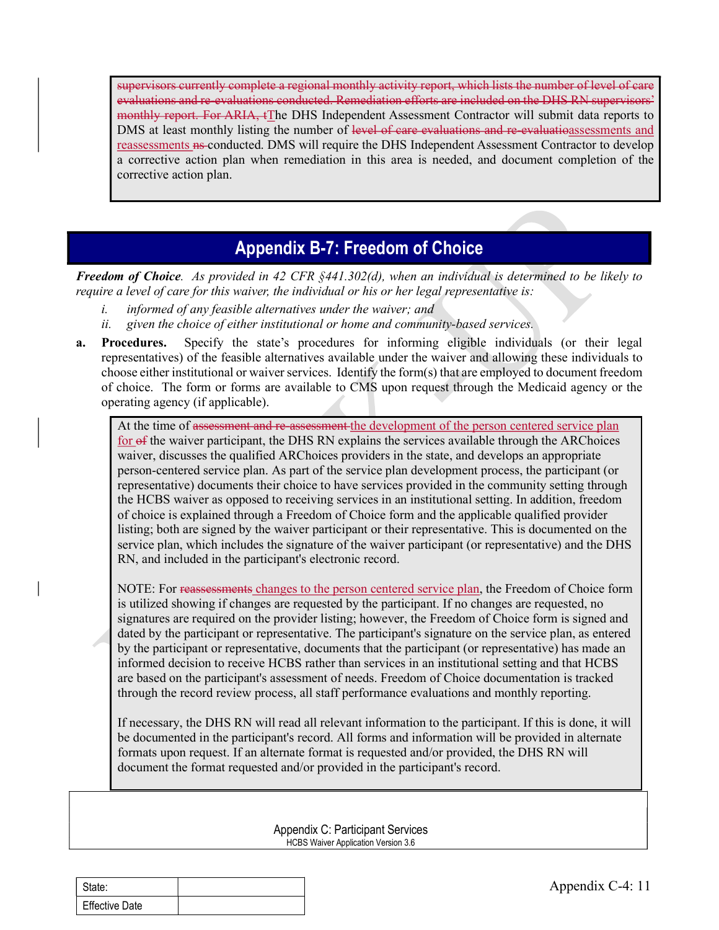supervisors currently complete a regional monthly activity report, which lists the number of level of care evaluations and re-evaluations conducted. Remediation efforts are included on the DHS RN supervisors' monthly report. For ARIA, tThe DHS Independent Assessment Contractor will submit data reports to DMS at least monthly listing the number of level of care evaluations and re-evaluations sessments and reassessments <del>ns</del>-conducted. DMS will require the DHS Independent Assessment Contractor to develop a corrective action plan when remediation in this area is needed, and document completion of the corrective action plan.

#### Appendix B-7: Freedom of Choice

**Freedom of Choice.** As provided in 42 CFR  $\frac{6441.302}{d}$ , when an individual is determined to be likely to require a level of care for this waiver, the individual or his or her legal representative is:

- informed of any feasible alternatives under the waiver; and
- ii. given the choice of either institutional or home and community-based services.
- a. Procedures. Specify the state's procedures for informing eligible individuals (or their legal representatives) of the feasible alternatives available under the waiver and allowing these individuals to choose either institutional or waiver services. Identify the form(s) that are employed to document freedom of choice. The form or forms are available to CMS upon request through the Medicaid agency or the operating agency (if applicable).

DMS at least monthly listing the number of level-of-care-evaluations-and-re-valuations-assessments and<br>reassessments are conducted. DMS will require the DHS Independent Assessment Contractor to develop<br>a corrective action for of the waiver participant, the DHS RN explains the services available through the ARChoices waiver, discusses the qualified ARChoices providers in the state, and develops an appropriate person-centered service plan. As part of the service plan development process, the participant (or representative) documents their choice to have services provided in the community setting through the HCBS waiver as opposed to receiving services in an institutional setting. In addition, freedom of choice is explained through a Freedom of Choice form and the applicable qualified provider listing; both are signed by the waiver participant or their representative. This is documented on the service plan, which includes the signature of the waiver participant (or representative) and the DHS RN, and included in the participant's electronic record. a level of care for this waiver, the individual or his or her legal representative is:<br> *ufformed of any peachle alternatives under the waiver; and*<br> *given the choice of either institutional or home and community-based se* 

is utilized showing if changes are requested by the participant. If no changes are requese signatures are required on the provider listing; however, the Freedom of Choice form is detected by the participant or representat is utilized showing if changes are requested by the participant. If no changes are requested, no signatures are required on the provider listing; however, the Freedom of Choice form is signed and dated by the participant or representative. The participant's signature on the service plan, as entered by the participant or representative, documents that the participant (or representative) has made an informed decision to receive HCBS rather than services in an institutional setting and that HCBS are based on the participant's assessment of needs. Freedom of Choice documentation is tracked through the record review process, all staff performance evaluations and monthly reporting.

If necessary, the DHS RN will read all relevant information to the participant. If this is done, it will be documented in the participant's record. All forms and information will be provided in alternate formats upon request. If an alternate format is requested and/or provided, the DHS RN will document the format requested and/or provided in the participant's record.

> Appendix C: Participant Services HCBS Waiver Application Version 3.6

| State:         |  |
|----------------|--|
| Effective Date |  |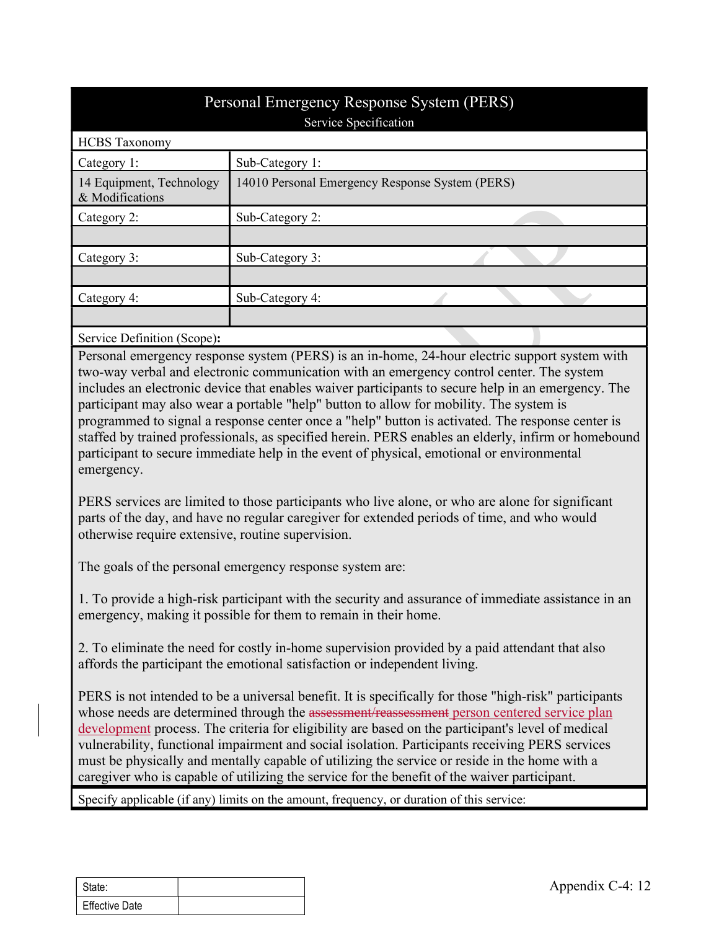|                                             | Personal Emergency Response System (PERS)                                                     |
|---------------------------------------------|-----------------------------------------------------------------------------------------------|
|                                             | Service Specification                                                                         |
| <b>HCBS</b> Taxonomy                        |                                                                                               |
| Category 1:                                 | Sub-Category 1:                                                                               |
| 14 Equipment, Technology<br>& Modifications | 14010 Personal Emergency Response System (PERS)                                               |
| Category 2:                                 | Sub-Category 2:                                                                               |
|                                             |                                                                                               |
| Category 3:                                 | Sub-Category 3:                                                                               |
|                                             |                                                                                               |
| Category 4:                                 | Sub-Category 4:                                                                               |
|                                             |                                                                                               |
| Service Definition (Scope):                 |                                                                                               |
|                                             | Personal emergency response system (PERS) is an in-home, 24-hour electric support system with |
|                                             | two-way verbal and electronic communication with an emergency control center. The system      |

Personal emergency response system (PERS) is an in-home, 24-hour electric support system with two-way verbal and electronic communication with an emergency control center. The system includes an electronic device that enables waiver participants to secure help in an emergency. The participant may also wear a portable "help" button to allow for mobility. The system is programmed to signal a response center once a "help" button is activated. The response center is staffed by trained professionals, as specified herein. PERS enables an elderly, infirm or homebound participant to secure immediate help in the event of physical, emotional or environmental emergency.

PERS services are limited to those participants who live alone, or who are alone for significant parts of the day, and have no regular caregiver for extended periods of time, and who would otherwise require extensive, routine supervision.

The goals of the personal emergency response system are:

1. To provide a high-risk participant with the security and assurance of immediate assistance in an emergency, making it possible for them to remain in their home.

2. To eliminate the need for costly in-home supervision provided by a paid attendant that also affords the participant the emotional satisfaction or independent living.

Fraction of the security and assurance of immediate assistance of the security and assurance of immediate assistance or  $\lambda$ . To eliminate the need for costly in-home supervision provided by a paid attendant the flords th PERS is not intended to be a universal benefit. It is specifically for those "high-risk" participants programmed to signal a response center once a "help" button is activated. The response center is<br>staffed by trained professionals, as specified herein. PERS enables an elderly, infirm or homebound<br>participant to secure imm development process. The criteria for eligibility are based on the participant's level of medical vulnerability, functional impairment and social isolation. Participants receiving PERS services must be physically and mentally capable of utilizing the service or reside in the home with a caregiver who is capable of utilizing the service for the benefit of the waiver participant.

Specify applicable (if any) limits on the amount, frequency, or duration of this service:

| State:                |  |
|-----------------------|--|
| <b>Effective Date</b> |  |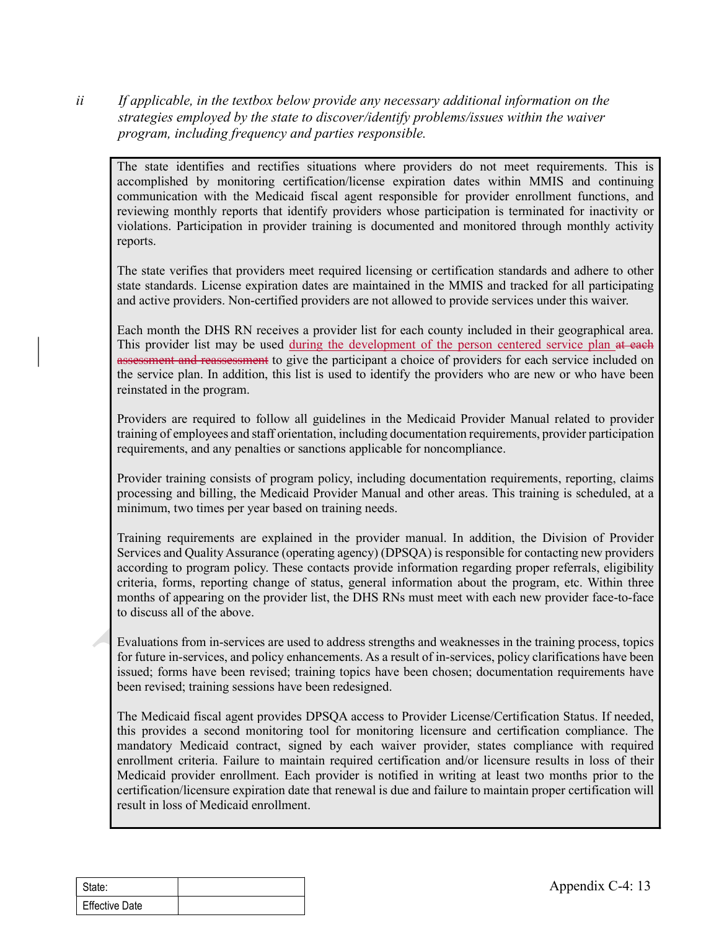ii If applicable, in the textbox below provide any necessary additional information on the strategies employed by the state to discover/identify problems/issues within the waiver program, including frequency and parties responsible.

The state identifies and rectifies situations where providers do not meet requirements. This is accomplished by monitoring certification/license expiration dates within MMIS and continuing *If applicable, in the textbox below provide any necessary additional information on the*<br>strategies employed by the state to discover/identify problems/issues within the waiver<br>program, including frequency and parties res reviewing monthly reports that identify providers whose participation is terminated for inactivity or violations. Participation in provider training is documented and monitored through monthly activity reports.

The state verifies that providers meet required licensing or certification standards and adhere to other state standards. License expiration dates are maintained in the MMIS and tracked for all participating and active providers. Non-certified providers are not allowed to provide services under this waiver.

Each month the DHS RN receives a provider list for each county included in their geographical area. This provider list may be used during the development of the person centered service plan at each assessment and reassessment to give the participant a choice of providers for each service included on the service plan. In addition, this list is used to identify the providers who are new or who have been reinstated in the program.

Providers are required to follow all guidelines in the Medicaid Provider Manual related to provider training of employees and staff orientation, including documentation requirements, provider participation requirements, and any penalties or sanctions applicable for noncompliance.

Provider training consists of program policy, including documentation requirements, reporting, claims processing and billing, the Medicaid Provider Manual and other areas. This training is scheduled, at a minimum, two times per year based on training needs.

Training requirements are explained in the provider manual. In addition, the Division of Provider Services and Quality Assurance (operating agency) (DPSQA) is responsible for contacting new providers according to program policy. These contacts provide information regarding proper referrals, eligibility criteria, forms, reporting change of status, general information about the program, etc. Within three months of appearing on the provider list, the DHS RNs must meet with each new provider face-to-face to discuss all of the above.

Evaluations from in-services are used to address strengths and weaknesses in the training process, topics for future in-services, and policy enhancements. As a result of in-services, policy clarifications have been issued; forms have been revised; training topics have been chosen; documentation requirements have been revised; training sessions have been redesigned.

moms of appearing on the provider inst, the DHS KNS must meet with each new provide discuss all of the above.<br>
Evaluations from in-services are used to address strengths and weaknesses in the training for future in-service The Medicaid fiscal agent provides DPSQA access to Provider License/Certification Status. If needed, this provides a second monitoring tool for monitoring licensure and certification compliance. The mandatory Medicaid contract, signed by each waiver provider, states compliance with required enrollment criteria. Failure to maintain required certification and/or licensure results in loss of their Medicaid provider enrollment. Each provider is notified in writing at least two months prior to the certification/licensure expiration date that renewal is due and failure to maintain proper certification will result in loss of Medicaid enrollment.

| State:                |  |
|-----------------------|--|
| <b>Effective Date</b> |  |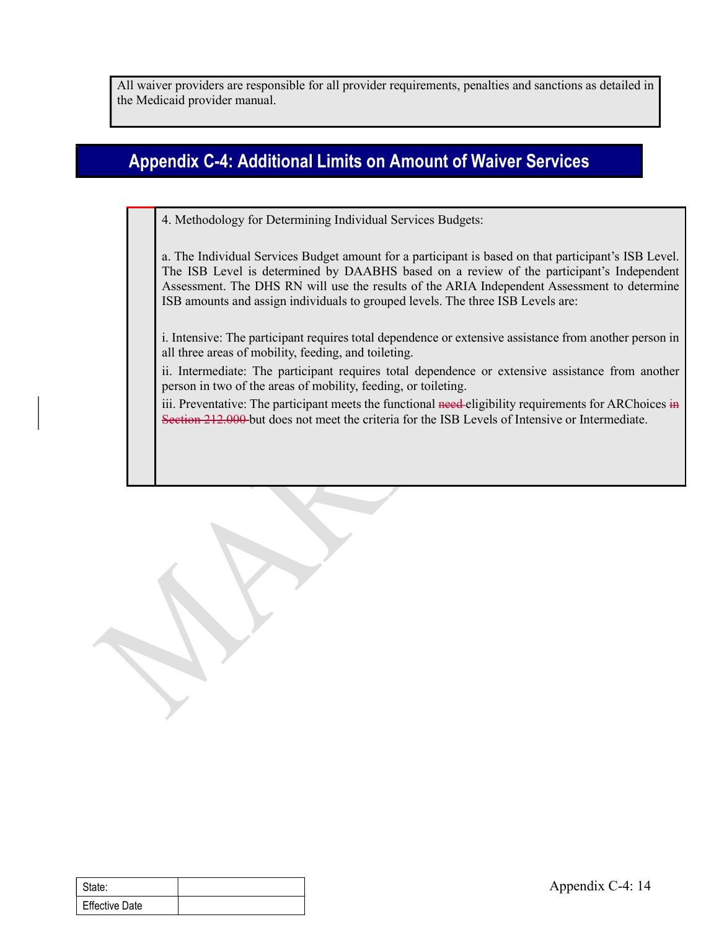All waiver providers are responsible for all provider requirements, penalties and sanctions as detailed in the Medicaid provider manual.

# Appendix C-4: Additional Limits on Amount of Waiver Services

4. Methodology for Determining Individual Services Budgets:

a. The Individual Services Budget amount for a participant is based on that participant's ISB Level. The ISB Level is determined by DAABHS based on a review of the participant's Independent Assessment. The DHS RN will use the results of the ARIA Independent Assessment to determine ISB amounts and assign individuals to grouped levels. The three ISB Levels are:

i. Intensive: The participant requires total dependence or extensive assistance from another person in all three areas of mobility, feeding, and toileting.

ii. Intermediate: The participant requires total dependence or extensive assistance from another person in two of the areas of mobility, feeding, or toileting.

iii. Preventative: The participant meets the functional need-eligibility requirements for ARChoices in Section 212.000 but does not meet the criteria for the ISB Levels of Intensive or Intermediate.

| State:         | Ap |
|----------------|----|
| Effective Date |    |
|                |    |
|                |    |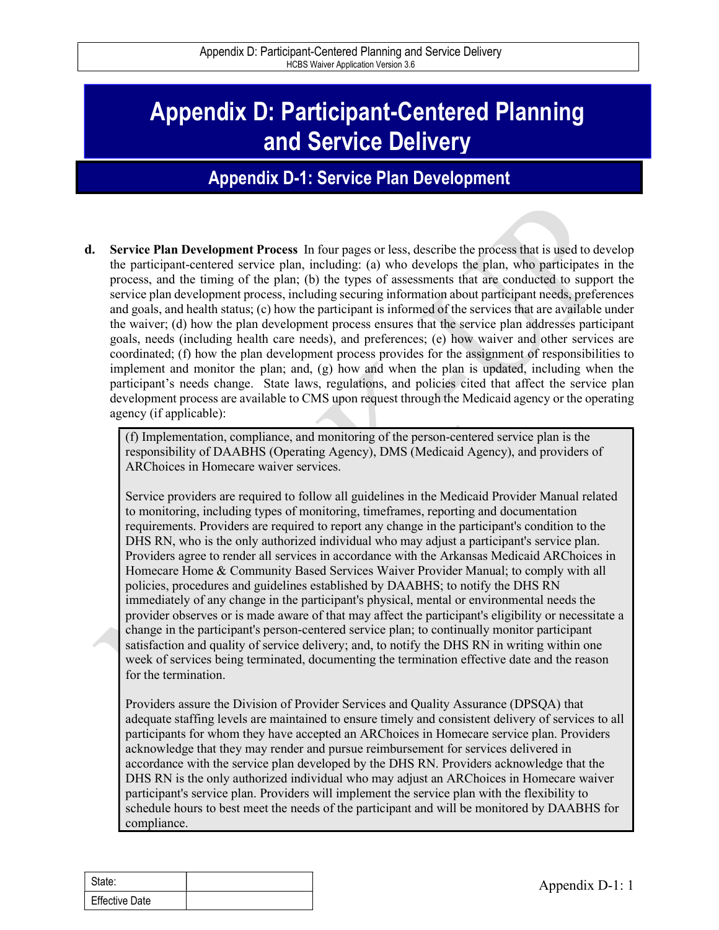# Appendix D: Participant-Centered Planning and Service Delivery

### Appendix D-1: Service Plan Development

Appendix D: Participant-Centered Planning and Service Delivery<br> **d. Service Plan Development**<br> **d. Service Plan Development**<br> **d. Service Plan Development Process** In four pages or less, describe the process that is used t the participant-centered service plan, including: (a) who develops the plan, who participates in the process, and the timing of the plan; (b) the types of assessments that are conducted to support the service plan development process, including securing information about participant needs, preferences and goals, and health status; (c) how the participant is informed of the services that are available under the waiver; (d) how the plan development process ensures that the service plan addresses participant goals, needs (including health care needs), and preferences; (e) how waiver and other services are coordinated; (f) how the plan development process provides for the assignment of responsibilities to implement and monitor the plan; and, (g) how and when the plan is updated, including when the participant's needs change. State laws, regulations, and policies cited that affect the service plan development process are available to CMS upon request through the Medicaid agency or the operating agency (if applicable): **Example 11 Service Delivery**<br> **Constant Constant Amely Constant Constant Amely** and the Medicinan Constant Amely to monitoring the person and the monitoring of the plan is the person and the person-centered service plan

responsibility of DAABHS (Operating Agency), DMS (Medicaid Agency), and providers of ARChoices in Homecare waiver services.

Service providers are required to follow all guidelines in the Medicaid Provider Manual related to monitoring, including types of monitoring, timeframes, reporting and documentation requirements. Providers are required to report any change in the participant's condition to the DHS RN, who is the only authorized individual who may adjust a participant's service plan. Providers agree to render all services in accordance with the Arkansas Medicaid ARChoices in Homecare Home & Community Based Services Waiver Provider Manual; to comply with all policies, procedures and guidelines established by DAABHS; to notify the DHS RN immediately of any change in the participant's physical, mental or environmental needs the provider observes or is made aware of that may affect the participant's eligibility or necessitate a change in the participant's person-centered service plan; to continually monitor participant satisfaction and quality of service delivery; and, to notify the DHS RN in writing within one week of services being terminated, documenting the termination effective date and the reason for the termination.

Fractional containers in the same of the metallished by DAABHS; to notify the DHS RN<br>policies, procedures and guidelines established by DAABHS; to notify the DHS RN<br>immediately of any change in the participant's physical, Providers assure the Division of Provider Services and Quality Assurance (DPSQA) that adequate staffing levels are maintained to ensure timely and consistent delivery of services to all participants for whom they have accepted an ARChoices in Homecare service plan. Providers acknowledge that they may render and pursue reimbursement for services delivered in accordance with the service plan developed by the DHS RN. Providers acknowledge that the DHS RN is the only authorized individual who may adjust an ARChoices in Homecare waiver participant's service plan. Providers will implement the service plan with the flexibility to schedule hours to best meet the needs of the participant and will be monitored by DAABHS for compliance.

| State:                |  |
|-----------------------|--|
| <b>Effective Date</b> |  |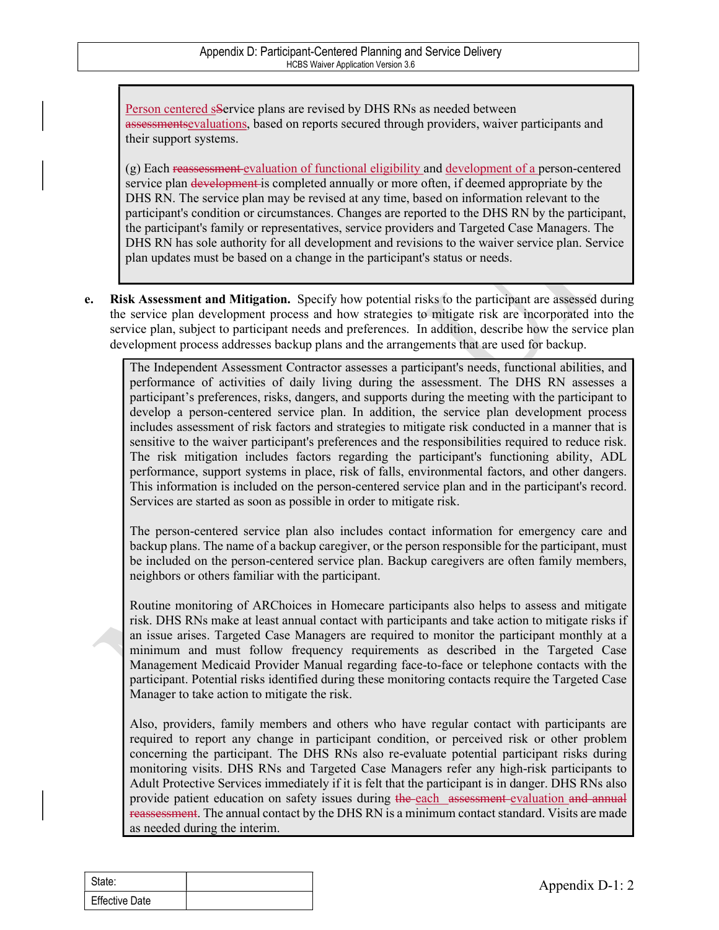Person centered sService plans are revised by DHS RNs as needed between assessmentsevaluations, based on reports secured through providers, waiver participants and their support systems.

Appendix D: Participant-Centered Planning and Service Delivery<br>
HCBS Walver Application Version 3.6<br>
Person centered Service plans are revised by DHS RNs as needed between<br>
assessments evaluations, based on reports secured service plan development is completed annually or more often, if deemed appropriate by the DHS RN. The service plan may be revised at any time, based on information relevant to the participant's condition or circumstances. Changes are reported to the DHS RN by the participant, the participant's family or representatives, service providers and Targeted Case Managers. The DHS RN has sole authority for all development and revisions to the waiver service plan. Service plan updates must be based on a change in the participant's status or needs.

e. Risk Assessment and Mitigation. Specify how potential risks to the participant are assessed during the service plan development process and how strategies to mitigate risk are incorporated into the service plan, subject to participant needs and preferences. In addition, describe how the service plan development process addresses backup plans and the arrangements that are used for backup.

The Independent Assessment Contractor assesses a participant's needs, functional abilities, and performance of activities of daily living during the assessment. The DHS RN assesses a participant's preferences, risks, dangers, and supports during the meeting with the participant to develop a person-centered service plan. In addition, the service plan development process includes assessment of risk factors and strategies to mitigate risk conducted in a manner that is sensitive to the waiver participant's preferences and the responsibilities required to reduce risk. The risk mitigation includes factors regarding the participant's functioning ability, ADL performance, support systems in place, risk of falls, environmental factors, and other dangers. This information is included on the person-centered service plan and in the participant's record. Services are started as soon as possible in order to mitigate risk.

The person-centered service plan also includes contact information for emergency care and backup plans. The name of a backup caregiver, or the person responsible for the participant, must be included on the person-centered service plan. Backup caregivers are often family members, neighbors or others familiar with the participant.

Routine monitoring of ARChoices in Homecare participants also helps to assess and mitigate risk. DHS RNs make at least annual contact with participants and take action to mitigate risks if an issue arises. Targeted Case Managers are required to monitor the participant monthly at a minimum and must follow frequency requirements as described in the Targeted Case Management Medicaid Provider Manual regarding face-to-face or telephone contacts with the participant. Potential risks identified during these monitoring contacts require the Targeted Case Manager to take action to mitigate the risk.

neighbors or others tamiliar with the participant.<br>
Routine monitoring of ARChoices in Homecare participants also helps to assess an exist. DHS RNs make at least amual contact with participants and take action to mitigat i Also, providers, family members and others who have regular contact with participants are required to report any change in participant condition, or perceived risk or other problem concerning the participant. The DHS RNs also re-evaluate potential participant risks during monitoring visits. DHS RNs and Targeted Case Managers refer any high-risk participants to Adult Protective Services immediately if it is felt that the participant is in danger. DHS RNs also provide patient education on safety issues during the each assessment evaluation and annual reassessment. The annual contact by the DHS RN is a minimum contact standard. Visits are made as needed during the interim.

| State:                |  |
|-----------------------|--|
| <b>Effective Date</b> |  |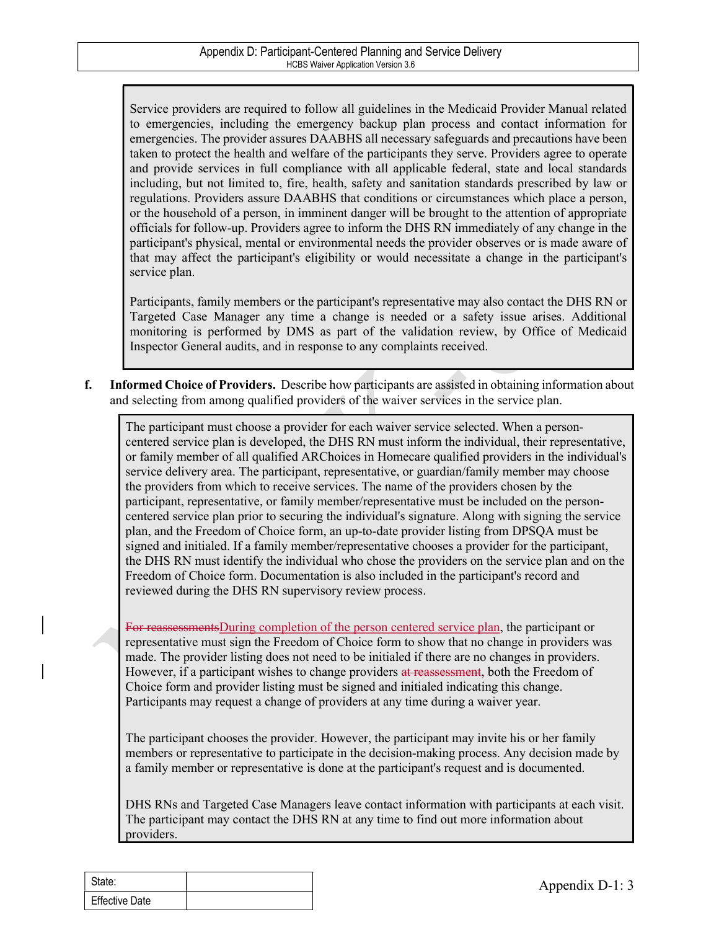Service providers are required to follow all guidelines in the Medicaid Provider Manual related to emergencies, including the emergency backup plan process and contact information for emergencies. The provider assures DAABHS all necessary safeguards and precautions have been taken to protect the health and welfare of the participants they serve. Providers agree to operate and provide services in full compliance with all applicable federal, state and local standards including, but not limited to, fire, health, safety and sanitation standards prescribed by law or regulations. Providers assure DAABHS that conditions or circumstances which place a person, or the household of a person, in imminent danger will be brought to the attention of appropriate officials for follow-up. Providers agree to inform the DHS RN immediately of any change in the participant's physical, mental or environmental needs the provider observes or is made aware of that may affect the participant's eligibility or would necessitate a change in the participant's service plan.

Participants, family members or the participant's representative may also contact the DHS RN or Targeted Case Manager any time a change is needed or a safety issue arises. Additional monitoring is performed by DMS as part of the validation review, by Office of Medicaid Inspector General audits, and in response to any complaints received.

f. Informed Choice of Providers. Describe how participants are assisted in obtaining information about and selecting from among qualified providers of the waiver services in the service plan.

The participant must choose a provider for each waiver service selected. When a personcentered service plan is developed, the DHS RN must inform the individual, their representative, or family member of all qualified ARChoices in Homecare qualified providers in the individual's service delivery area. The participant, representative, or guardian/family member may choose the providers from which to receive services. The name of the providers chosen by the participant, representative, or family member/representative must be included on the personcentered service plan prior to securing the individual's signature. Along with signing the service plan, and the Freedom of Choice form, an up-to-date provider listing from DPSQA must be signed and initialed. If a family member/representative chooses a provider for the participant, the DHS RN must identify the individual who chose the providers on the service plan and on the Freedom of Choice form. Documentation is also included in the participant's record and reviewed during the DHS RN supervisory review process.

Freedom of Choice form. Documentation is also included in the participant's record and<br>reviewed during the DHS RN supervisory review process.<br>For reassessments During completion of the person centered service plan, the par For reassessmentsDuring completion of the person centered service plan, the participant or representative must sign the Freedom of Choice form to show that no change in providers was made. The provider listing does not need to be initialed if there are no changes in providers. However, if a participant wishes to change providers at reassessment, both the Freedom of Choice form and provider listing must be signed and initialed indicating this change. Participants may request a change of providers at any time during a waiver year.

The participant chooses the provider. However, the participant may invite his or her family members or representative to participate in the decision-making process. Any decision made by a family member or representative is done at the participant's request and is documented.

DHS RNs and Targeted Case Managers leave contact information with participants at each visit. The participant may contact the DHS RN at any time to find out more information about providers.

| State:                |  |
|-----------------------|--|
| <b>Effective Date</b> |  |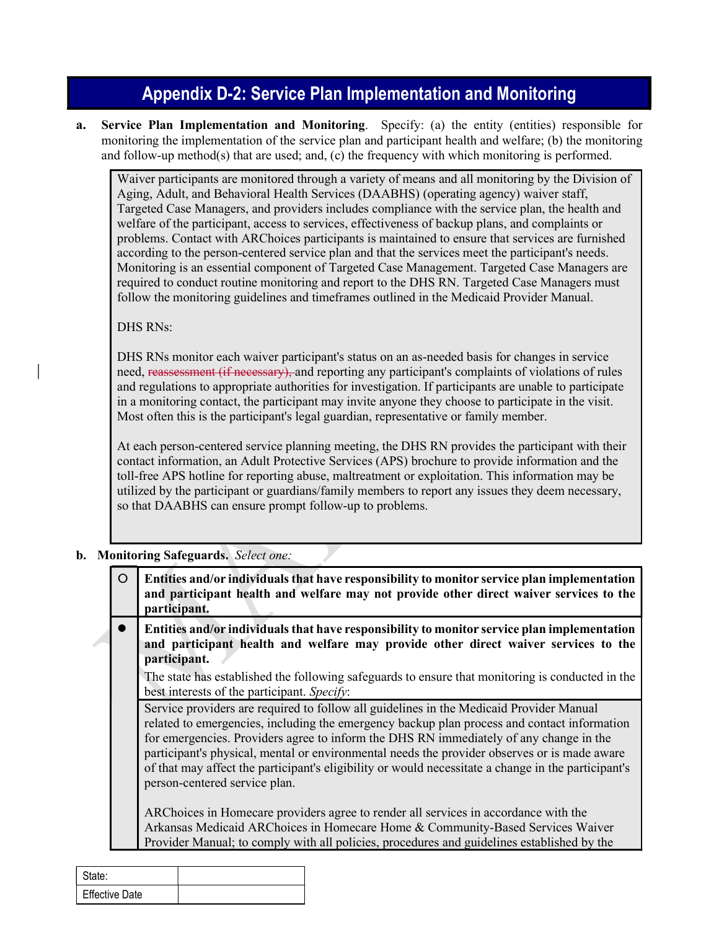# Appendix D-2: Service Plan Implementation and Monitoring

a. Service Plan Implementation and Monitoring. Specify: (a) the entity (entities) responsible for monitoring the implementation of the service plan and participant health and welfare; (b) the monitoring and follow-up method(s) that are used; and, (c) the frequency with which monitoring is performed.

Waiver participants are monitored through a variety of means and all monitoring by the Division of Aging, Adult, and Behavioral Health Services (DAABHS) (operating agency) waiver staff, Targeted Case Managers, and providers includes compliance with the service plan, the health and welfare of the participant, access to services, effectiveness of backup plans, and complaints or problems. Contact with ARChoices participants is maintained to ensure that services are furnished according to the person-centered service plan and that the services meet the participant's needs. Monitoring is an essential component of Targeted Case Management. Targeted Case Managers are required to conduct routine monitoring and report to the DHS RN. Targeted Case Managers must follow the monitoring guidelines and timeframes outlined in the Medicaid Provider Manual.

DHS RNs:

DHS RNs monitor each waiver participant's status on an as-needed basis for changes in service need, reassessment (if necessary), and reporting any participant's complaints of violations of rules and regulations to appropriate authorities for investigation. If participants are unable to participate in a monitoring contact, the participant may invite anyone they choose to participate in the visit. Most often this is the participant's legal guardian, representative or family member.

At each person-centered service planning meeting, the DHS RN provides the participant with their contact information, an Adult Protective Services (APS) brochure to provide information and the toll-free APS hotline for reporting abuse, maltreatment or exploitation. This information may be utilized by the participant or guardians/family members to report any issues they deem necessary, so that DAABHS can ensure prompt follow-up to problems.

#### b. Monitoring Safeguards. Select one:

| $\circ$        | Entities and/or individuals that have responsibility to monitor service plan implementation<br>and participant health and welfare may not provide other direct waiver services to the<br>participant.                                                                                                                                                                                                                                                                                                                                                                                                           |
|----------------|-----------------------------------------------------------------------------------------------------------------------------------------------------------------------------------------------------------------------------------------------------------------------------------------------------------------------------------------------------------------------------------------------------------------------------------------------------------------------------------------------------------------------------------------------------------------------------------------------------------------|
| ●              | Entities and/or individuals that have responsibility to monitor service plan implementation<br>and participant health and welfare may provide other direct waiver services to the<br>participant.                                                                                                                                                                                                                                                                                                                                                                                                               |
|                | The state has established the following safeguards to ensure that monitoring is conducted in the<br>best interests of the participant. Specify:                                                                                                                                                                                                                                                                                                                                                                                                                                                                 |
|                | Service providers are required to follow all guidelines in the Medicaid Provider Manual<br>related to emergencies, including the emergency backup plan process and contact information<br>for emergencies. Providers agree to inform the DHS RN immediately of any change in the<br>participant's physical, mental or environmental needs the provider observes or is made aware<br>of that may affect the participant's eligibility or would necessitate a change in the participant's<br>person-centered service plan.<br>ARChoices in Homecare providers agree to render all services in accordance with the |
|                | Arkansas Medicaid ARChoices in Homecare Home & Community-Based Services Waiver                                                                                                                                                                                                                                                                                                                                                                                                                                                                                                                                  |
|                | Provider Manual; to comply with all policies, procedures and guidelines established by the                                                                                                                                                                                                                                                                                                                                                                                                                                                                                                                      |
|                |                                                                                                                                                                                                                                                                                                                                                                                                                                                                                                                                                                                                                 |
| State:         |                                                                                                                                                                                                                                                                                                                                                                                                                                                                                                                                                                                                                 |
| Effective Date |                                                                                                                                                                                                                                                                                                                                                                                                                                                                                                                                                                                                                 |

| State:         |  |
|----------------|--|
| Effective Date |  |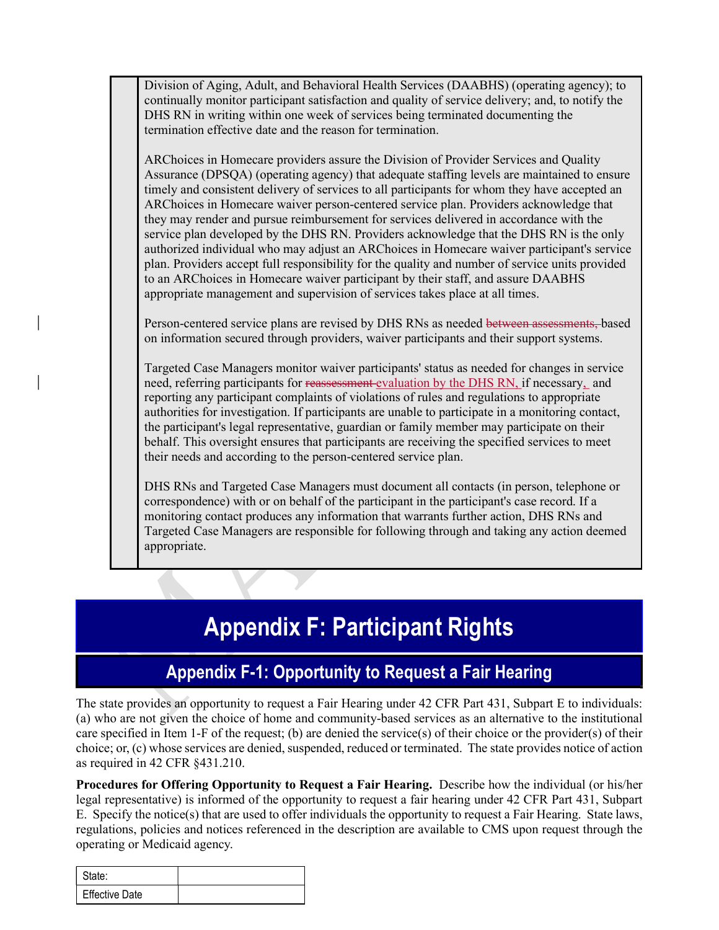Division of Aging, Adult, and Behavioral Health Services (DAABHS) (operating agency); to continually monitor participant satisfaction and quality of service delivery; and, to notify the DHS RN in writing within one week of services being terminated documenting the termination effective date and the reason for termination.

ARChoices in Homecare providers assure the Division of Provider Services and Quality Assurance (DPSQA) (operating agency) that adequate staffing levels are maintained to ensure timely and consistent delivery of services to all participants for whom they have accepted an ARChoices in Homecare waiver person-centered service plan. Providers acknowledge that they may render and pursue reimbursement for services delivered in accordance with the service plan developed by the DHS RN. Providers acknowledge that the DHS RN is the only authorized individual who may adjust an ARChoices in Homecare waiver participant's service plan. Providers accept full responsibility for the quality and number of service units provided to an ARChoices in Homecare waiver participant by their staff, and assure DAABHS appropriate management and supervision of services takes place at all times.

Person-centered service plans are revised by DHS RNs as needed between assessments, based on information secured through providers, waiver participants and their support systems.

Targeted Case Managers monitor waiver participants' status as needed for changes in service need, referring participants for reassessment evaluation by the DHS RN, if necessary, and reporting any participant complaints of violations of rules and regulations to appropriate authorities for investigation. If participants are unable to participate in a monitoring contact, the participant's legal representative, guardian or family member may participate on their behalf. This oversight ensures that participants are receiving the specified services to meet their needs and according to the person-centered service plan.

DHS RNs and Targeted Case Managers must document all contacts (in person, telephone or correspondence) with or on behalf of the participant in the participant's case record. If a monitoring contact produces any information that warrants further action, DHS RNs and Targeted Case Managers are responsible for following through and taking any action deemed appropriate.

# Appendix F: Participant Rights

# Appendix F-1: Opportunity to Request a Fair Hearing

**Appendix F: Participant Rights**<br> **Appendix F-1: Opportunity to Request a Fair Hearing**<br>
the state provides an opportunity to request a Fair Hearing under 42 CFR Part 431, Subpart E<br>
a) who are not given the choice of home The state provides an opportunity to request a Fair Hearing under 42 CFR Part 431, Subpart E to individuals: (a) who are not given the choice of home and community-based services as an alternative to the institutional care specified in Item 1-F of the request; (b) are denied the service(s) of their choice or the provider(s) of their choice; or, (c) whose services are denied, suspended, reduced or terminated. The state provides notice of action as required in 42 CFR §431.210.

Procedures for Offering Opportunity to Request a Fair Hearing. Describe how the individual (or his/her legal representative) is informed of the opportunity to request a fair hearing under 42 CFR Part 431, Subpart E. Specify the notice(s) that are used to offer individuals the opportunity to request a Fair Hearing. State laws, regulations, policies and notices referenced in the description are available to CMS upon request through the operating or Medicaid agency.

| State:                |  |
|-----------------------|--|
| <b>Effective Date</b> |  |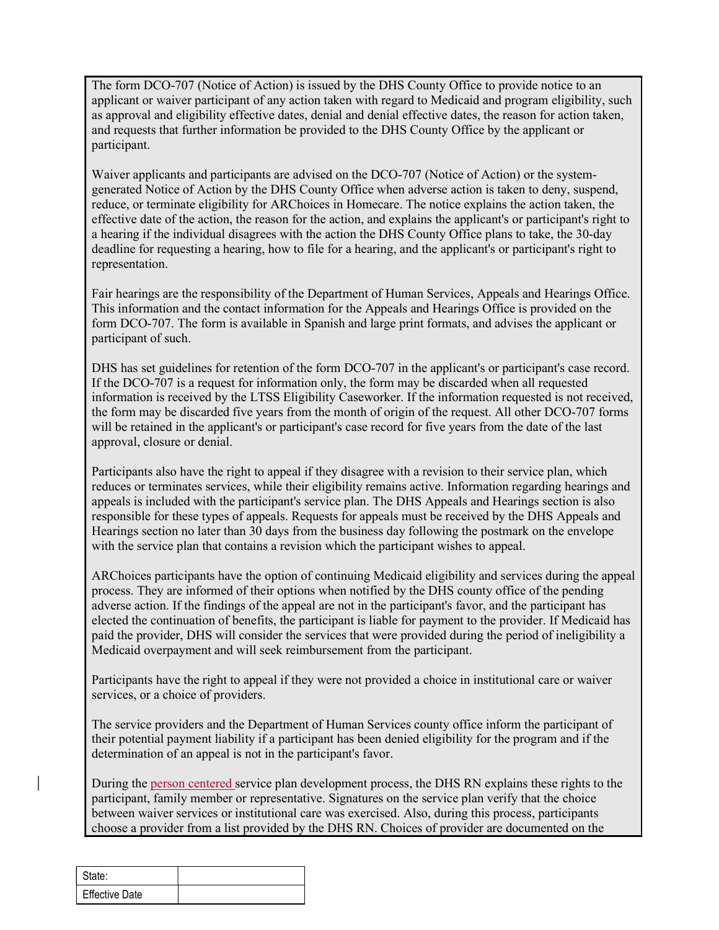The form DCO-707 (Notice of Action) is issued by the DHS County Office to provide notice to an applicant or waiver participant of any action taken with regard to Medicaid and program eligibility, such The form DCO-707 (Notice of Action) is issued by the DHS County Office to provide notice to an applicant or waiver participant of any action taken with regard to Medicaid and program eligibility, such as approval and eligi and requests that further information be provided to the DHS County Office by the applicant or participant.

Waiver applicants and participants are advised on the DCO-707 (Notice of Action) or the systemgenerated Notice of Action by the DHS County Office when adverse action is taken to deny, suspend, reduce, or terminate eligibility for ARChoices in Homecare. The notice explains the action taken, the effective date of the action, the reason for the action, and explains the applicant's or participant's right to a hearing if the individual disagrees with the action the DHS County Office plans to take, the 30-day deadline for requesting a hearing, how to file for a hearing, and the applicant's or participant's right to representation.

Fair hearings are the responsibility of the Department of Human Services, Appeals and Hearings Office. This information and the contact information for the Appeals and Hearings Office is provided on the form DCO-707. The form is available in Spanish and large print formats, and advises the applicant or participant of such.

DHS has set guidelines for retention of the form DCO-707 in the applicant's or participant's case record. If the DCO-707 is a request for information only, the form may be discarded when all requested information is received by the LTSS Eligibility Caseworker. If the information requested is not received, the form may be discarded five years from the month of origin of the request. All other DCO-707 forms will be retained in the applicant's or participant's case record for five years from the date of the last approval, closure or denial.

Participants also have the right to appeal if they disagree with a revision to their service plan, which reduces or terminates services, while their eligibility remains active. Information regarding hearings and appeals is included with the participant's service plan. The DHS Appeals and Hearings section is also responsible for these types of appeals. Requests for appeals must be received by the DHS Appeals and Hearings section no later than 30 days from the business day following the postmark on the envelope with the service plan that contains a revision which the participant wishes to appeal.

process. They are informed of their options when notified by the DHS county office of the p<br>aberse action. If the findings of the appeal are not in the participant's favor, and the participant<br>dected the continuation of be ARChoices participants have the option of continuing Medicaid eligibility and services during the appeal process. They are informed of their options when notified by the DHS county office of the pending adverse action. If the findings of the appeal are not in the participant's favor, and the participant has elected the continuation of benefits, the participant is liable for payment to the provider. If Medicaid has paid the provider, DHS will consider the services that were provided during the period of ineligibility a Medicaid overpayment and will seek reimbursement from the participant.

Participants have the right to appeal if they were not provided a choice in institutional care or waiver services, or a choice of providers.

The service providers and the Department of Human Services county office inform the participant of their potential payment liability if a participant has been denied eligibility for the program and if the determination of an appeal is not in the participant's favor.

During the person centered service plan development process, the DHS RN explains these rights to the participant, family member or representative. Signatures on the service plan verify that the choice between waiver services or institutional care was exercised. Also, during this process, participants choose a provider from a list provided by the DHS RN. Choices of provider are documented on the

| State:                |  |
|-----------------------|--|
| <b>Effective Date</b> |  |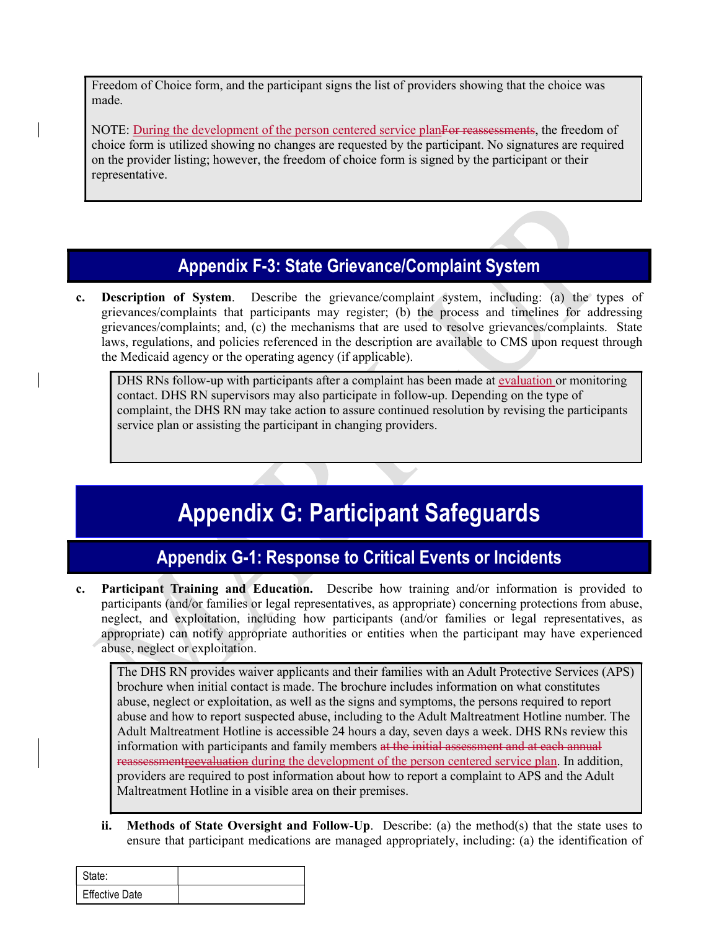Freedom of Choice form, and the participant signs the list of providers showing that the choice was made.

NOTE: During the development of the person centered service planFor reassessments, the freedom of choice form is utilized showing no changes are requested by the participant. No signatures are required on the provider listing; however, the freedom of choice form is signed by the participant or their representative.

# Appendix F-3: State Grievance/Complaint System

c. Description of System. Describe the grievance/complaint system, including: (a) the types of grievances/complaints that participants may register; (b) the process and timelines for addressing grievances/complaints; and, (c) the mechanisms that are used to resolve grievances/complaints. State laws, regulations, and policies referenced in the description are available to CMS upon request through the Medicaid agency or the operating agency (if applicable).

DHS RNs follow-up with participants after a complaint has been made at evaluation or monitoring contact. DHS RN supervisors may also participate in follow-up. Depending on the type of complaint, the DHS RN may take action to assure continued resolution by revising the participants service plan or assisting the participant in changing providers.

# Appendix G: Participant Safeguards

# Appendix G-1: Response to Critical Events or Incidents

c. Participant Training and Education. Describe how training and/or information is provided to participants (and/or families or legal representatives, as appropriate) concerning protections from abuse, neglect, and exploitation, including how participants (and/or families or legal representatives, as appropriate) can notify appropriate authorities or entities when the participant may have experienced abuse, neglect or exploitation.

Functional Training and Education. Describe how training in and/or information in participants (and/or families or legal representatives, as appropriate) concerning protection reglect, and exploitation, including how part The DHS RN provides waiver applicants and their families with an Adult Protective Services (APS) brochure when initial contact is made. The brochure includes information on what constitutes abuse, neglect or exploitation, as well as the signs and symptoms, the persons required to report abuse and how to report suspected abuse, including to the Adult Maltreatment Hotline number. The Adult Maltreatment Hotline is accessible 24 hours a day, seven days a week. DHS RNs review this information with participants and family members at the initial assessment and at each annual reassessmentreevaluation during the development of the person centered service plan. In addition, providers are required to post information about how to report a complaint to APS and the Adult Maltreatment Hotline in a visible area on their premises.

ii. Methods of State Oversight and Follow-Up. Describe: (a) the method(s) that the state uses to ensure that participant medications are managed appropriately, including: (a) the identification of

| State:                |  |
|-----------------------|--|
| <b>Effective Date</b> |  |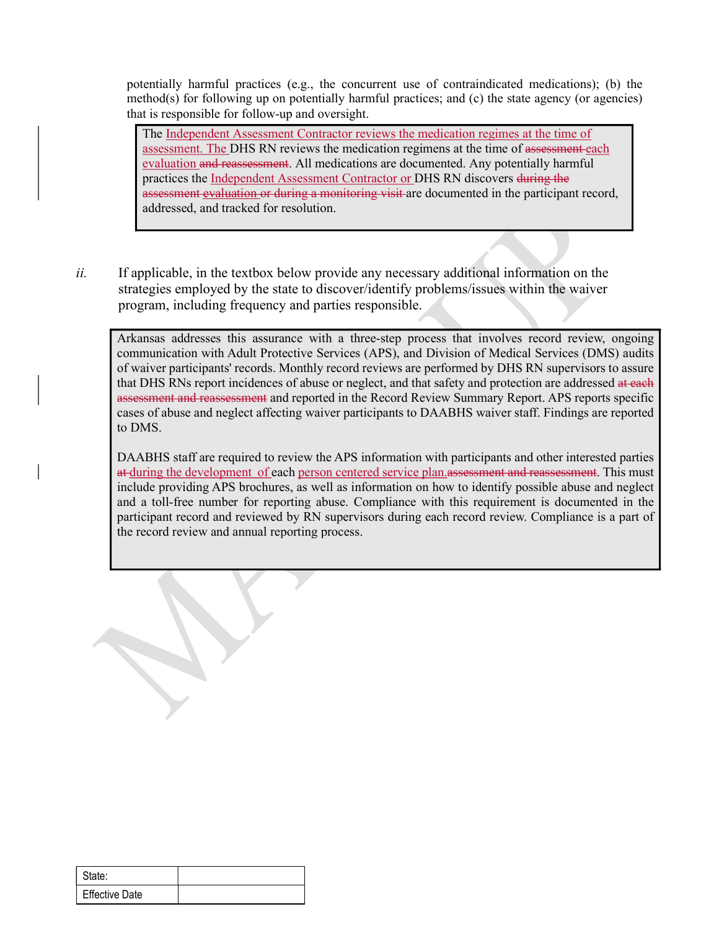potentially harmful practices (e.g., the concurrent use of contraindicated medications); (b) the method(s) for following up on potentially harmful practices; and  $(c)$  the state agency (or agencies) that is responsible for follow-up and oversight.

The Independent Assessment Contractor reviews the medication regimes at the time of assessment. The DHS RN reviews the medication regimens at the time of assessment each evaluation and reassessment. All medications are documented. Any potentially harmful practices the Independent Assessment Contractor or DHS RN discovers during the entially harmful practices (e.g., the concurrent use of contraindicated medications); (b) the thdo(s) for following up on potentially harmful practices; and (c) the state agency (or agencies) is responsible for follow-up a addressed, and tracked for resolution.

 $ii.$  If applicable, in the textbox below provide any necessary additional information on the strategies employed by the state to discover/identify problems/issues within the waiver program, including frequency and parties responsible.

Arkansas addresses this assurance with a three-step process that involves record review, ongoing communication with Adult Protective Services (APS), and Division of Medical Services (DMS) audits of waiver participants' records. Monthly record reviews are performed by DHS RN supervisors to assure that DHS RNs report incidences of abuse or neglect, and that safety and protection are addressed at each assessment and reassessment and reported in the Record Review Summary Report. APS reports specific cases of abuse and neglect affecting waiver participants to DAABHS waiver staff. Findings are reported to DMS.

DAABHS staff are required to review the APS information with participants and other interested parties at during the development of each person centered service plan.assessment and reassessment. This must include providing APS brochures, as well as information on how to identify possible abuse and neglect and a toll-free number for reporting abuse. Compliance with this requirement is documented in the participant record and reviewed by RN supervisors during each record review. Compliance is a part of the record review and annual reporting process.

| State:         |
|----------------|
| Effective Date |
|                |
|                |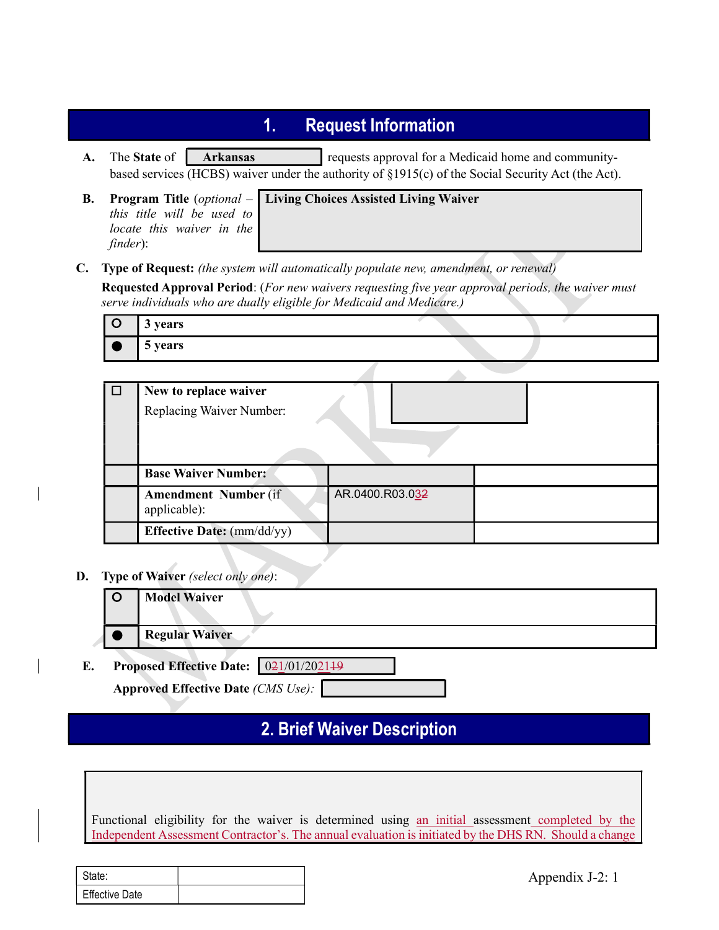- **1.** Request Information<br>
requests approval for a Medicaid home and community-<br>
runder the authority of §1915(c) of the Social Security Act (the Act).<br>
Living Choices Assisted Living Waiver A. The State of Arkansas requests approval for a Medicaid home and communitybased services (HCBS) waiver under the authority of §1915(c) of the Social Security Act (the Act).
- this title will be used to locate this waiver in the finder):
- B. Program Title (*optional* Living Choices Assisted Living Waiver
- 

|           |          | <b>Request Information</b><br>1.                                                                                                                                                              |
|-----------|----------|-----------------------------------------------------------------------------------------------------------------------------------------------------------------------------------------------|
| A.        |          | The State of<br>requests approval for a Medicaid home and community-<br><b>Arkansas</b><br>based services (HCBS) waiver under the authority of §1915(c) of the Social Security Act (the Act). |
| <b>B.</b> | finder): | <b>Program Title</b> ( <i>optional</i> – Living Choices Assisted Living Waiver<br>this title will be used to<br>locate this waiver in the                                                     |
| C.        |          | <b>Type of Request:</b> (the system will automatically populate new, amendment, or renewal)                                                                                                   |
|           |          | <b>Requested Approval Period:</b> (For new waivers requesting five year approval periods, the waiver must<br>serve individuals who are dually eligible for Medicaid and Medicare.)            |
|           | $\circ$  | 3 years                                                                                                                                                                                       |
|           |          | 5 years                                                                                                                                                                                       |

| $\Box$ | New to replace waiver                       |                 |  |
|--------|---------------------------------------------|-----------------|--|
|        | Replacing Waiver Number:                    |                 |  |
|        |                                             |                 |  |
|        |                                             |                 |  |
|        | <b>Base Waiver Number:</b>                  |                 |  |
|        | <b>Amendment Number (if</b><br>applicable): | AR.0400.R03.032 |  |
|        | <b>Effective Date:</b> (mm/dd/yy)           |                 |  |

D. Type of Waiver (select only one):

| O<br><b>Model Waiver</b><br><b>Regular Waiver</b><br>021/01/202149<br>E.<br><b>Proposed Effective Date:</b><br><b>Approved Effective Date (CMS Use):</b><br><b>2. Brief Waiver Description</b>             |                 |  |  |  |
|------------------------------------------------------------------------------------------------------------------------------------------------------------------------------------------------------------|-----------------|--|--|--|
|                                                                                                                                                                                                            |                 |  |  |  |
|                                                                                                                                                                                                            |                 |  |  |  |
|                                                                                                                                                                                                            |                 |  |  |  |
|                                                                                                                                                                                                            |                 |  |  |  |
|                                                                                                                                                                                                            |                 |  |  |  |
|                                                                                                                                                                                                            |                 |  |  |  |
|                                                                                                                                                                                                            |                 |  |  |  |
| Functional eligibility for the waiver is determined using an initial assessment completed by the<br>Independent Assessment Contractor's. The annual evaluation is initiated by the DHS RN. Should a change |                 |  |  |  |
|                                                                                                                                                                                                            |                 |  |  |  |
| State:                                                                                                                                                                                                     | Appendix J-2: 1 |  |  |  |
| <b>Effective Date</b>                                                                                                                                                                                      |                 |  |  |  |

# 2. Brief Waiver Description

| State:                |  |
|-----------------------|--|
| <b>Effective Date</b> |  |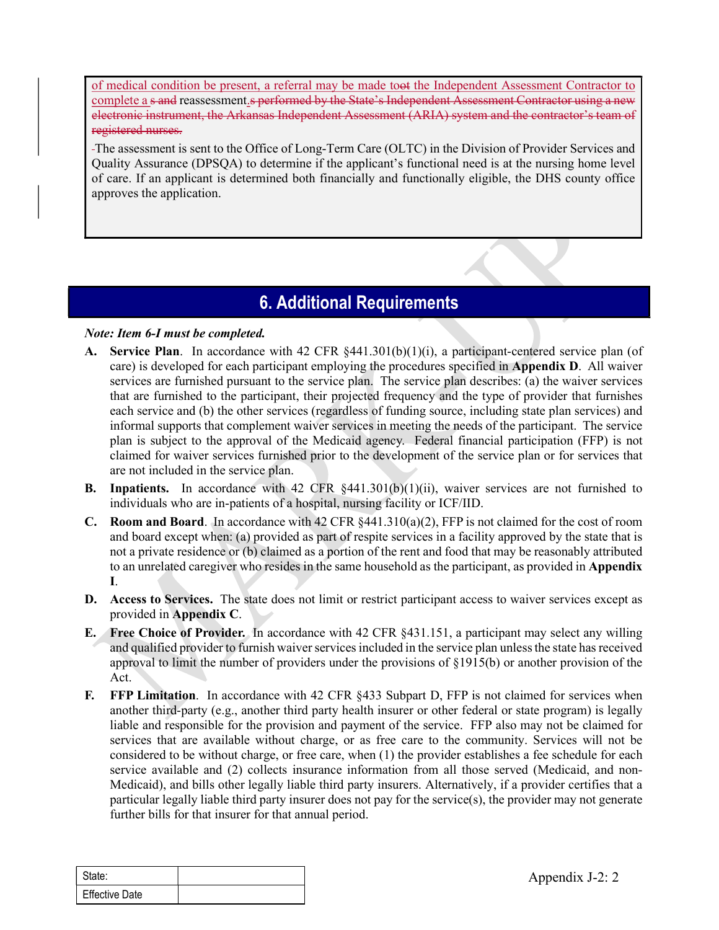of medical condition be present, a referral may be made toot the Independent Assessment Contractor to complete a s and reassessment.s performed by the State's Independent Assessment Contractor using a new electronic instrument, the Arkansas Independent Assessment (ARIA) system and the contractor's team of registered nurses.

The assessment is sent to the Office of Long-Term Care (OLTC) in the Division of Provider Services and Quality Assurance (DPSQA) to determine if the applicant's functional need is at the nursing home level of care. If an applicant is determined both financially and functionally eligible, the DHS county office approves the application.

# 6. Additional Requirements

#### Note: Item 6-I must be completed.

- A. Service Plan. In accordance with 42 CFR §441.301(b)(1)(i), a participant-centered service plan (of care) is developed for each participant employing the procedures specified in Appendix D. All waiver services are furnished pursuant to the service plan. The service plan describes: (a) the waiver services that are furnished to the participant, their projected frequency and the type of provider that furnishes each service and (b) the other services (regardless of funding source, including state plan services) and informal supports that complement waiver services in meeting the needs of the participant. The service plan is subject to the approval of the Medicaid agency. Federal financial participation (FFP) is not claimed for waiver services furnished prior to the development of the service plan or for services that are not included in the service plan.
- B. Inpatients. In accordance with 42 CFR §441.301(b)(1)(ii), waiver services are not furnished to individuals who are in-patients of a hospital, nursing facility or ICF/IID.
- **C.** Room and Board. In accordance with 42 CFR  $\S 441.310(a)(2)$ , FFP is not claimed for the cost of room and board except when: (a) provided as part of respite services in a facility approved by the state that is not a private residence or (b) claimed as a portion of the rent and food that may be reasonably attributed to an unrelated caregiver who resides in the same household as the participant, as provided in Appendix I.
- D. Access to Services. The state does not limit or restrict participant access to waiver services except as provided in Appendix C.
- E. Free Choice of Provider. In accordance with 42 CFR §431.151, a participant may select any willing and qualified provider to furnish waiver services included in the service plan unless the state has received approval to limit the number of providers under the provisions of §1915(b) or another provision of the Act.
- **D.** Access to Services. The state does not limit or restrict participant access to waiver servived in Appendix C.<br> **E.** Free Choice of Provider, In accordance with 42 CFR \$431.151, a participant may sele and qualified pr F. FFP Limitation. In accordance with 42 CFR §433 Subpart D, FFP is not claimed for services when another third-party (e.g., another third party health insurer or other federal or state program) is legally liable and responsible for the provision and payment of the service. FFP also may not be claimed for services that are available without charge, or as free care to the community. Services will not be considered to be without charge, or free care, when (1) the provider establishes a fee schedule for each service available and (2) collects insurance information from all those served (Medicaid, and non-Medicaid), and bills other legally liable third party insurers. Alternatively, if a provider certifies that a particular legally liable third party insurer does not pay for the service(s), the provider may not generate further bills for that insurer for that annual period.

| State:                |  |
|-----------------------|--|
| <b>Effective Date</b> |  |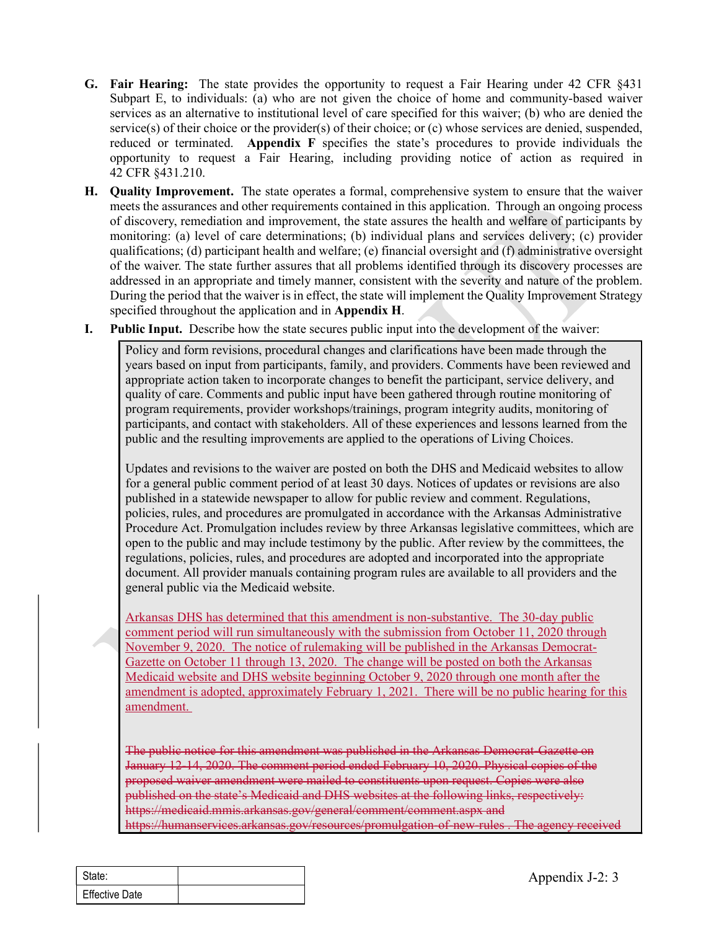- **G. Fair Hearing:** The state provides the opportunity to request a Fair Hearing under 42 CFR §431 Subpart E, to individuals: (a) who are not given the choice of home and community-based waiver services as an alternative t Subpart E, to individuals: (a) who are not given the choice of home and community-based waiver services as an alternative to institutional level of care specified for this waiver; (b) who are denied the service(s) of their choice or the provider(s) of their choice; or (c) whose services are denied, suspended, reduced or terminated. Appendix F specifies the state's procedures to provide individuals the opportunity to request a Fair Hearing, including providing notice of action as required in 42 CFR §431.210.
- H. Quality Improvement. The state operates a formal, comprehensive system to ensure that the waiver meets the assurances and other requirements contained in this application. Through an ongoing process of discovery, remediation and improvement, the state assures the health and welfare of participants by monitoring: (a) level of care determinations; (b) individual plans and services delivery; (c) provider qualifications; (d) participant health and welfare; (e) financial oversight and (f) administrative oversight of the waiver. The state further assures that all problems identified through its discovery processes are addressed in an appropriate and timely manner, consistent with the severity and nature of the problem. During the period that the waiver is in effect, the state will implement the Quality Improvement Strategy specified throughout the application and in Appendix H. ppart E, to individuals: (a) who are not given the choice of home and community-based waiver<br>vices as an alternative to institutional level of care speciefied for this waiver, (b) who are denied the<br>vices of their choice o
- I. Public Input. Describe how the state secures public input into the development of the waiver:

Policy and form revisions, procedural changes and clarifications have been made through the years based on input from participants, family, and providers. Comments have been reviewed and appropriate action taken to incorporate changes to benefit the participant, service delivery, and program requirements, provider workshops/trainings, program integrity audits, monitoring of participants, and contact with stakeholders. All of these experiences and lessons learned from the public and the resulting improvements are applied to the operations of Living Choices.

Updates and revisions to the waiver are posted on both the DHS and Medicaid websites to allow for a general public comment period of at least 30 days. Notices of updates or revisions are also published in a statewide newspaper to allow for public review and comment. Regulations, policies, rules, and procedures are promulgated in accordance with the Arkansas Administrative Procedure Act. Promulgation includes review by three Arkansas legislative committees, which are open to the public and may include testimony by the public. After review by the committees, the regulations, policies, rules, and procedures are adopted and incorporated into the appropriate document. All provider manuals containing program rules are available to all providers and the general public via the Medicaid website. Entra mongmont and the present of the determined in the development of the waiver:<br>
Delic papt form revisions, procedural changes and clarifications have been made through the<br>
pliet papt form revisions, procedural changes

general public via the Medicald that this amendment is non-substantive. The 30-day power of the Source of the million control with the submission from October 11, 2020<br>
November 9, 2020. The notice of rulemaking will be pu comment period will run simultaneously with the submission from October 11, 2020 through November 9, 2020. The notice of rulemaking will be published in the Arkansas Democrat-Gazette on October 11 through 13, 2020. The change will be posted on both the Arkansas Medicaid website and DHS website beginning October 9, 2020 through one month after the amendment is adopted, approximately February 1, 2021. There will be no public hearing for this amendment.

The public notice for this amendment was published in the Arkansas Democrat-Gazette on January 12-14, 2020. The comment period ended February 10, 2020. Physical copies of the proposed waiver amendment were mailed to constituents upon request. Copies were also published on the state's Medicaid and DHS websites at the following links, respectively: https://medicaid.mmis.arkansas.gov/general/comment/comment.aspx and https://humanservices.arkansas.gov/resources/promulgation-of-new-rules . The agency received

| ' State:              |  |
|-----------------------|--|
| <b>Effective Date</b> |  |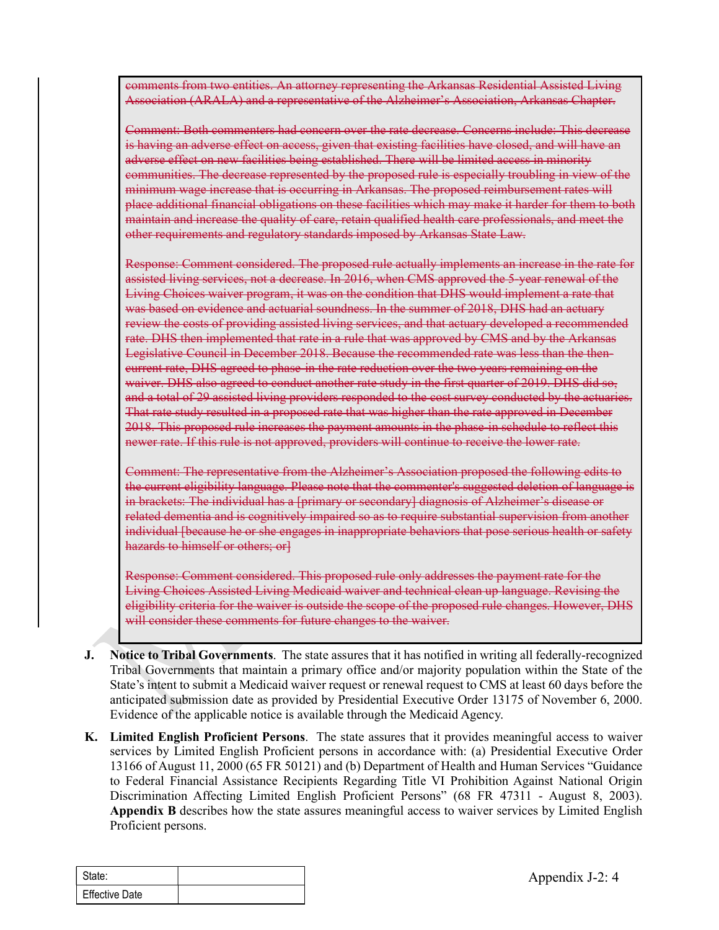comments from two entities. An attorney representing the Arkansas Residential Assisted Living Association (ARALA) and a representative of the Alzheimer's Association, Arkansas Chapter.

Comment: Both commenters had concern over the rate decrease. Concerns include: This decrease is having an adverse effect on access, given that existing facilities have closed, and will have an adverse effect on new facilities being established. There will be limited access in minority communities. The decrease represented by the proposed rule is especially troubling in view of the minimum wage increase that is occurring in Arkansas. The proposed reimbursement rates will place additional financial obligations on these facilities which may make it harder for them to both maintain and increase the quality of care, retain qualified health care professionals, and meet the other requirements and regulatory standards imposed by Arkansas State Law.

Response: Comment considered. The proposed rule actually implements an increase in the rate for assisted living services, not a decrease. In 2016, when CMS approved the 5-year renewal of the Living Choices waiver program, it was on the condition that DHS would implement a rate that was based on evidence and actuarial soundness. In the summer of 2018, DHS had an actuary review the costs of providing assisted living services, and that actuary developed a recommended rate. DHS then implemented that rate in a rule that was approved by CMS and by the Arkansas Legislative Council in December 2018. Because the recommended rate was less than the thencurrent rate, DHS agreed to phase-in the rate reduction over the two years remaining on the waiver. DHS also agreed to conduct another rate study in the first quarter of 2019. DHS did so, and a total of 29 assisted living providers responded to the cost survey conducted by the actuaries. That rate study resulted in a proposed rate that was higher than the rate approved in December 2018. This proposed rule increases the payment amounts in the phase-in schedule to reflect this newer rate. If this rule is not approved, providers will continue to receive the lower rate. other requirements and regulatory-standards-imposed by-Arkansas-State-Law.<br>Response: Comment considered. The proposed rule catually implements an increase in the tate for<br>sizested living-crivices, not is devenase. In 2016,

Comment: The representative from the Alzheimer's Association proposed the following edits to the current eligibility language. Please note that the commenter's suggested deletion of language is in brackets: The individual has a [primary or secondary] diagnosis of Alzheimer's disease or related dementia and is cognitively impaired so as to require substantial supervision from another hazards to himself or others; or]

Response: Comment considered. This proposed rule only addresses the payment rate for the Living Choices Assisted Living Medicaid waiver and technical clean up language. Revising the eligibility criteria for the waiver is outside the scope of the proposed rule changes. However, DHS will consider these comments for future changes to the waiver.

- J. Notice to Tribal Governments. The state assures that it has notified in writing all federally-recognized Tribal Governments that maintain a primary office and/or majority population within the State of the State's intent to submit a Medicaid waiver request or renewal request to CMS at least 60 days before the anticipated submission date as provided by Presidential Executive Order 13175 of November 6, 2000. Evidence of the applicable notice is available through the Medicaid Agency.
- Every effective Triend for the waiver is outside the scope of the proposed rule changes. Realigibility eriteria for the waiver is outside the scope of the proposed rule changes. However, the waiver is outside the scope of K. Limited English Proficient Persons. The state assures that it provides meaningful access to waiver services by Limited English Proficient persons in accordance with: (a) Presidential Executive Order 13166 of August 11, 2000 (65 FR 50121) and (b) Department of Health and Human Services "Guidance to Federal Financial Assistance Recipients Regarding Title VI Prohibition Against National Origin Discrimination Affecting Limited English Proficient Persons" (68 FR 47311 - August 8, 2003). Appendix B describes how the state assures meaningful access to waiver services by Limited English Proficient persons.

| State:                |  |
|-----------------------|--|
| <b>Effective Date</b> |  |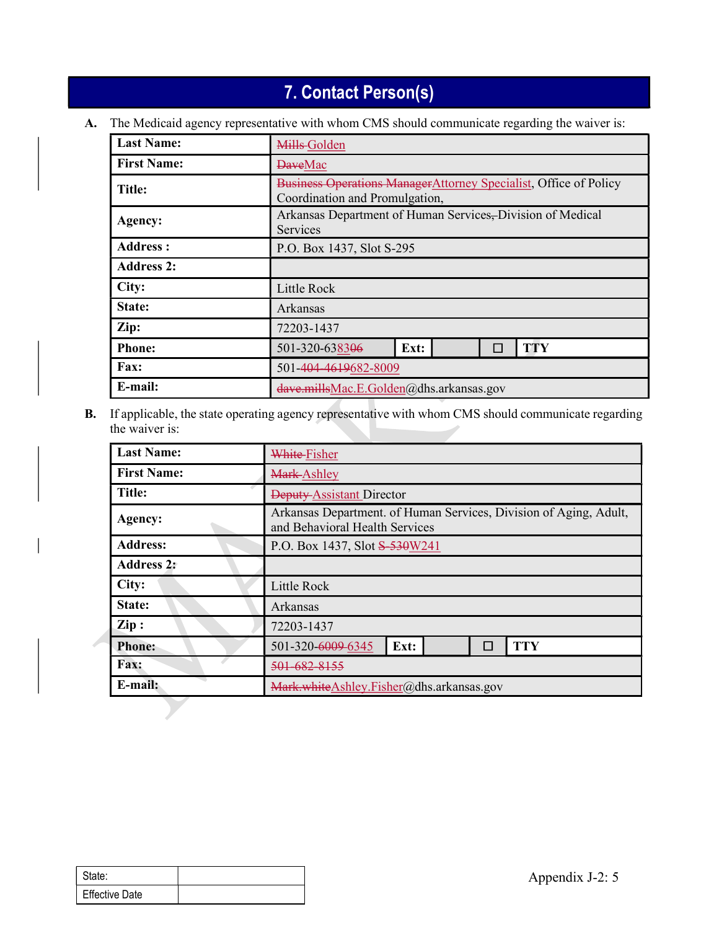# 7. Contact Person(s)

|                    | 7. Contact Person(s)                                                                                |  |  |
|--------------------|-----------------------------------------------------------------------------------------------------|--|--|
|                    | The Medicaid agency representative with whom CMS should communicate regarding the waiver is:        |  |  |
| <b>Last Name:</b>  | Mills-Golden                                                                                        |  |  |
| <b>First Name:</b> | <b>DaveMac</b>                                                                                      |  |  |
| <b>Title:</b>      | Business Operations ManagerAttorney Specialist, Office of Policy<br>Coordination and Promulgation,  |  |  |
| Agency:            | Arkansas Department of Human Services, Division of Medical<br>Services                              |  |  |
| <b>Address:</b>    | P.O. Box 1437, Slot S-295                                                                           |  |  |
| <b>Address 2:</b>  |                                                                                                     |  |  |
| City:              | Little Rock                                                                                         |  |  |
| State:             | Arkansas                                                                                            |  |  |
| Zip:               | 72203-1437                                                                                          |  |  |
| <b>Phone:</b>      | <b>TTY</b><br>501-320-638306<br>Ext:<br>П                                                           |  |  |
| Fax:               | 501-404-4619682-8009                                                                                |  |  |
| E-mail:            | dave.millsMac.E.Golden@dhs.arkansas.gov                                                             |  |  |
| the waiver is:     | If applicable, the state operating agency representative with whom CMS should communicate regarding |  |  |
| <b>Last Name:</b>  | White-Fisher                                                                                        |  |  |
| <b>First Name:</b> | Mark-Ashley                                                                                         |  |  |
| Title:             | Deputy Assistant Director                                                                           |  |  |
| Agency:            | Arkansas Department. of Human Services, Division of Aging, Adult,<br>and Behavioral Health Services |  |  |
| <b>Address:</b>    | P.O. Box 1437, Slot S-530W241                                                                       |  |  |

|        | <b>Last Name:</b>     | White-Fisher                  | Mark-Ashley<br>Deputy-Assistant Director<br>Arkansas Department. of Human Services, Division of Aging, Adult,<br>and Behavioral Health Services |  |        |                                          |  |
|--------|-----------------------|-------------------------------|-------------------------------------------------------------------------------------------------------------------------------------------------|--|--------|------------------------------------------|--|
|        | <b>First Name:</b>    |                               |                                                                                                                                                 |  |        |                                          |  |
|        | <b>Title:</b>         |                               |                                                                                                                                                 |  |        |                                          |  |
|        | Agency:               |                               |                                                                                                                                                 |  |        |                                          |  |
|        | <b>Address:</b>       | P.O. Box 1437, Slot S-530W241 |                                                                                                                                                 |  |        |                                          |  |
|        | <b>Address 2:</b>     |                               |                                                                                                                                                 |  |        |                                          |  |
|        | City:                 | Little Rock                   |                                                                                                                                                 |  |        |                                          |  |
|        | State:                | Arkansas                      |                                                                                                                                                 |  |        |                                          |  |
|        | $\mathbf{Zip}:$       | 72203-1437                    |                                                                                                                                                 |  |        |                                          |  |
|        | <b>Phone:</b>         | 501-320-6009-6345             | Ext:                                                                                                                                            |  | $\Box$ | <b>TTY</b>                               |  |
|        | Fax:                  | 501-682-8155                  |                                                                                                                                                 |  |        |                                          |  |
|        | E-mail:               |                               |                                                                                                                                                 |  |        | Mark.whiteAshley.Fisher@dhs.arkansas.gov |  |
|        |                       |                               |                                                                                                                                                 |  |        |                                          |  |
|        |                       |                               |                                                                                                                                                 |  |        |                                          |  |
| State: | <b>Effective Date</b> |                               |                                                                                                                                                 |  |        | Appendix J-2: 5                          |  |

| l State:              |  |
|-----------------------|--|
| <b>Effective Date</b> |  |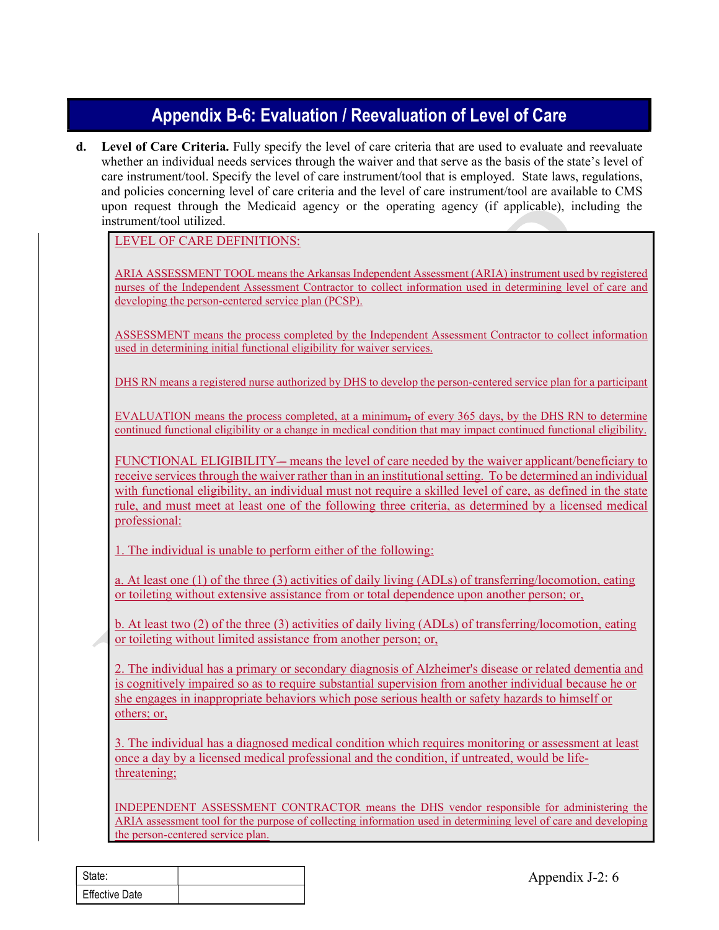# Appendix B-6: Evaluation / Reevaluation of Level of Care

**Appendix B-6: Evaluation / Reevaluation of Level of Care**<br>d. Level of Care Criteria. Fully specify the level of care criteria that are used to evaluate and reevaluate<br>whether an individual needs services through the waive whether an individual needs services through the waiver and that serve as the basis of the state's level of care instrument/tool. Specify the level of care instrument/tool that is employed. State laws, regulations, and policies concerning level of care criteria and the level of care instrument/tool are available to CMS upon request through the Medicaid agency or the operating agency (if applicable), including the instrument/tool utilized.

LEVEL OF CARE DEFINITIONS:

ARIA ASSESSMENT TOOL means the Arkansas Independent Assessment (ARIA) instrument used by registered nurses of the Independent Assessment Contractor to collect information used in determining level of care and developing the person-centered service plan (PCSP).

ASSESSMENT means the process completed by the Independent Assessment Contractor to collect information used in determining initial functional eligibility for waiver services.

DHS RN means a registered nurse authorized by DHS to develop the person-centered service plan for a participant

EVALUATION means the process completed, at a minimum, of every 365 days, by the DHS RN to determine continued functional eligibility or a change in medical condition that may impact continued functional eligibility.

FUNCTIONAL ELIGIBILITY— means the level of care needed by the waiver applicant/beneficiary to receive services through the waiver rather than in an institutional setting. To be determined an individual with functional eligibility, an individual must not require a skilled level of care, as defined in the state rule, and must meet at least one of the following three criteria, as determined by a licensed medical professional: ASSESSMENT means the process completed by the Independent Assessment Contractor to collect information<br>used in determining initial functional cligibility for waiver services.<br>DHS RN means a registered nurse authorized by D

1. The individual is unable to perform either of the following:

a. At least one (1) of the three (3) activities of daily living (ADLs) of transferring/locomotion, eating or toileting without extensive assistance from or total dependence upon another person; or,

or toileting without limited assistance from another person; or,

or toileting without extensive assistance from or total dependence upon another person;<br>
b. At least two (2) of the three (3) activities of daily living (ADLs) of transferring/locon<br>
or toileting without limited assistance 2. The individual has a primary or secondary diagnosis of Alzheimer's disease or related dementia and is cognitively impaired so as to require substantial supervision from another individual because he or she engages in inappropriate behaviors which pose serious health or safety hazards to himself or others; or,

3. The individual has a diagnosed medical condition which requires monitoring or assessment at least once a day by a licensed medical professional and the condition, if untreated, would be lifethreatening;

INDEPENDENT ASSESSMENT CONTRACTOR means the DHS vendor responsible for administering the ARIA assessment tool for the purpose of collecting information used in determining level of care and developing the person-centered service plan.

| l State:              |  |
|-----------------------|--|
| <b>Effective Date</b> |  |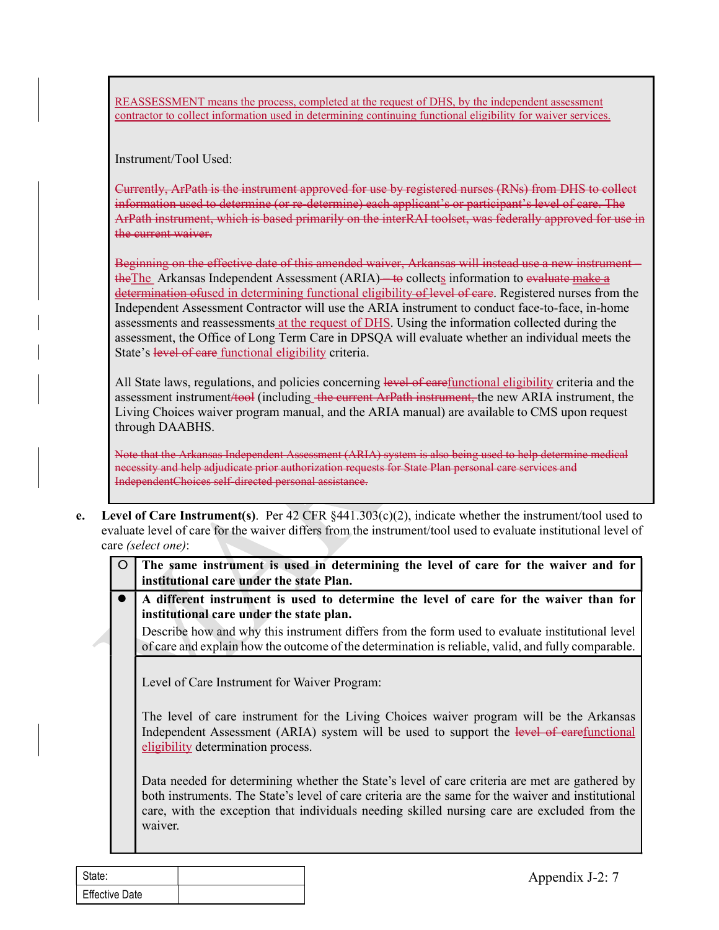REASSESSMENT means the process, completed at the request of DHS, by the independent assessment contractor to collect information used in determining continuing functional eligibility for waiver services.

Instrument/Tool Used:

Currently, ArPath is the instrument approved for use by registered nurses (RNs) from DHS to collect information used to determine (or re-determine) each applicant's or participant's level of care. The ArPath instrument, which is based primarily on the interRAI toolset, was federally approved for use in the current waiver.

Beginning on the effective date of this amended waiver, Arkansas will instead use a new instrument – the The Arkansas Independent Assessment (ARIA)—to collects information to evaluate make a determination of used in determining functional eligibility of level of care. Registered nurses from the REASSESSMENT means the process, completed at the request of DHS. by the independent assessment<br>contractor to collect information used in determining continuing functional cligibility for waiver services.<br>Instrument/Tool Us Independent Assessment Contractor will use the ARIA instrument to conduct face-to-face, in-home assessments and reassessments at the request of DHS. Using the information collected during the assessment, the Office of Long Term Care in DPSQA will evaluate whether an individual meets the State's level of care functional eligibility criteria.

All State laws, regulations, and policies concerning level of carefunctional eligibility criteria and the assessment instrument/tool (including the current ArPath instrument, the new ARIA instrument, the Living Choices waiver program manual, and the ARIA manual) are available to CMS upon request through DAABHS.

Note that the Arkansas Independent Assessment (ARIA) system is also being used to help determine medical necessity and help adjudicate prior authorization requests for State Plan personal care services and IndependentChoices self-directed personal assistance.

e. Level of Care Instrument(s). Per  $42$  CFR  $\frac{8441.303(c)(2)}{c}$ , indicate whether the instrument/tool used to evaluate level of care for the waiver differs from the instrument/tool used to evaluate institutional level of care (select one):

| $\bigcirc$ The same instrument is used in determining the level of care for the waiver and for $\bigcup$ |
|----------------------------------------------------------------------------------------------------------|
| institutional care under the state Plan.                                                                 |

A different instrument is used to determine the level of care for the waiver than for institutional care under the state plan.<br>Describe how and why this instrument differs from the form used to evaluate institutional level

of care and explain how the outcome of the determination is reliable, valid, and fully comparable.

Level of Care Instrument for Waiver Program:

The level of care instrument for the Living Choices waiver program will be the Arkansas Independent Assessment (ARIA) system will be used to support the level of carefunctional eligibility determination process.

A different instrument is used to determine the level of care for the wait<br>institutional care under the state plan.<br>Describe how and why this instrument differs from the form used to evaluate institution<br>of care and explai Data needed for determining whether the State's level of care criteria are met are gathered by both instruments. The State's level of care criteria are the same for the waiver and institutional care, with the exception that individuals needing skilled nursing care are excluded from the waiver.

| State:                |  |
|-----------------------|--|
| <b>Effective Date</b> |  |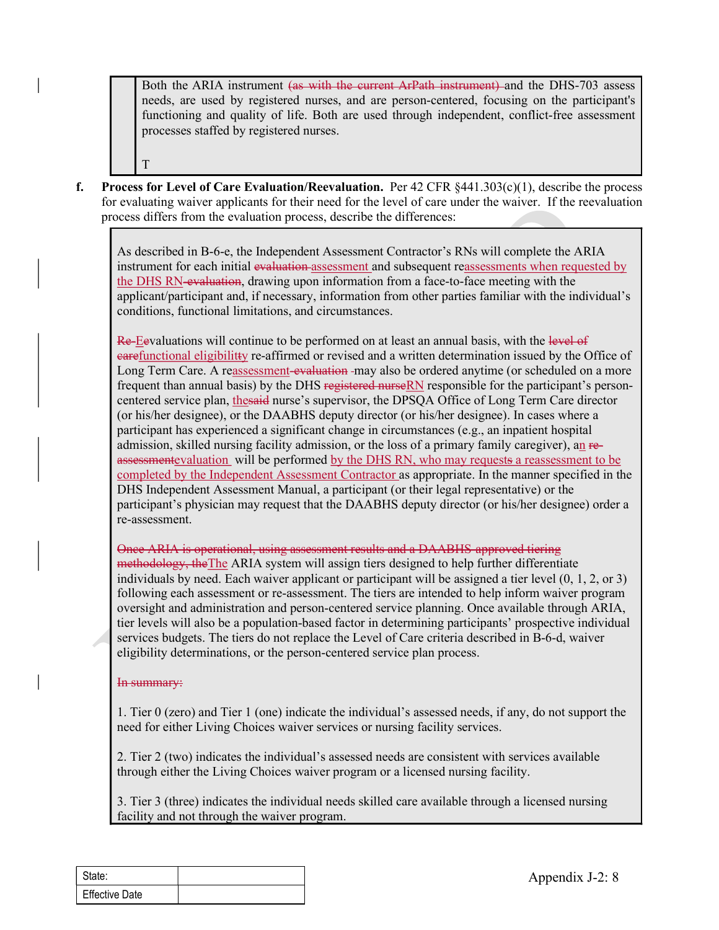Both the ARIA instrument (as with the current ArPath instrument) and the DHS-703 assess needs, are used by registered nurses, and are person-centered, focusing on the participant's functioning and quality of life. Both are used through independent, conflict-free assessment processes staffed by registered nurses. F. Process for Level of Care Evaluation/Reevaluation. Per 42 CFR §441.303(c)(1), describe the processes staffed by registered nurses, and are person-centered, focusing on the participant's functioning and quality of life.

for evaluating waiver applicants for their need for the level of care under the waiver. If the reevaluation process differs from the evaluation process, describe the differences:

T<sub>1</sub>

As described in B-6-e, the Independent Assessment Contractor's RNs will complete the ARIA instrument for each initial evaluation assessment and subsequent reassessments when requested by the DHS RN-evaluation, drawing upon information from a face-to-face meeting with the applicant/participant and, if necessary, information from other parties familiar with the individual's conditions, functional limitations, and circumstances.

Re-Eevaluations will continue to be performed on at least an annual basis, with the level of carefunctional eligibilitty re-affirmed or revised and a written determination issued by the Office of Long Term Care. A reassessment-evaluation -may also be ordered anytime (or scheduled on a more frequent than annual basis) by the DHS registered nurseRN responsible for the participant's personcentered service plan, thesaid nurse's supervisor, the DPSQA Office of Long Term Care director (or his/her designee), or the DAABHS deputy director (or his/her designee). In cases where a participant has experienced a significant change in circumstances (e.g., an inpatient hospital admission, skilled nursing facility admission, or the loss of a primary family caregiver), an reassessmentevaluation will be performed by the DHS RN, who may requests a reassessment to be completed by the Independent Assessment Contractor as appropriate. In the manner specified in the DHS Independent Assessment Manual, a participant (or their legal representative) or the participant's physician may request that the DAABHS deputy director (or his/her designee) order a re-assessment.

following each assessment or re-assessment. The tiers are intended to help inform waiv<br>oversight and administration and person-centered service planning, Once awailable thro<br>trie revels will also be a population-based fact Once ARIA is operational, using assessment results and a DAABHS-approved tiering methodology, the The ARIA system will assign tiers designed to help further differentiate individuals by need. Each waiver applicant or participant will be assigned a tier level (0, 1, 2, or 3) following each assessment or re-assessment. The tiers are intended to help inform waiver program oversight and administration and person-centered service planning. Once available through ARIA, tier levels will also be a population-based factor in determining participants' prospective individual services budgets. The tiers do not replace the Level of Care criteria described in B-6-d, waiver eligibility determinations, or the person-centered service plan process.

#### In summary:

1. Tier 0 (zero) and Tier 1 (one) indicate the individual's assessed needs, if any, do not support the need for either Living Choices waiver services or nursing facility services.

2. Tier 2 (two) indicates the individual's assessed needs are consistent with services available through either the Living Choices waiver program or a licensed nursing facility.

3. Tier 3 (three) indicates the individual needs skilled care available through a licensed nursing facility and not through the waiver program.

| State:                |  |
|-----------------------|--|
| <b>Effective Date</b> |  |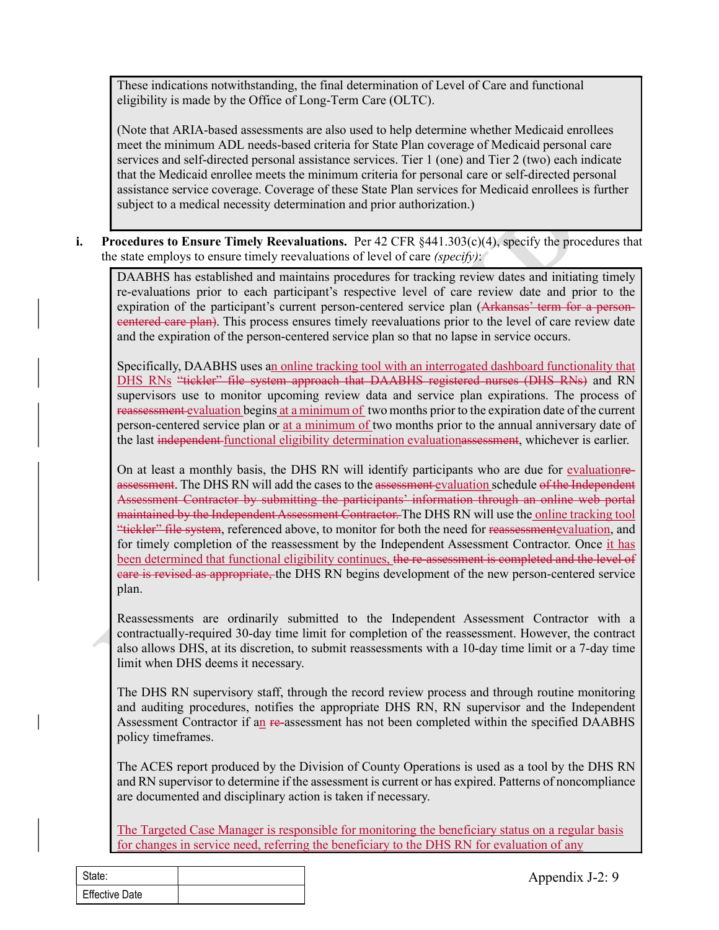These indications notwithstanding, the final determination of Level of Care and functional eligibility is made by the Office of Long-Term Care (OLTC).

(Note that ARIA-based assessments are also used to help determine whether Medicaid enrollees meet the minimum ADL needs-based criteria for State Plan coverage of Medicaid personal care services and self-directed personal assistance services. Tier 1 (one) and Tier 2 (two) each indicate that the Medicaid enrollee meets the minimum criteria for personal care or self-directed personal assistance service coverage. Coverage of these State Plan services for Medicaid enrollees is further subject to a medical necessity determination and prior authorization.) These indications notwithstanding, the final determination of Level of Care and functional<br>eigibility is made by the Office of Long-Term Care (OLTC).<br>(Note that ARIA-based sassesments are also used to help determine wheth

the state employs to ensure timely reevaluations of level of care (specify):

DAABHS has established and maintains procedures for tracking review dates and initiating timely re-evaluations prior to each participant's respective level of care review date and prior to the expiration of the participant's current person-centered service plan (Arkansas' term for a personeentered care plan). This process ensures timely reevaluations prior to the level of care review date and the expiration of the person-centered service plan so that no lapse in service occurs.

Specifically, DAABHS uses an online tracking tool with an interrogated dashboard functionality that DHS RNs "tickler" file system approach that DAABHS registered nurses (DHS RNs) and RN supervisors use to monitor upcoming review data and service plan expirations. The process of reassessment evaluation begins at a minimum of two months prior to the expiration date of the current person-centered service plan or at a minimum of two months prior to the annual anniversary date of the last independent functional eligibility determination evaluationasses ment, whichever is earlier.

On at least a monthly basis, the DHS RN will identify participants who are due for evaluationreassessment. The DHS RN will add the cases to the assessment evaluation schedule of the Independent Assessment Contractor by submitting the participants' information through an online web portal maintained by the Independent Assessment Contractor. The DHS RN will use the online tracking tool "tickler" file system, referenced above, to monitor for both the need for reassessmentevaluation, and for timely completion of the reassessment by the Independent Assessment Contractor. Once it has been determined that functional eligibility continues, the re-assessment is completed and the level of care is revised as appropriate, the DHS RN begins development of the new person-centered service plan.

Reassessments are ordinarily submitted to the Independent Assessment Contractor with a contractually-required 30-day time limit for completion of the reassessment. However, the contract also allows DHS, at its discretion, to submit reassessments with a 10-day time limit or a 7-day time limit when DHS deems it necessary.

plan.<br>
Reassessments are ordinarily submitted to the Independent Assessment Contra<br>
contractually-required 30-day time limit for completion of the reassessment. However,<br>
also allows DHS, at its discretion, to submit reass The DHS RN supervisory staff, through the record review process and through routine monitoring and auditing procedures, notifies the appropriate DHS RN, RN supervisor and the Independent Assessment Contractor if an re-assessment has not been completed within the specified DAABHS policy timeframes.

The ACES report produced by the Division of County Operations is used as a tool by the DHS RN and RN supervisor to determine if the assessment is current or has expired. Patterns of noncompliance are documented and disciplinary action is taken if necessary.

The Targeted Case Manager is responsible for monitoring the beneficiary status on a regular basis for changes in service need, referring the beneficiary to the DHS RN for evaluation of any

| State:                |  |
|-----------------------|--|
| <b>Effective Date</b> |  |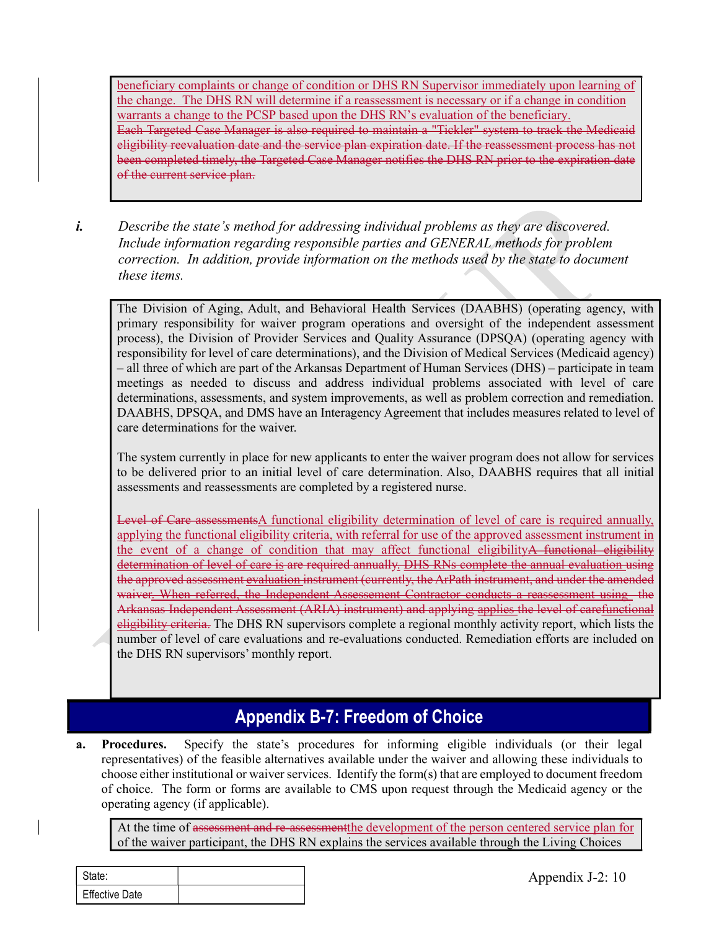beneficiary complaints or change of condition or DHS RN Supervisor immediately upon learning of the change. The DHS RN will determine if a reassessment is necessary or if a change in condition warrants a change to the PCSP based upon the DHS RN's evaluation of the beneficiary. Each Targeted Case Manager is also required to maintain a "Tickler" system to track the Medicaid eligibility reevaluation date and the service plan expiration date. If the reassessment process has not been completed timely, the Targeted Case Manager notifies the DHS RN prior to the expiration date of the current service plan.

i. Describe the state's method for addressing individual problems as they are discovered. Include information regarding responsible parties and GENERAL methods for problem correction. In addition, provide information on the methods used by the state to document these items.

The Division of Aging, Adult, and Behavioral Health Services (DAABHS) (operating agency, with primary responsibility for waiver program operations and oversight of the independent assessment process), the Division of Provider Services and Quality Assurance (DPSQA) (operating agency with responsibility for level of care determinations), and the Division of Medical Services (Medicaid agency) – all three of which are part of the Arkansas Department of Human Services (DHS) – participate in team meetings as needed to discuss and address individual problems associated with level of care determinations, assessments, and system improvements, as well as problem correction and remediation. DAABHS, DPSQA, and DMS have an Interagency Agreement that includes measures related to level of care determinations for the waiver.

The system currently in place for new applicants to enter the waiver program does not allow for services to be delivered prior to an initial level of care determination. Also, DAABHS requires that all initial assessments and reassessments are completed by a registered nurse.

Level of Care assessmentsA functional eligibility determination of level of care is required annually, applying the functional eligibility criteria, with referral for use of the approved assessment instrument in the event of a change of condition that may affect functional eligibility A functional eligibility determination of level of care is are required annually. DHS RNs complete the annual evaluation using the approved assessment evaluation instrument (currently, the ArPath instrument, and under the amended waiver. When referred, the Independent Assessement Contractor conducts a reassessment using the The Division of Aging, Adult, and Behavioral Health Services (DAABHS) (operating agency, with<br>primary responsibility for waiver program operations and oversight of the independent assessment<br>process), the Division of Provi eligibility criteria. The DHS RN supervisors complete a regional monthly activity report, which lists the number of level of care evaluations and re-evaluations conducted. Remediation efforts are included on the DHS RN supervisors' monthly report. The system currently in place for new applicants to enter the waiver program does not allow for services<br>to be delivered prior to an initial level of care determination. Also, DAABHS requires that all initial<br>assessments

### Appendix B-7: Freedom of Choice

waiver<u>, When referred, the Independent Assessement Contractor conducts a reassessement Contractor conducts a large<br>digibility criteria. The DHS RN supervisors complete a regional monthly activity reported<br>number of level </u> representatives) of the feasible alternatives available under the waiver and allowing these individuals to choose either institutional or waiver services. Identify the form(s) that are employed to document freedom of choice. The form or forms are available to CMS upon request through the Medicaid agency or the operating agency (if applicable).

At the time of assessment and re-assessmentthe development of the person centered service plan for of the waiver participant, the DHS RN explains the services available through the Living Choices

| State:                |  |
|-----------------------|--|
| <b>Effective Date</b> |  |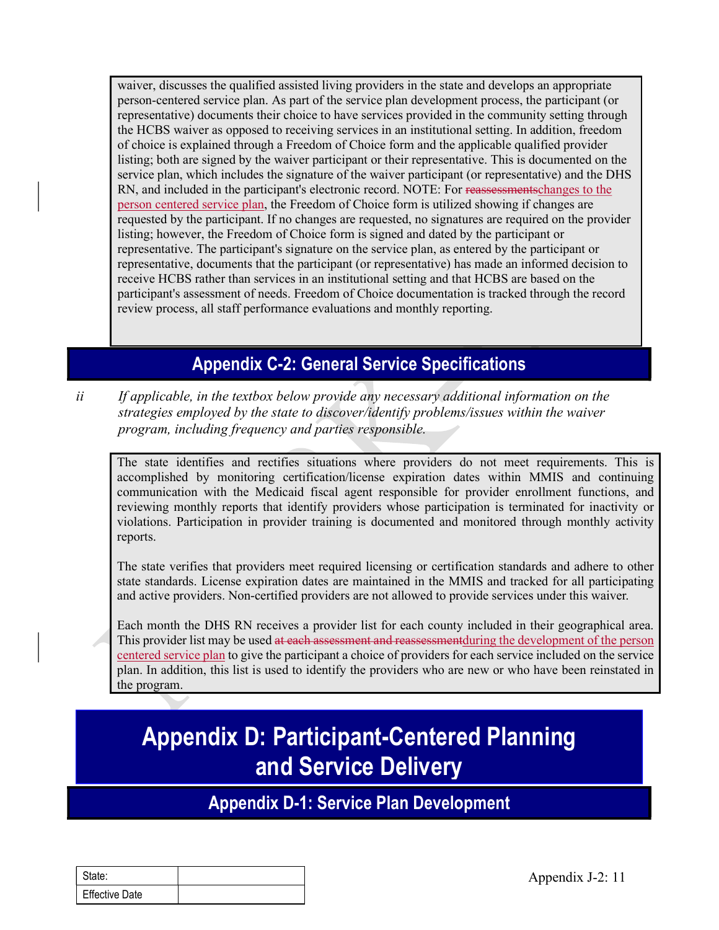waiver, discusses the qualified assisted living providers in the state and develops an appropriate person-centered service plan. As part of the service plan development process, the participant (or representative) documents their choice to have services provided in the community setting through the HCBS waiver as opposed to receiving services in an institutional setting. In addition, freedom of choice is explained through a Freedom of Choice form and the applicable qualified provider listing; both are signed by the waiver participant or their representative. This is documented on the service plan, which includes the signature of the waiver participant (or representative) and the DHS RN, and included in the participant's electronic record. NOTE: For reassessmentschanges to the person centered service plan, the Freedom of Choice form is utilized showing if changes are requested by the participant. If no changes are requested, no signatures are required on the provider listing; however, the Freedom of Choice form is signed and dated by the participant or representative. The participant's signature on the service plan, as entered by the participant or representative, documents that the participant (or representative) has made an informed decision to waiver, discusses the qualified assisted living providers in the state and develops an appropriate representantive plane. As part of the service plan development process, the participant (or representative) documents their participant's assessment of needs. Freedom of Choice documentation is tracked through the record review process, all staff performance evaluations and monthly reporting.

# Appendix C-2: General Service Specifications

ii If applicable, in the textbox below provide any necessary additional information on the strategies employed by the state to discover/identify problems/issues within the waiver program, including frequency and parties responsible.

The state identifies and rectifies situations where providers do not meet requirements. This is accomplished by monitoring certification/license expiration dates within MMIS and continuing communication with the Medicaid fiscal agent responsible for provider enrollment functions, and reviewing monthly reports that identify providers whose participation is terminated for inactivity or violations. Participation in provider training is documented and monitored through monthly activity reports.

The state verifies that providers meet required licensing or certification standards and adhere to other state standards. License expiration dates are maintained in the MMIS and tracked for all participating and active providers. Non-certified providers are not allowed to provide services under this waiver.

and active providers. Non-certified providers are not allowed to provide services under<br>
Each month the DHS RN receives a provider list for each county included in their g<br>
This provider list may be used at each assessment Each month the DHS RN receives a provider list for each county included in their geographical area. This provider list may be used at each assessment and reassessment during the development of the person centered service plan to give the participant a choice of providers for each service included on the service plan. In addition, this list is used to identify the providers who are new or who have been reinstated in the program.

# Appendix D: Participant-Centered Planning and Service Delivery

Appendix D-1: Service Plan Development

| State:                |  |
|-----------------------|--|
| <b>Effective Date</b> |  |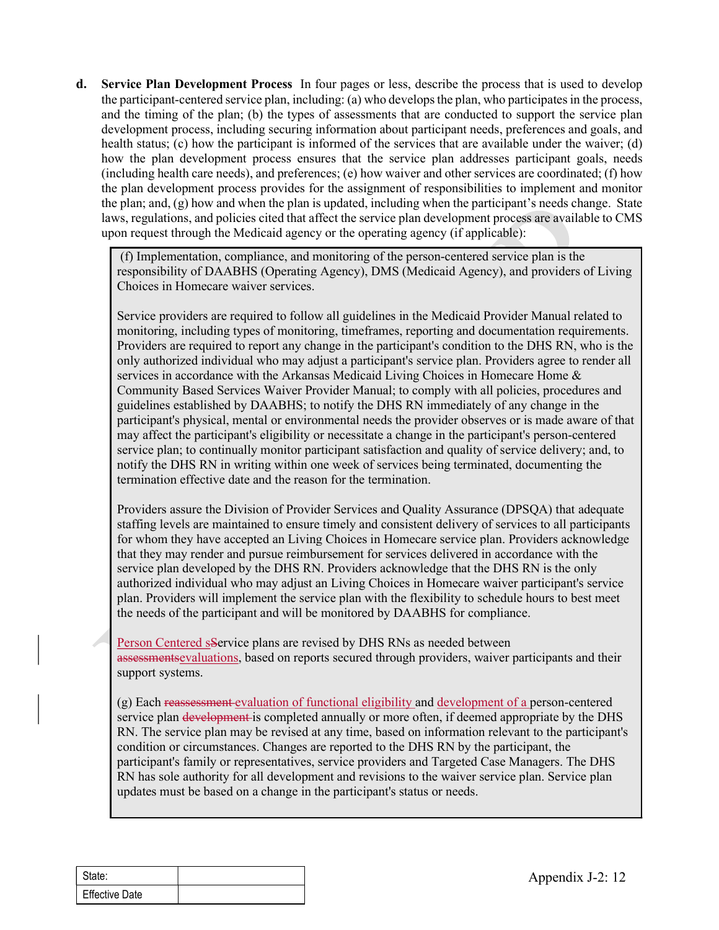**d.** Service Plan Development Process In four pages or less, describe the process that is used to develop the participant-centered service plan, including: (a) who develops the plan, who participates in the process, and th the participant-centered service plan, including: (a) who develops the plan, who participates in the process, and the timing of the plan; (b) the types of assessments that are conducted to support the service plan development process, including securing information about participant needs, preferences and goals, and health status; (c) how the participant is informed of the services that are available under the waiver; (d) how the plan development process ensures that the service plan addresses participant goals, needs (including health care needs), and preferences; (e) how waiver and other services are coordinated; (f) how the plan development process provides for the assignment of responsibilities to implement and monitor the plan; and, (g) how and when the plan is updated, including when the participant's needs change. State laws, regulations, and policies cited that affect the service plan development process are available to CMS upon request through the Medicaid agency or the operating agency (if applicable): **rvice Plan Development Process** In four pages or less, describe the process that is used to develop<br>participant-centered service plan, including: (a) who develops the plan, who participates in the process.<br>It the timing o

(f) Implementation, compliance, and monitoring of the person-centered service plan is the responsibility of DAABHS (Operating Agency), DMS (Medicaid Agency), and providers of Living Choices in Homecare waiver services.

Service providers are required to follow all guidelines in the Medicaid Provider Manual related to Providers are required to report any change in the participant's condition to the DHS RN, who is the only authorized individual who may adjust a participant's service plan. Providers agree to render all services in accordance with the Arkansas Medicaid Living Choices in Homecare Home & Community Based Services Waiver Provider Manual; to comply with all policies, procedures and guidelines established by DAABHS; to notify the DHS RN immediately of any change in the participant's physical, mental or environmental needs the provider observes or is made aware of that may affect the participant's eligibility or necessitate a change in the participant's person-centered service plan; to continually monitor participant satisfaction and quality of service delivery; and, to notify the DHS RN in writing within one week of services being terminated, documenting the termination effective date and the reason for the termination.

Providers assure the Division of Provider Services and Quality Assurance (DPSQA) that adequate staffing levels are maintained to ensure timely and consistent delivery of services to all participants for whom they have accepted an Living Choices in Homecare service plan. Providers acknowledge that they may render and pursue reimbursement for services delivered in accordance with the service plan developed by the DHS RN. Providers acknowledge that the DHS RN is the only authorized individual who may adjust an Living Choices in Homecare waiver participant's service plan. Providers will implement the service plan with the flexibility to schedule hours to best meet the needs of the participant and will be monitored by DAABHS for compliance.

Person Centered sService plans are revised by DHS RNs as needed between assessmentsevaluations, based on reports secured through providers, waiver participants and their support systems.

Framework and the may over the may be expected to the Data Transfort and the method of the needs of the participant and will be monitored by DAABHS for compliance.<br>
Person Centered sService plans are revised by DHS RNs as (g) Each reassessment evaluation of functional eligibility and development of a person-centered service plan development is completed annually or more often, if deemed appropriate by the DHS RN. The service plan may be revised at any time, based on information relevant to the participant's condition or circumstances. Changes are reported to the DHS RN by the participant, the participant's family or representatives, service providers and Targeted Case Managers. The DHS RN has sole authority for all development and revisions to the waiver service plan. Service plan updates must be based on a change in the participant's status or needs.

| l State:              |  |
|-----------------------|--|
| <b>Effective Date</b> |  |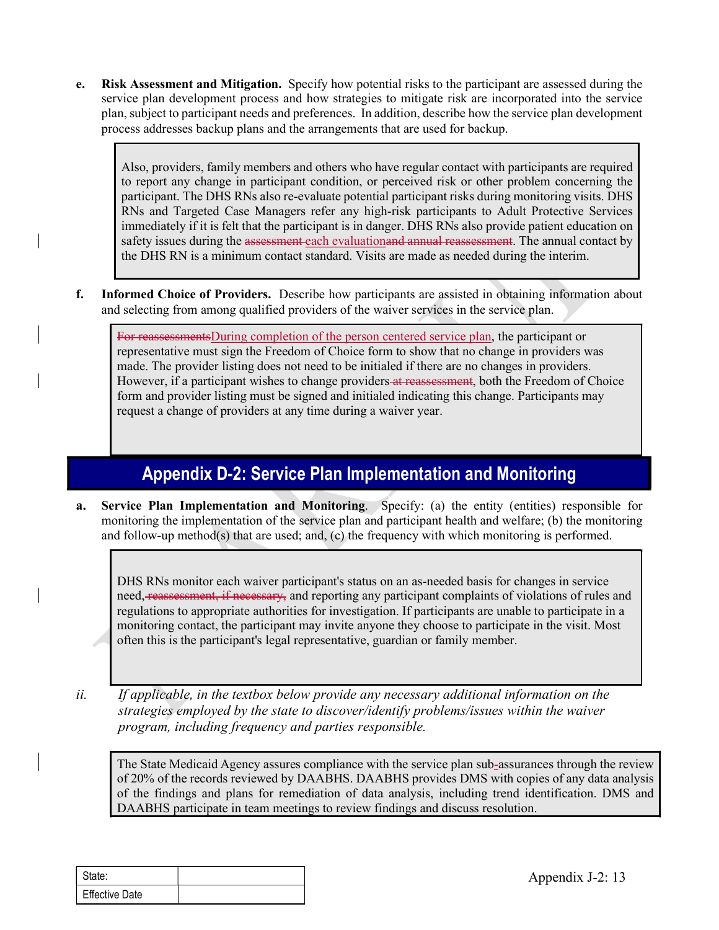e. Risk Assessment and Mitigation. Specify how potential risks to the participant are assessed during the service plan development process and how strategies to mitigate risk are incorporated into the service plan, subject service plan development process and how strategies to mitigate risk are incorporated into the service plan, subject to participant needs and preferences. In addition, describe how the service plan development process addresses backup plans and the arrangements that are used for backup.

Also, providers, family members and others who have regular contact with participants are required to report any change in participant condition, or perceived risk or other problem concerning the participant. The DHS RNs also re-evaluate potential participant risks during monitoring visits. DHS RNs and Targeted Case Managers refer any high-risk participants to Adult Protective Services immediately if it is felt that the participant is in danger. DHS RNs also provide patient education on safety issues during the assessment each evaluationand annual reassessment. The annual contact by the DHS RN is a minimum contact standard. Visits are made as needed during the interim. **E. Kisk Assessment and Mitigation.** Specify how potential risks to the participant are assessed during the service plan development process and how strategies to mitigate risk are incorporated into the service plan dev

and selecting from among qualified providers of the waiver services in the service plan.

For reassessmentsDuring completion of the person centered service plan, the participant or representative must sign the Freedom of Choice form to show that no change in providers was made. The provider listing does not need to be initialed if there are no changes in providers. However, if a participant wishes to change providers at reassessment, both the Freedom of Choice form and provider listing must be signed and initialed indicating this change. Participants may request a change of providers at any time during a waiver year.

# Appendix D-2: Service Plan Implementation and Monitoring

a. Service Plan Implementation and Monitoring. Specify: (a) the entity (entities) responsible for monitoring the implementation of the service plan and participant health and welfare; (b) the monitoring and follow-up method(s) that are used; and, (c) the frequency with which monitoring is performed.

need, <del>reassessment, if necessary,</del> and reporting any participant complaints of violations<br>regulations to appropriate authorities for investigation. If participant are unable to part<br>monitoring contact, the participant may DHS RNs monitor each waiver participant's status on an as-needed basis for changes in service need, reassessment, if necessary, and reporting any participant complaints of violations of rules and regulations to appropriate authorities for investigation. If participants are unable to participate in a monitoring contact, the participant may invite anyone they choose to participate in the visit. Most often this is the participant's legal representative, guardian or family member. form and provider listing must be signed and initialed indicating this change. Participants may<br>request a change of providers at any time during a waiver year.<br>
<br> **Appendix D-2: Service Plan Implementation and Monitoring**<br>

strategies employed by the state to discover/identify problems/issues within the waiver program, including frequency and parties responsible.

The State Medicaid Agency assures compliance with the service plan sub-assurances through the review of 20% of the records reviewed by DAABHS. DAABHS provides DMS with copies of any data analysis of the findings and plans for remediation of data analysis, including trend identification. DMS and DAABHS participate in team meetings to review findings and discuss resolution.

| l State:              |  |
|-----------------------|--|
| <b>Effective Date</b> |  |

Appendix J-2: 13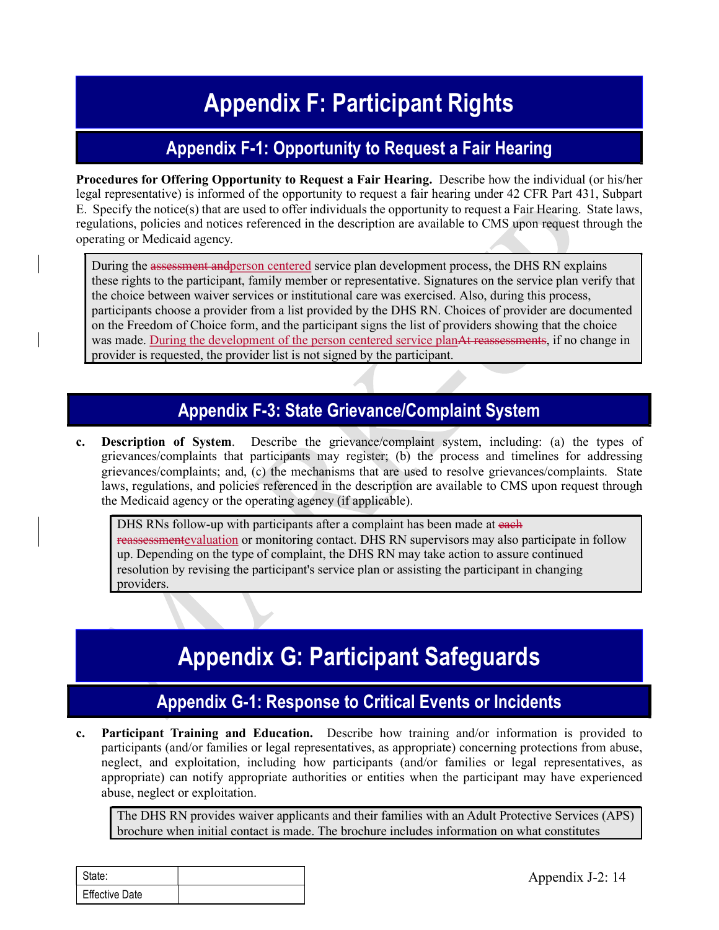# Appendix F: Participant Rights<br>
Appendix F-1: Opportunity to Request a Fair Hearing<br>
Apportunity to Request a Fair Hearing, Describe how the individual (or his/hered and a Sair Hearing)

# Appendix F-1: Opportunity to Request a Fair Hearing

Procedures for Offering Opportunity to Request a Fair Hearing. Describe how the individual (or his/her legal representative) is informed of the opportunity to request a fair hearing under 42 CFR Part 431, Subpart E. Specify the notice(s) that are used to offer individuals the opportunity to request a Fair Hearing. State laws, regulations, policies and notices referenced in the description are available to CMS upon request through the operating or Medicaid agency.

During the assessment and person centered service plan development process, the DHS RN explains these rights to the participant, family member or representative. Signatures on the service plan verify that the choice between waiver services or institutional care was exercised. Also, during this process, participants choose a provider from a list provided by the DHS RN. Choices of provider are documented on the Freedom of Choice form, and the participant signs the list of providers showing that the choice was made. During the development of the person centered service planAt reassessments, if no change in provider is requested, the provider list is not signed by the participant.

# Appendix F-3: State Grievance/Complaint System

c. Description of System. Describe the grievance/complaint system, including: (a) the types of grievances/complaints that participants may register; (b) the process and timelines for addressing grievances/complaints; and, (c) the mechanisms that are used to resolve grievances/complaints. State laws, regulations, and policies referenced in the description are available to CMS upon request through the Medicaid agency or the operating agency (if applicable).

DHS RNs follow-up with participants after a complaint has been made at each reassessmentevaluation or monitoring contact. DHS RN supervisors may also participate in follow up. Depending on the type of complaint, the DHS RN may take action to assure continued resolution by revising the participant's service plan or assisting the participant in changing providers.

# Appendix G: Participant Safeguards

#### Appendix G-1: Response to Critical Events or Incidents

**Appendix G: Participant Safeguards**<br> **Appendix G: Participant Safeguards**<br> **Appendix G-1: Response to Critical Events or Incidents**<br> **Participant Training and Education.** Describe how training and/or information in<br>
parti c. Participant Training and Education. Describe how training and/or information is provided to participants (and/or families or legal representatives, as appropriate) concerning protections from abuse, neglect, and exploitation, including how participants (and/or families or legal representatives, as appropriate) can notify appropriate authorities or entities when the participant may have experienced abuse, neglect or exploitation.

The DHS RN provides waiver applicants and their families with an Adult Protective Services (APS) brochure when initial contact is made. The brochure includes information on what constitutes

| State:                |  |
|-----------------------|--|
| <b>Effective Date</b> |  |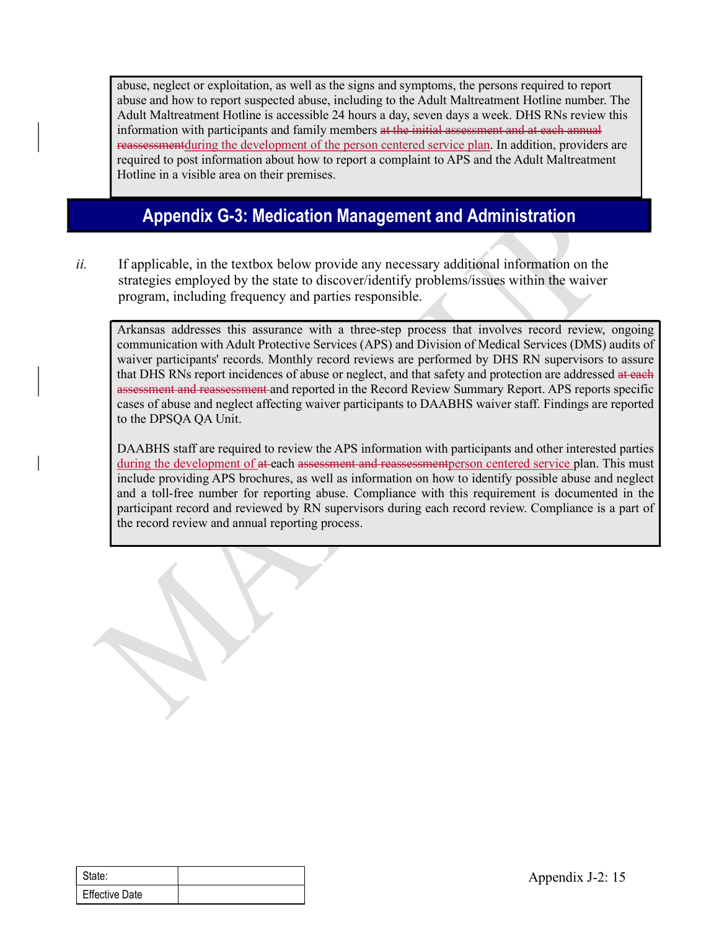abuse, neglect or exploitation, as well as the signs and symptoms, the persons required to report abuse and how to report suspected abuse, including to the Adult Maltreatment Hotline number. The Adult Maltreatment Hotline is accessible 24 hours a day, seven days a week. DHS RNs review this information with participants and family members at the initial assessment and at each annual reassessmentduring the development of the person centered service plan. In addition, providers are required to post information about how to report a complaint to APS and the Adult Maltreatment Hotline in a visible area on their premises.

# Appendix G-3: Medication Management and Administration

ii. If applicable, in the textbox below provide any necessary additional information on the strategies employed by the state to discover/identify problems/issues within the waiver program, including frequency and parties responsible.

Arkansas addresses this assurance with a three-step process that involves record review, ongoing communication with Adult Protective Services (APS) and Division of Medical Services (DMS) audits of waiver participants' records. Monthly record reviews are performed by DHS RN supervisors to assure that DHS RNs report incidences of abuse or neglect, and that safety and protection are addressed at each assessment and reassessment and reported in the Record Review Summary Report. APS reports specific cases of abuse and neglect affecting waiver participants to DAABHS waiver staff. Findings are reported to the DPSQA QA Unit.

DAABHS staff are required to review the APS information with participants and other interested parties during the development of at each assessment and reassessment person centered service plan. This must include providing APS brochures, as well as information on how to identify possible abuse and neglect and a toll-free number for reporting abuse. Compliance with this requirement is documented in the participant record and reviewed by RN supervisors during each record review. Compliance is a part of the record review and annual reporting process.

|                       | ÷, |  |        |
|-----------------------|----|--|--------|
|                       |    |  |        |
|                       |    |  |        |
| State:                |    |  | Append |
| <b>Effective Date</b> |    |  |        |
|                       |    |  |        |
|                       |    |  |        |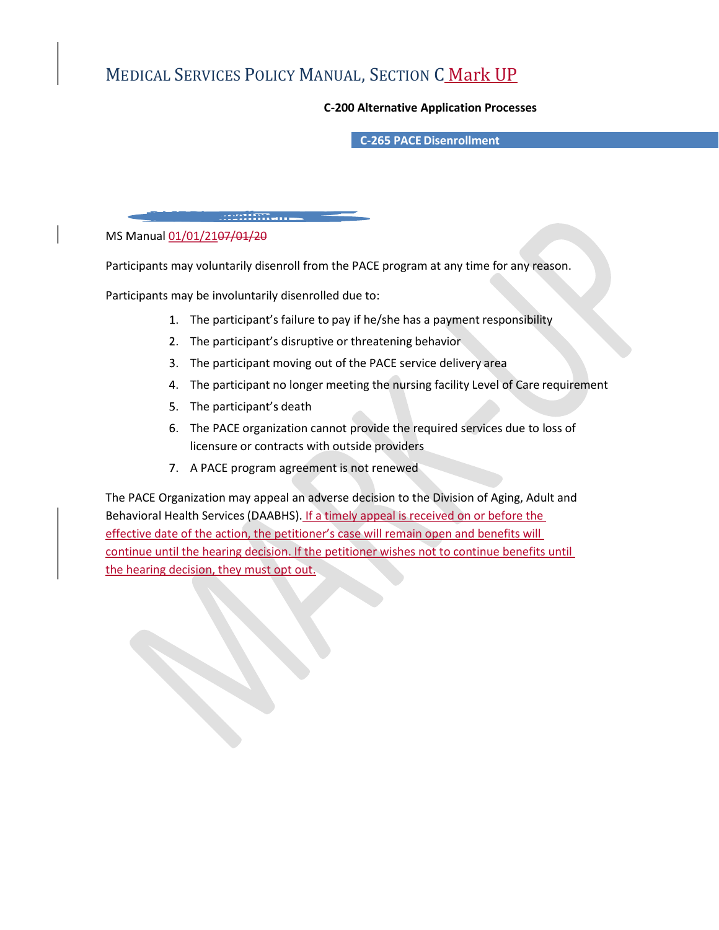## MEDICAL SERVICES POLICY MANUAL, SECTION C Mark UP

#### C-200 Alternative Application Processes

C-265 PACE Disenrollment

#### MS Manual 01/01/2107/01/20

Participants may voluntarily disenroll from the PACE program at any time for any reason.

Participants may be involuntarily disenrolled due to:

PACE Disenrollment

- 1. The participant's failure to pay if he/she has a payment responsibility
- 2. The participant's disruptive or threatening behavior.
- 3. The participant moving out of the PACE service delivery area
- The participant no longer meeting the nursing facility Level of Care requirement
- 5. The participant's death
- The PACE organization cannot provide the required services due to loss of licensure or contracts with outside providers
- 7. A PACE program agreement is not renewed

The PACE Organization may appeal an adverse decision to the Division of Aging, Adult and Behavioral Health Services (DAABHS). If a timely appeal is received on or before the effective date of the action, the petitioner's case will remain open and benefits will continue until the hearing decision. If the petitioner wishes not to continue benefits until the hearing decision, they must opt out.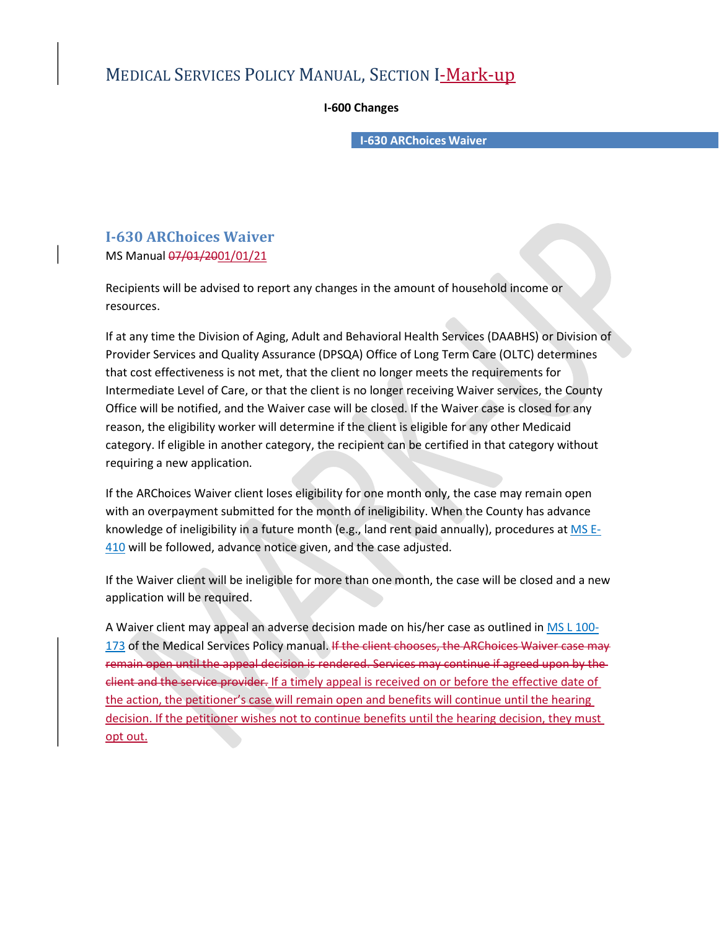#### MEDICAL SERVICES POLICY MANUAL, SECTION I-Mark-up

I-600 Changes

I-630 ARChoices Waiver

# I-630 ARChoices Waiver

MS Manual  $\frac{07}{01}$  2001/01/21

Recipients will be advised to report any changes in the amount of household income or resources.

If at any time the Division of Aging, Adult and Behavioral Health Services (DAABHS) or Division of Provider Services and Quality Assurance (DPSQA) Office of Long Term Care (OLTC) determines that cost effectiveness is not met, that the client no longer meets the requirements for Intermediate Level of Care, or that the client is no longer receiving Waiver services, the County Office will be notified, and the Waiver case will be closed. If the Waiver case is closed for any reason, the eligibility worker will determine if the client is eligible for any other Medicaid category. If eligible in another category, the recipient can be certified in that category without requiring a new application.

If the ARChoices Waiver client loses eligibility for one month only, the case may remain open with an overpayment submitted for the month of ineligibility. When the County has advance knowledge of ineligibility in a future month (e.g., land rent paid annually), procedures at  $MS E$ 410 will be followed, advance notice given, and the case adjusted.

If the Waiver client will be ineligible for more than one month, the case will be closed and a new application will be required.

A Waiver client may appeal an adverse decision made on his/her case as outlined in MS L 100- 173 of the Medical Services Policy manual. If the client chooses, the ARChoices Waiver case may remain open until the appeal decision is rendered. Services may continue if agreed upon by the client and the service provider. If a timely appeal is received on or before the effective date of the action, the petitioner's case will remain open and benefits will continue until the hearing decision. If the petitioner wishes not to continue benefits until the hearing decision, they must opt out.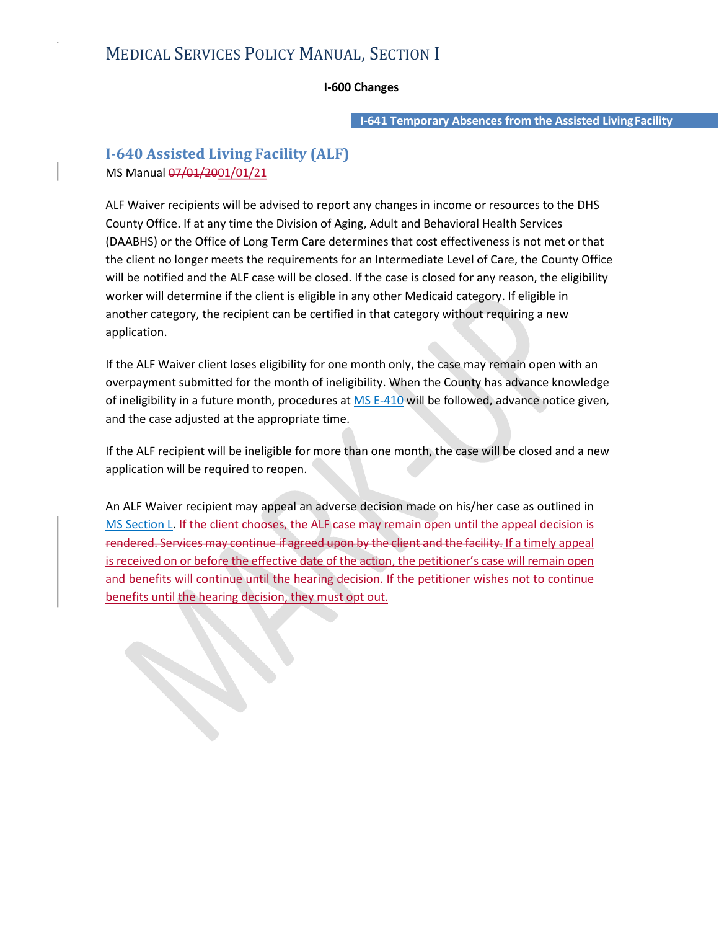#### MEDICAL SERVICES POLICY MANUAL, SECTION I

#### I-600 Changes

I-641 Temporary Absences from the Assisted LivingFacility

#### I-640 Assisted Living Facility (ALF) MS Manual  $\frac{07}{01}$  /2001/01/21

ALF Waiver recipients will be advised to report any changes in income or resources to the DHS County Office. If at any time the Division of Aging, Adult and Behavioral Health Services (DAABHS) or the Office of Long Term Care determines that cost effectiveness is not met or that the client no longer meets the requirements for an Intermediate Level of Care, the County Office will be notified and the ALF case will be closed. If the case is closed for any reason, the eligibility worker will determine if the client is eligible in any other Medicaid category. If eligible in another category, the recipient can be certified in that category without requiring a new application.

If the ALF Waiver client loses eligibility for one month only, the case may remain open with an overpayment submitted for the month of ineligibility. When the County has advance knowledge of ineligibility in a future month, procedures at MS E-410 will be followed, advance notice given, and the case adjusted at the appropriate time.

If the ALF recipient will be ineligible for more than one month, the case will be closed and a new application will be required to reopen.

An ALF Waiver recipient may appeal an adverse decision made on his/her case as outlined in MS Section L. If the client chooses, the ALF case may remain open until the appeal decision is rendered. Services may continue if agreed upon by the client and the facility. If a timely appeal is received on or before the effective date of the action, the petitioner's case will remain open and benefits will continue until the hearing decision. If the petitioner wishes not to continue benefits until the hearing decision, they must opt out.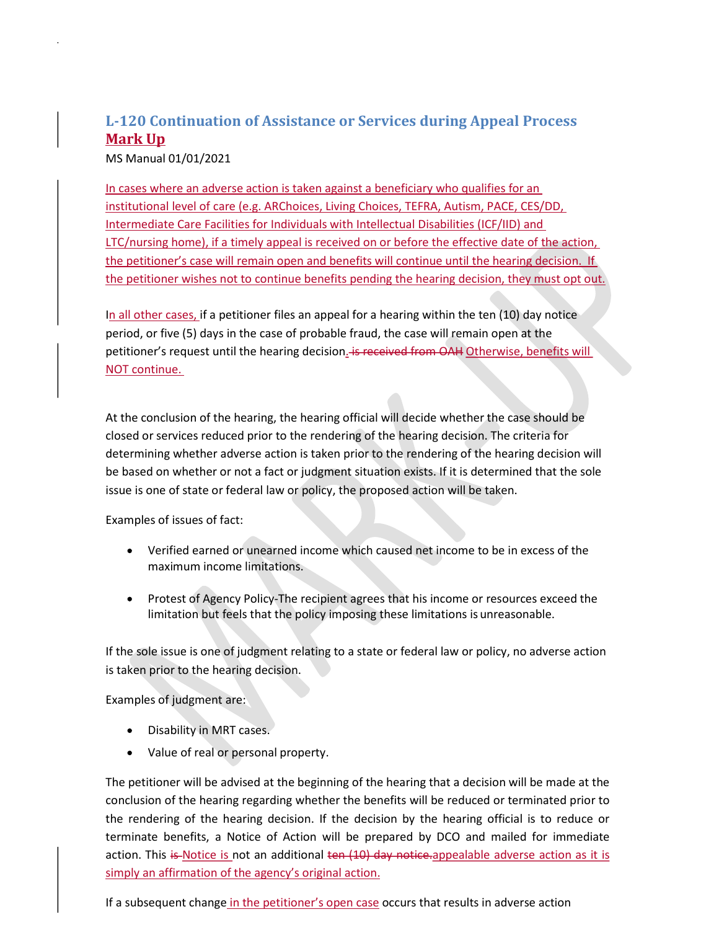#### L-120 Continuation of Assistance or Services during Appeal Process Mark Up

MS Manual 01/01/2021

In cases where an adverse action is taken against a beneficiary who qualifies for an institutional level of care (e.g. ARChoices, Living Choices, TEFRA, Autism, PACE, CES/DD, L-120 Continuation of Assistance or Services during Appeal Process<br> **Mark Up**<br>
In cases where an adverse action is taken against a beneficiary who qualifies for an<br>
institutional level of care (e.g. ARChoices, Living Choi LTC/nursing home), if a timely appeal is received on or before the effective date of the action, the petitioner's case will remain open and benefits will continue until the hearing decision. If the petitioner wishes not to continue benefits pending the hearing decision, they must opt out.

In all other cases, if a petitioner files an appeal for a hearing within the ten (10) day notice period, or five (5) days in the case of probable fraud, the case will remain open at the petitioner's request until the hearing decision. is received from OAH Otherwise, benefits will NOT continue.

At the conclusion of the hearing, the hearing official will decide whether the case should be closed or services reduced prior to the rendering of the hearing decision. The criteria for determining whether adverse action is taken prior to the rendering of the hearing decision will be based on whether or not a fact or judgment situation exists. If it is determined that the sole issue is one of state or federal law or policy, the proposed action will be taken.

Examples of issues of fact:

- Verified earned or unearned income which caused net income to be in excess of the maximum income limitations.
- Protest of Agency Policy-The recipient agrees that his income or resources exceed the limitation but feels that the policy imposing these limitations is unreasonable.

If the sole issue is one of judgment relating to a state or federal law or policy, no adverse action is taken prior to the hearing decision.

Examples of judgment are:

- Disability in MRT cases.  $\bullet$
- $\bullet$ Value of real or personal property.

The petitioner will be advised at the beginning of the hearing that a decision will be made at the conclusion of the hearing regarding whether the benefits will be reduced or terminated prior to the rendering of the hearing decision. If the decision by the hearing official is to reduce or terminate benefits, a Notice of Action will be prepared by DCO and mailed for immediate action. This  $i\mathfrak{s}$ -Notice is not an additional ten  $(10)$  day notice.appealable adverse action as it is simply an affirmation of the agency's original action.

If a subsequent change in the petitioner's open case occurs that results in adverse action